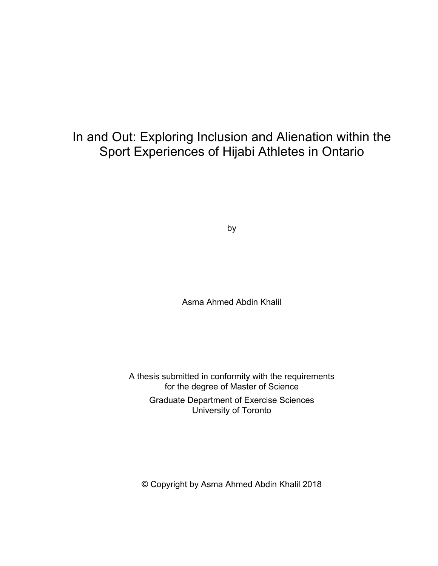# In and Out: Exploring Inclusion and Alienation within the Sport Experiences of Hijabi Athletes in Ontario

by

Asma Ahmed Abdin Khalil

A thesis submitted in conformity with the requirements for the degree of Master of Science Graduate Department of Exercise Sciences University of Toronto

© Copyright by Asma Ahmed Abdin Khalil 2018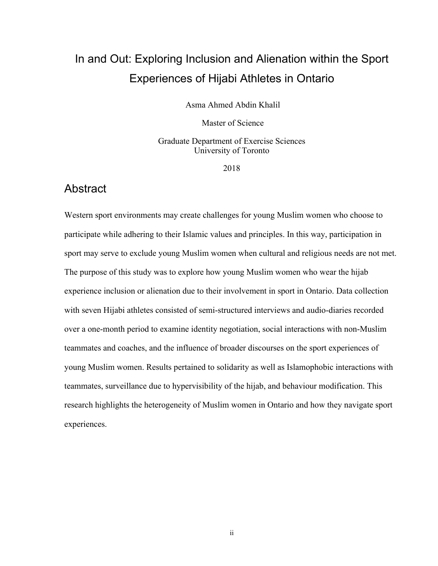# In and Out: Exploring Inclusion and Alienation within the Sport Experiences of Hijabi Athletes in Ontario

Asma Ahmed Abdin Khalil

Master of Science

Graduate Department of Exercise Sciences University of Toronto

2018

### Abstract

Western sport environments may create challenges for young Muslim women who choose to participate while adhering to their Islamic values and principles. In this way, participation in sport may serve to exclude young Muslim women when cultural and religious needs are not met. The purpose of this study was to explore how young Muslim women who wear the hijab experience inclusion or alienation due to their involvement in sport in Ontario. Data collection with seven Hijabi athletes consisted of semi-structured interviews and audio-diaries recorded over a one-month period to examine identity negotiation, social interactions with non-Muslim teammates and coaches, and the influence of broader discourses on the sport experiences of young Muslim women. Results pertained to solidarity as well as Islamophobic interactions with teammates, surveillance due to hypervisibility of the hijab, and behaviour modification. This research highlights the heterogeneity of Muslim women in Ontario and how they navigate sport experiences.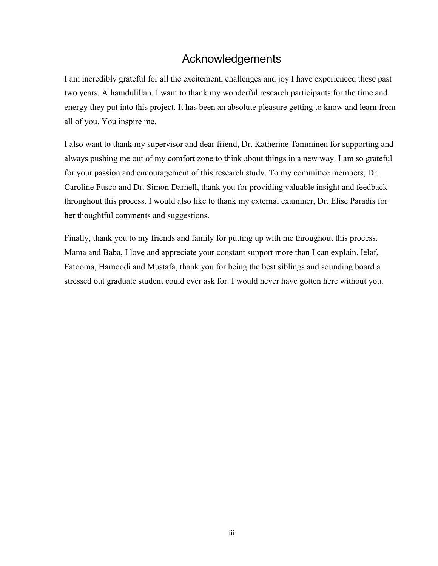# Acknowledgements

I am incredibly grateful for all the excitement, challenges and joy I have experienced these past two years. Alhamdulillah. I want to thank my wonderful research participants for the time and energy they put into this project. It has been an absolute pleasure getting to know and learn from all of you. You inspire me.

I also want to thank my supervisor and dear friend, Dr. Katherine Tamminen for supporting and always pushing me out of my comfort zone to think about things in a new way. I am so grateful for your passion and encouragement of this research study. To my committee members, Dr. Caroline Fusco and Dr. Simon Darnell, thank you for providing valuable insight and feedback throughout this process. I would also like to thank my external examiner, Dr. Elise Paradis for her thoughtful comments and suggestions.

Finally, thank you to my friends and family for putting up with me throughout this process. Mama and Baba, I love and appreciate your constant support more than I can explain. Ielaf, Fatooma, Hamoodi and Mustafa, thank you for being the best siblings and sounding board a stressed out graduate student could ever ask for. I would never have gotten here without you.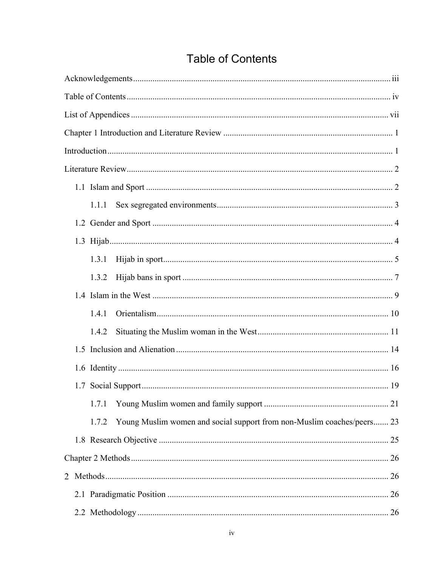| 1.1.1                                                                           |  |  |  |  |  |
|---------------------------------------------------------------------------------|--|--|--|--|--|
|                                                                                 |  |  |  |  |  |
|                                                                                 |  |  |  |  |  |
| 1.3.1                                                                           |  |  |  |  |  |
| 1.3.2                                                                           |  |  |  |  |  |
|                                                                                 |  |  |  |  |  |
| 1.4.1                                                                           |  |  |  |  |  |
| 1.4.2                                                                           |  |  |  |  |  |
|                                                                                 |  |  |  |  |  |
|                                                                                 |  |  |  |  |  |
|                                                                                 |  |  |  |  |  |
| 1.7.1                                                                           |  |  |  |  |  |
| Young Muslim women and social support from non-Muslim coaches/peers 23<br>1.7.2 |  |  |  |  |  |
|                                                                                 |  |  |  |  |  |
|                                                                                 |  |  |  |  |  |
| 2                                                                               |  |  |  |  |  |
|                                                                                 |  |  |  |  |  |
|                                                                                 |  |  |  |  |  |

# **Table of Contents**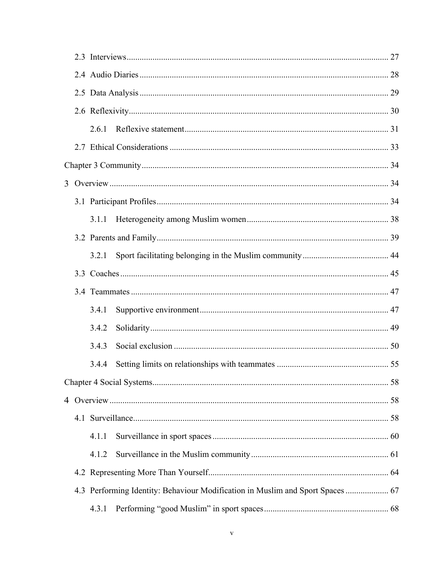|  | 2.6.1 |                                                                                |  |
|--|-------|--------------------------------------------------------------------------------|--|
|  |       |                                                                                |  |
|  |       |                                                                                |  |
|  |       |                                                                                |  |
|  |       |                                                                                |  |
|  | 3.1.1 |                                                                                |  |
|  |       |                                                                                |  |
|  | 3.2.1 |                                                                                |  |
|  |       |                                                                                |  |
|  |       |                                                                                |  |
|  | 3.4.1 |                                                                                |  |
|  | 3.4.2 |                                                                                |  |
|  | 3.4.3 |                                                                                |  |
|  | 3.4.4 |                                                                                |  |
|  |       |                                                                                |  |
|  |       |                                                                                |  |
|  |       |                                                                                |  |
|  | 4.1.1 |                                                                                |  |
|  | 4.1.2 |                                                                                |  |
|  |       |                                                                                |  |
|  |       | 4.3 Performing Identity: Behaviour Modification in Muslim and Sport Spaces  67 |  |
|  | 4.3.1 |                                                                                |  |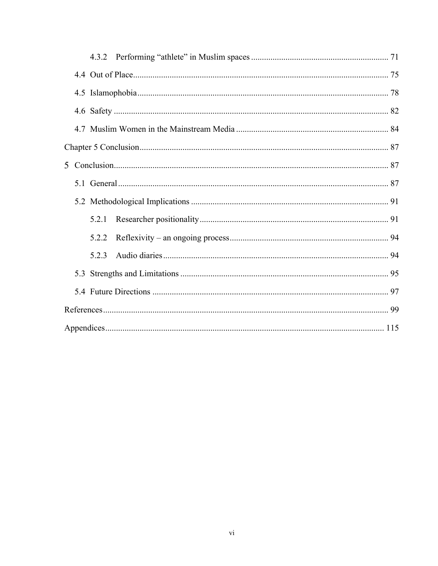|  |  | 5.2.1 |  |  |  |  |  |
|--|--|-------|--|--|--|--|--|
|  |  | 5.2.2 |  |  |  |  |  |
|  |  | 5.2.3 |  |  |  |  |  |
|  |  |       |  |  |  |  |  |
|  |  |       |  |  |  |  |  |
|  |  |       |  |  |  |  |  |
|  |  |       |  |  |  |  |  |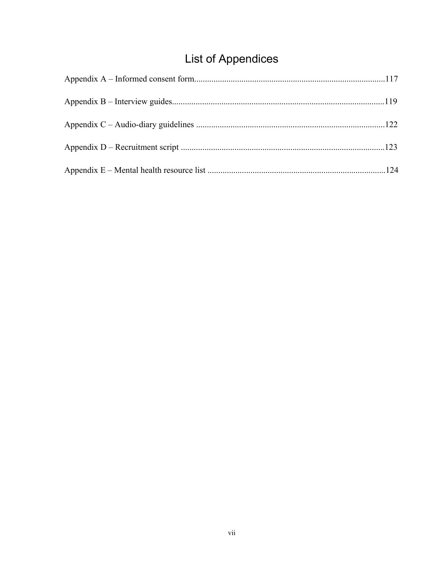# **List of Appendices**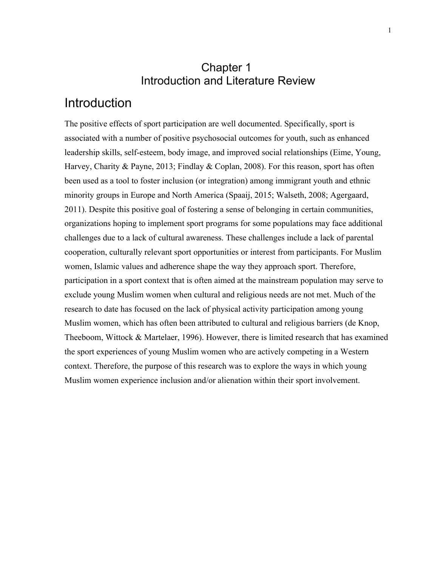# Chapter 1 Introduction and Literature Review

# Introduction

The positive effects of sport participation are well documented. Specifically, sport is associated with a number of positive psychosocial outcomes for youth, such as enhanced leadership skills, self-esteem, body image, and improved social relationships (Eime, Young, Harvey, Charity & Payne, 2013; Findlay & Coplan, 2008). For this reason, sport has often been used as a tool to foster inclusion (or integration) among immigrant youth and ethnic minority groups in Europe and North America (Spaaij, 2015; Walseth, 2008; Agergaard, 2011). Despite this positive goal of fostering a sense of belonging in certain communities, organizations hoping to implement sport programs for some populations may face additional challenges due to a lack of cultural awareness. These challenges include a lack of parental cooperation, culturally relevant sport opportunities or interest from participants. For Muslim women, Islamic values and adherence shape the way they approach sport. Therefore, participation in a sport context that is often aimed at the mainstream population may serve to exclude young Muslim women when cultural and religious needs are not met. Much of the research to date has focused on the lack of physical activity participation among young Muslim women, which has often been attributed to cultural and religious barriers (de Knop, Theeboom, Wittock & Martelaer, 1996). However, there is limited research that has examined the sport experiences of young Muslim women who are actively competing in a Western context. Therefore, the purpose of this research was to explore the ways in which young Muslim women experience inclusion and/or alienation within their sport involvement.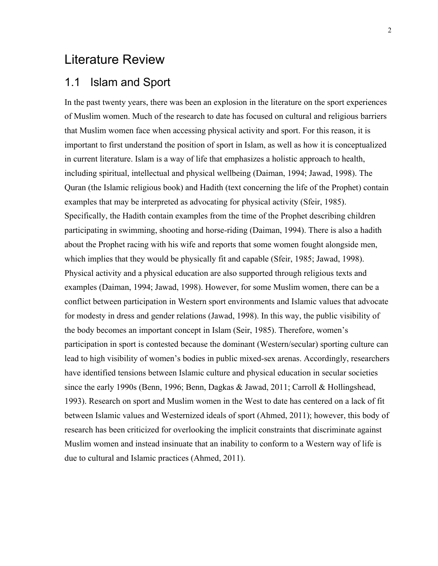# Literature Review

## 1.1 Islam and Sport

In the past twenty years, there was been an explosion in the literature on the sport experiences of Muslim women. Much of the research to date has focused on cultural and religious barriers that Muslim women face when accessing physical activity and sport. For this reason, it is important to first understand the position of sport in Islam, as well as how it is conceptualized in current literature. Islam is a way of life that emphasizes a holistic approach to health, including spiritual, intellectual and physical wellbeing (Daiman, 1994; Jawad, 1998). The Quran (the Islamic religious book) and Hadith (text concerning the life of the Prophet) contain examples that may be interpreted as advocating for physical activity (Sfeir, 1985). Specifically, the Hadith contain examples from the time of the Prophet describing children participating in swimming, shooting and horse-riding (Daiman, 1994). There is also a hadith about the Prophet racing with his wife and reports that some women fought alongside men, which implies that they would be physically fit and capable (Sfeir, 1985; Jawad, 1998). Physical activity and a physical education are also supported through religious texts and examples (Daiman, 1994; Jawad, 1998). However, for some Muslim women, there can be a conflict between participation in Western sport environments and Islamic values that advocate for modesty in dress and gender relations (Jawad, 1998). In this way, the public visibility of the body becomes an important concept in Islam (Seir, 1985). Therefore, women's participation in sport is contested because the dominant (Western/secular) sporting culture can lead to high visibility of women's bodies in public mixed-sex arenas. Accordingly, researchers have identified tensions between Islamic culture and physical education in secular societies since the early 1990s (Benn, 1996; Benn, Dagkas & Jawad, 2011; Carroll & Hollingshead, 1993). Research on sport and Muslim women in the West to date has centered on a lack of fit between Islamic values and Westernized ideals of sport (Ahmed, 2011); however, this body of research has been criticized for overlooking the implicit constraints that discriminate against Muslim women and instead insinuate that an inability to conform to a Western way of life is due to cultural and Islamic practices (Ahmed, 2011).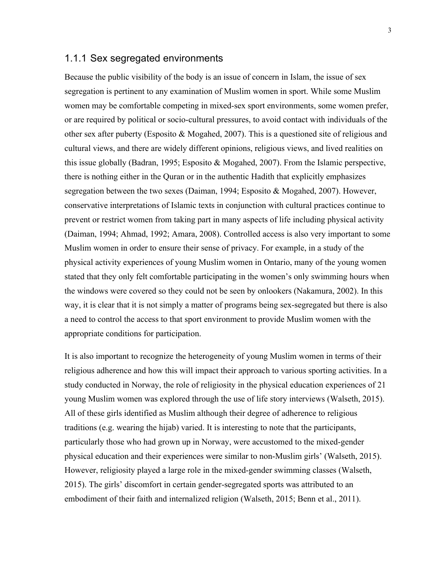#### 1.1.1 Sex segregated environments

Because the public visibility of the body is an issue of concern in Islam, the issue of sex segregation is pertinent to any examination of Muslim women in sport. While some Muslim women may be comfortable competing in mixed-sex sport environments, some women prefer, or are required by political or socio-cultural pressures, to avoid contact with individuals of the other sex after puberty (Esposito & Mogahed, 2007). This is a questioned site of religious and cultural views, and there are widely different opinions, religious views, and lived realities on this issue globally (Badran, 1995; Esposito & Mogahed, 2007). From the Islamic perspective, there is nothing either in the Quran or in the authentic Hadith that explicitly emphasizes segregation between the two sexes (Daiman, 1994; Esposito & Mogahed, 2007). However, conservative interpretations of Islamic texts in conjunction with cultural practices continue to prevent or restrict women from taking part in many aspects of life including physical activity (Daiman, 1994; Ahmad, 1992; Amara, 2008). Controlled access is also very important to some Muslim women in order to ensure their sense of privacy. For example, in a study of the physical activity experiences of young Muslim women in Ontario, many of the young women stated that they only felt comfortable participating in the women's only swimming hours when the windows were covered so they could not be seen by onlookers (Nakamura, 2002). In this way, it is clear that it is not simply a matter of programs being sex-segregated but there is also a need to control the access to that sport environment to provide Muslim women with the appropriate conditions for participation.

It is also important to recognize the heterogeneity of young Muslim women in terms of their religious adherence and how this will impact their approach to various sporting activities. In a study conducted in Norway, the role of religiosity in the physical education experiences of 21 young Muslim women was explored through the use of life story interviews (Walseth, 2015). All of these girls identified as Muslim although their degree of adherence to religious traditions (e.g. wearing the hijab) varied. It is interesting to note that the participants, particularly those who had grown up in Norway, were accustomed to the mixed-gender physical education and their experiences were similar to non-Muslim girls' (Walseth, 2015). However, religiosity played a large role in the mixed-gender swimming classes (Walseth, 2015). The girls' discomfort in certain gender-segregated sports was attributed to an embodiment of their faith and internalized religion (Walseth, 2015; Benn et al., 2011).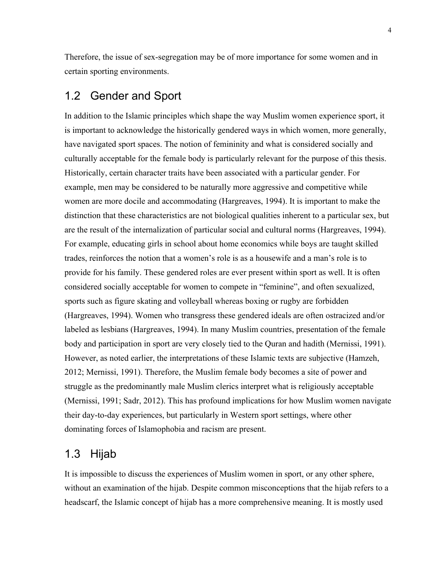Therefore, the issue of sex-segregation may be of more importance for some women and in certain sporting environments.

## 1.2 Gender and Sport

In addition to the Islamic principles which shape the way Muslim women experience sport, it is important to acknowledge the historically gendered ways in which women, more generally, have navigated sport spaces. The notion of femininity and what is considered socially and culturally acceptable for the female body is particularly relevant for the purpose of this thesis. Historically, certain character traits have been associated with a particular gender. For example, men may be considered to be naturally more aggressive and competitive while women are more docile and accommodating (Hargreaves, 1994). It is important to make the distinction that these characteristics are not biological qualities inherent to a particular sex, but are the result of the internalization of particular social and cultural norms (Hargreaves, 1994). For example, educating girls in school about home economics while boys are taught skilled trades, reinforces the notion that a women's role is as a housewife and a man's role is to provide for his family. These gendered roles are ever present within sport as well. It is often considered socially acceptable for women to compete in "feminine", and often sexualized, sports such as figure skating and volleyball whereas boxing or rugby are forbidden (Hargreaves, 1994). Women who transgress these gendered ideals are often ostracized and/or labeled as lesbians (Hargreaves, 1994). In many Muslim countries, presentation of the female body and participation in sport are very closely tied to the Quran and hadith (Mernissi, 1991). However, as noted earlier, the interpretations of these Islamic texts are subjective (Hamzeh, 2012; Mernissi, 1991). Therefore, the Muslim female body becomes a site of power and struggle as the predominantly male Muslim clerics interpret what is religiously acceptable (Mernissi, 1991; Sadr, 2012). This has profound implications for how Muslim women navigate their day-to-day experiences, but particularly in Western sport settings, where other dominating forces of Islamophobia and racism are present.

# 1.3 Hijab

It is impossible to discuss the experiences of Muslim women in sport, or any other sphere, without an examination of the hijab. Despite common misconceptions that the hijab refers to a headscarf, the Islamic concept of hijab has a more comprehensive meaning. It is mostly used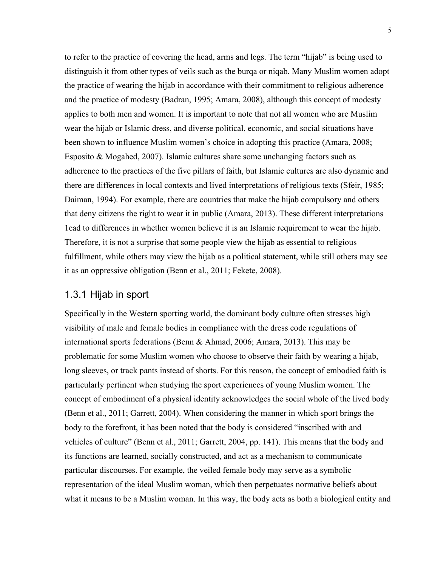to refer to the practice of covering the head, arms and legs. The term "hijab" is being used to distinguish it from other types of veils such as the burqa or niqab. Many Muslim women adopt the practice of wearing the hijab in accordance with their commitment to religious adherence and the practice of modesty (Badran, 1995; Amara, 2008), although this concept of modesty applies to both men and women. It is important to note that not all women who are Muslim wear the hijab or Islamic dress, and diverse political, economic, and social situations have been shown to influence Muslim women's choice in adopting this practice (Amara, 2008; Esposito & Mogahed, 2007). Islamic cultures share some unchanging factors such as adherence to the practices of the five pillars of faith, but Islamic cultures are also dynamic and there are differences in local contexts and lived interpretations of religious texts (Sfeir, 1985; Daiman, 1994). For example, there are countries that make the hijab compulsory and others that deny citizens the right to wear it in public (Amara, 2013). These different interpretations 1ead to differences in whether women believe it is an Islamic requirement to wear the hijab. Therefore, it is not a surprise that some people view the hijab as essential to religious fulfillment, while others may view the hijab as a political statement, while still others may see it as an oppressive obligation (Benn et al., 2011; Fekete, 2008).

#### 1.3.1 Hijab in sport

Specifically in the Western sporting world, the dominant body culture often stresses high visibility of male and female bodies in compliance with the dress code regulations of international sports federations (Benn & Ahmad, 2006; Amara, 2013). This may be problematic for some Muslim women who choose to observe their faith by wearing a hijab, long sleeves, or track pants instead of shorts. For this reason, the concept of embodied faith is particularly pertinent when studying the sport experiences of young Muslim women. The concept of embodiment of a physical identity acknowledges the social whole of the lived body (Benn et al., 2011; Garrett, 2004). When considering the manner in which sport brings the body to the forefront, it has been noted that the body is considered "inscribed with and vehicles of culture" (Benn et al., 2011; Garrett, 2004, pp. 141). This means that the body and its functions are learned, socially constructed, and act as a mechanism to communicate particular discourses. For example, the veiled female body may serve as a symbolic representation of the ideal Muslim woman, which then perpetuates normative beliefs about what it means to be a Muslim woman. In this way, the body acts as both a biological entity and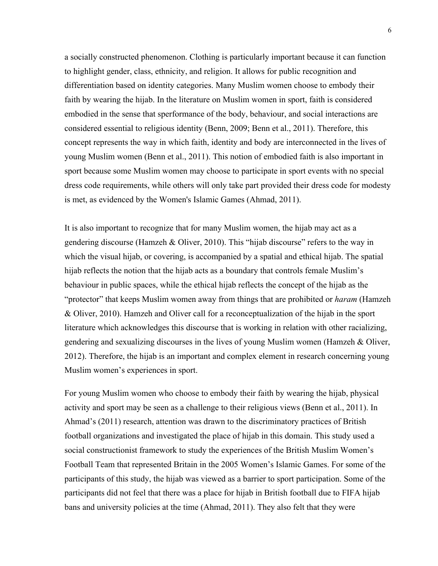a socially constructed phenomenon. Clothing is particularly important because it can function to highlight gender, class, ethnicity, and religion. It allows for public recognition and differentiation based on identity categories. Many Muslim women choose to embody their faith by wearing the hijab. In the literature on Muslim women in sport, faith is considered embodied in the sense that sperformance of the body, behaviour, and social interactions are considered essential to religious identity (Benn, 2009; Benn et al., 2011). Therefore, this concept represents the way in which faith, identity and body are interconnected in the lives of young Muslim women (Benn et al., 2011). This notion of embodied faith is also important in sport because some Muslim women may choose to participate in sport events with no special dress code requirements, while others will only take part provided their dress code for modesty is met, as evidenced by the Women's Islamic Games (Ahmad, 2011).

It is also important to recognize that for many Muslim women, the hijab may act as a gendering discourse (Hamzeh & Oliver, 2010). This "hijab discourse" refers to the way in which the visual hijab, or covering, is accompanied by a spatial and ethical hijab. The spatial hijab reflects the notion that the hijab acts as a boundary that controls female Muslim's behaviour in public spaces, while the ethical hijab reflects the concept of the hijab as the "protector" that keeps Muslim women away from things that are prohibited or *haram* (Hamzeh & Oliver, 2010). Hamzeh and Oliver call for a reconceptualization of the hijab in the sport literature which acknowledges this discourse that is working in relation with other racializing, gendering and sexualizing discourses in the lives of young Muslim women (Hamzeh & Oliver, 2012). Therefore, the hijab is an important and complex element in research concerning young Muslim women's experiences in sport.

For young Muslim women who choose to embody their faith by wearing the hijab, physical activity and sport may be seen as a challenge to their religious views (Benn et al., 2011). In Ahmad's (2011) research, attention was drawn to the discriminatory practices of British football organizations and investigated the place of hijab in this domain. This study used a social constructionist framework to study the experiences of the British Muslim Women's Football Team that represented Britain in the 2005 Women's Islamic Games. For some of the participants of this study, the hijab was viewed as a barrier to sport participation. Some of the participants did not feel that there was a place for hijab in British football due to FIFA hijab bans and university policies at the time (Ahmad, 2011). They also felt that they were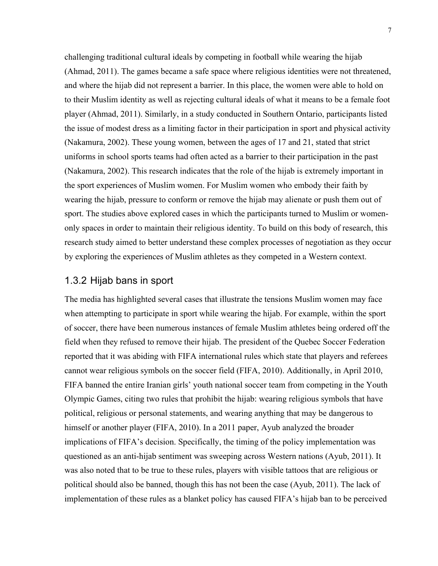challenging traditional cultural ideals by competing in football while wearing the hijab (Ahmad, 2011). The games became a safe space where religious identities were not threatened, and where the hijab did not represent a barrier. In this place, the women were able to hold on to their Muslim identity as well as rejecting cultural ideals of what it means to be a female foot player (Ahmad, 2011). Similarly, in a study conducted in Southern Ontario, participants listed the issue of modest dress as a limiting factor in their participation in sport and physical activity (Nakamura, 2002). These young women, between the ages of 17 and 21, stated that strict uniforms in school sports teams had often acted as a barrier to their participation in the past (Nakamura, 2002). This research indicates that the role of the hijab is extremely important in the sport experiences of Muslim women. For Muslim women who embody their faith by wearing the hijab, pressure to conform or remove the hijab may alienate or push them out of sport. The studies above explored cases in which the participants turned to Muslim or womenonly spaces in order to maintain their religious identity. To build on this body of research, this research study aimed to better understand these complex processes of negotiation as they occur by exploring the experiences of Muslim athletes as they competed in a Western context.

#### 1.3.2 Hijab bans in sport

The media has highlighted several cases that illustrate the tensions Muslim women may face when attempting to participate in sport while wearing the hijab. For example, within the sport of soccer, there have been numerous instances of female Muslim athletes being ordered off the field when they refused to remove their hijab. The president of the Quebec Soccer Federation reported that it was abiding with FIFA international rules which state that players and referees cannot wear religious symbols on the soccer field (FIFA, 2010). Additionally, in April 2010, FIFA banned the entire Iranian girls' youth national soccer team from competing in the Youth Olympic Games, citing two rules that prohibit the hijab: wearing religious symbols that have political, religious or personal statements, and wearing anything that may be dangerous to himself or another player (FIFA, 2010). In a 2011 paper, Ayub analyzed the broader implications of FIFA's decision. Specifically, the timing of the policy implementation was questioned as an anti-hijab sentiment was sweeping across Western nations (Ayub, 2011). It was also noted that to be true to these rules, players with visible tattoos that are religious or political should also be banned, though this has not been the case (Ayub, 2011). The lack of implementation of these rules as a blanket policy has caused FIFA's hijab ban to be perceived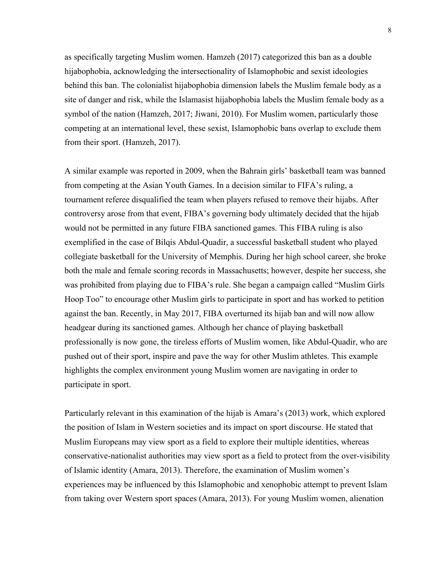as specifically targeting Muslim women. Hamzeh (2017) categorized this ban as a double hijabophobia, acknowledging the intersectionality of Islamophobic and sexist ideologies behind this ban. The colonialist hijabophobia dimension labels the Muslim female body as a site of danger and risk, while the Islamasist hijabophobia labels the Muslim female body as a symbol of the nation (Hamzeh, 2017; Jiwani, 2010). For Muslim women, particularly those competing at an international level, these sexist, Islamophobic bans overlap to exclude them from their sport. (Hamzeh, 2017).

A similar example was reported in 2009, when the Bahrain girls' basketball team was banned from competing at the Asian Youth Games. In a decision similar to FIFA's ruling, a tournament referee disqualified the team when players refused to remove their hijabs. After controversy arose from that event, FIBA's governing body ultimately decided that the hijab would not be permitted in any future FIBA sanctioned games. This FIBA ruling is also exemplified in the case of Bilqis Abdul-Quadir, a successful basketball student who played collegiate basketball for the University of Memphis. During her high school career, she broke both the male and female scoring records in Massachusetts; however, despite her success, she was prohibited from playing due to FIBA's rule. She began a campaign called "Muslim Girls Hoop Too" to encourage other Muslim girls to participate in sport and has worked to petition against the ban. Recently, in May 2017, FIBA overturned its hijab ban and will now allow headgear during its sanctioned games. Although her chance of playing basketball professionally is now gone, the tireless efforts of Muslim women, like Abdul-Quadir, who are pushed out of their sport, inspire and pave the way for other Muslim athletes. This example highlights the complex environment young Muslim women are navigating in order to participate in sport.

Particularly relevant in this examination of the hijab is Amara's (2013) work, which explored the position of Islam in Western societies and its impact on sport discourse. He stated that Muslim Europeans may view sport as a field to explore their multiple identities, whereas conservative-nationalist authorities may view sport as a field to protect from the over-visibility of Islamic identity (Amara, 2013). Therefore, the examination of Muslim women's experiences may be influenced by this Islamophobic and xenophobic attempt to prevent Islam from taking over Western sport spaces (Amara, 2013). For young Muslim women, alienation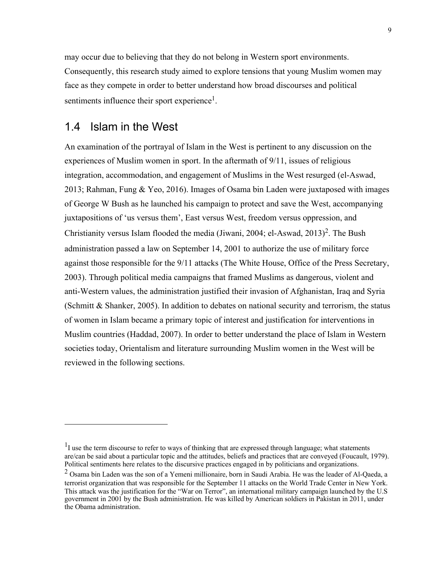may occur due to believing that they do not belong in Western sport environments. Consequently, this research study aimed to explore tensions that young Muslim women may face as they compete in order to better understand how broad discourses and political sentiments influence their sport experience<sup>1</sup>.

### 1.4 Islam in the West

1

An examination of the portrayal of Islam in the West is pertinent to any discussion on the experiences of Muslim women in sport. In the aftermath of 9/11, issues of religious integration, accommodation, and engagement of Muslims in the West resurged (el-Aswad, 2013; Rahman, Fung & Yeo, 2016). Images of Osama bin Laden were juxtaposed with images of George W Bush as he launched his campaign to protect and save the West, accompanying juxtapositions of 'us versus them', East versus West, freedom versus oppression, and Christianity versus Islam flooded the media (Jiwani, 2004; el-Aswad, 2013)<sup>2</sup>. The Bush administration passed a law on September 14, 2001 to authorize the use of military force against those responsible for the 9/11 attacks (The White House, Office of the Press Secretary, 2003). Through political media campaigns that framed Muslims as dangerous, violent and anti-Western values, the administration justified their invasion of Afghanistan, Iraq and Syria (Schmitt  $\&$  Shanker, 2005). In addition to debates on national security and terrorism, the status of women in Islam became a primary topic of interest and justification for interventions in Muslim countries (Haddad, 2007). In order to better understand the place of Islam in Western societies today, Orientalism and literature surrounding Muslim women in the West will be reviewed in the following sections.

 $<sup>1</sup>I$  use the term discourse to refer to ways of thinking that are expressed through language; what statements</sup> are/can be said about a particular topic and the attitudes, beliefs and practices that are conveyed (Foucault, 1979). Political sentiments here relates to the discursive practices engaged in by politicians and organizations.

 $2$  Osama bin Laden was the son of a Yemeni millionaire, born in Saudi Arabia. He was the leader of Al-Qaeda, a terrorist organization that was responsible for the September 11 attacks on the World Trade Center in New York. This attack was the justification for the "War on Terror", an international military campaign launched by the U.S government in 2001 by the Bush administration. He was killed by American soldiers in Pakistan in 2011, under the Obama administration.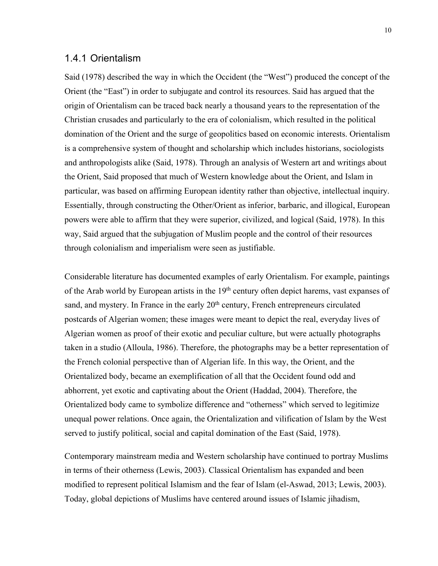#### 1.4.1 Orientalism

Said (1978) described the way in which the Occident (the "West") produced the concept of the Orient (the "East") in order to subjugate and control its resources. Said has argued that the origin of Orientalism can be traced back nearly a thousand years to the representation of the Christian crusades and particularly to the era of colonialism, which resulted in the political domination of the Orient and the surge of geopolitics based on economic interests. Orientalism is a comprehensive system of thought and scholarship which includes historians, sociologists and anthropologists alike (Said, 1978). Through an analysis of Western art and writings about the Orient, Said proposed that much of Western knowledge about the Orient, and Islam in particular, was based on affirming European identity rather than objective, intellectual inquiry. Essentially, through constructing the Other/Orient as inferior, barbaric, and illogical, European powers were able to affirm that they were superior, civilized, and logical (Said, 1978). In this way, Said argued that the subjugation of Muslim people and the control of their resources through colonialism and imperialism were seen as justifiable.

Considerable literature has documented examples of early Orientalism. For example, paintings of the Arab world by European artists in the 19<sup>th</sup> century often depict harems, vast expanses of sand, and mystery. In France in the early  $20<sup>th</sup>$  century, French entrepreneurs circulated postcards of Algerian women; these images were meant to depict the real, everyday lives of Algerian women as proof of their exotic and peculiar culture, but were actually photographs taken in a studio (Alloula, 1986). Therefore, the photographs may be a better representation of the French colonial perspective than of Algerian life. In this way, the Orient, and the Orientalized body, became an exemplification of all that the Occident found odd and abhorrent, yet exotic and captivating about the Orient (Haddad, 2004). Therefore, the Orientalized body came to symbolize difference and "otherness" which served to legitimize unequal power relations. Once again, the Orientalization and vilification of Islam by the West served to justify political, social and capital domination of the East (Said, 1978).

Contemporary mainstream media and Western scholarship have continued to portray Muslims in terms of their otherness (Lewis, 2003). Classical Orientalism has expanded and been modified to represent political Islamism and the fear of Islam (el-Aswad, 2013; Lewis, 2003). Today, global depictions of Muslims have centered around issues of Islamic jihadism,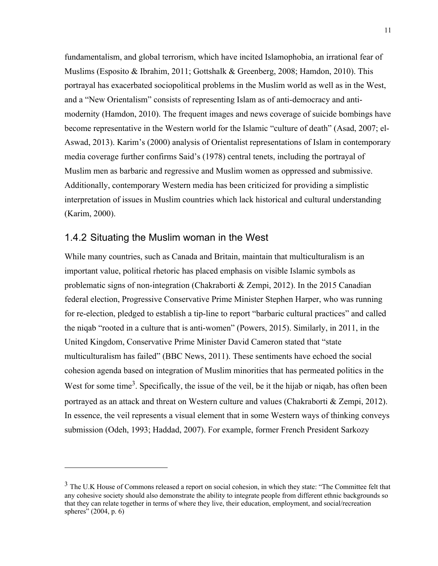fundamentalism, and global terrorism, which have incited Islamophobia, an irrational fear of Muslims (Esposito & Ibrahim, 2011; Gottshalk & Greenberg, 2008; Hamdon, 2010). This portrayal has exacerbated sociopolitical problems in the Muslim world as well as in the West, and a "New Orientalism" consists of representing Islam as of anti-democracy and antimodernity (Hamdon, 2010). The frequent images and news coverage of suicide bombings have become representative in the Western world for the Islamic "culture of death" (Asad, 2007; el-Aswad, 2013). Karim's (2000) analysis of Orientalist representations of Islam in contemporary media coverage further confirms Said's (1978) central tenets, including the portrayal of Muslim men as barbaric and regressive and Muslim women as oppressed and submissive. Additionally, contemporary Western media has been criticized for providing a simplistic interpretation of issues in Muslim countries which lack historical and cultural understanding (Karim, 2000).

#### 1.4.2 Situating the Muslim woman in the West

<u>.</u>

While many countries, such as Canada and Britain, maintain that multiculturalism is an important value, political rhetoric has placed emphasis on visible Islamic symbols as problematic signs of non-integration (Chakraborti & Zempi, 2012). In the 2015 Canadian federal election, Progressive Conservative Prime Minister Stephen Harper, who was running for re-election, pledged to establish a tip-line to report "barbaric cultural practices" and called the niqab "rooted in a culture that is anti-women" (Powers, 2015). Similarly, in 2011, in the United Kingdom, Conservative Prime Minister David Cameron stated that "state multiculturalism has failed" (BBC News, 2011). These sentiments have echoed the social cohesion agenda based on integration of Muslim minorities that has permeated politics in the West for some time<sup>3</sup>. Specifically, the issue of the veil, be it the hijab or niqab, has often been portrayed as an attack and threat on Western culture and values (Chakraborti & Zempi, 2012). In essence, the veil represents a visual element that in some Western ways of thinking conveys submission (Odeh, 1993; Haddad, 2007). For example, former French President Sarkozy

<sup>&</sup>lt;sup>3</sup> The U.K House of Commons released a report on social cohesion, in which they state: "The Committee felt that any cohesive society should also demonstrate the ability to integrate people from different ethnic backgrounds so that they can relate together in terms of where they live, their education, employment, and social/recreation spheres" (2004, p. 6)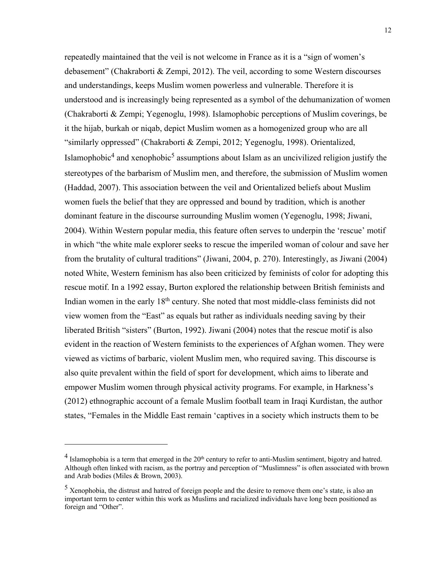repeatedly maintained that the veil is not welcome in France as it is a "sign of women's debasement" (Chakraborti & Zempi, 2012). The veil, according to some Western discourses and understandings, keeps Muslim women powerless and vulnerable. Therefore it is understood and is increasingly being represented as a symbol of the dehumanization of women (Chakraborti & Zempi; Yegenoglu, 1998). Islamophobic perceptions of Muslim coverings, be it the hijab, burkah or niqab, depict Muslim women as a homogenized group who are all "similarly oppressed" (Chakraborti & Zempi, 2012; Yegenoglu, 1998). Orientalized, Islamophobic<sup>4</sup> and xenophobic<sup>5</sup> assumptions about Islam as an uncivilized religion justify the stereotypes of the barbarism of Muslim men, and therefore, the submission of Muslim women (Haddad, 2007). This association between the veil and Orientalized beliefs about Muslim women fuels the belief that they are oppressed and bound by tradition, which is another dominant feature in the discourse surrounding Muslim women (Yegenoglu, 1998; Jiwani, 2004). Within Western popular media, this feature often serves to underpin the 'rescue' motif in which "the white male explorer seeks to rescue the imperiled woman of colour and save her from the brutality of cultural traditions" (Jiwani, 2004, p. 270). Interestingly, as Jiwani (2004) noted White, Western feminism has also been criticized by feminists of color for adopting this rescue motif. In a 1992 essay, Burton explored the relationship between British feminists and Indian women in the early 18th century. She noted that most middle-class feminists did not view women from the "East" as equals but rather as individuals needing saving by their liberated British "sisters" (Burton, 1992). Jiwani (2004) notes that the rescue motif is also evident in the reaction of Western feminists to the experiences of Afghan women. They were viewed as victims of barbaric, violent Muslim men, who required saving. This discourse is also quite prevalent within the field of sport for development, which aims to liberate and empower Muslim women through physical activity programs. For example, in Harkness's (2012) ethnographic account of a female Muslim football team in Iraqi Kurdistan, the author states, "Females in the Middle East remain 'captives in a society which instructs them to be

<u>.</u>

 $4$  Islamophobia is a term that emerged in the  $20<sup>th</sup>$  century to refer to anti-Muslim sentiment, bigotry and hatred. Although often linked with racism, as the portray and perception of "Muslimness" is often associated with brown and Arab bodies (Miles & Brown, 2003).

<sup>&</sup>lt;sup>5</sup> Xenophobia, the distrust and hatred of foreign people and the desire to remove them one's state, is also an important term to center within this work as Muslims and racialized individuals have long been positioned as foreign and "Other".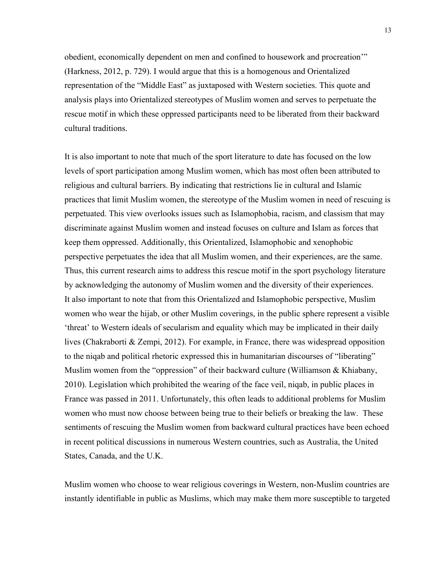obedient, economically dependent on men and confined to housework and procreation'" (Harkness, 2012, p. 729). I would argue that this is a homogenous and Orientalized representation of the "Middle East" as juxtaposed with Western societies. This quote and analysis plays into Orientalized stereotypes of Muslim women and serves to perpetuate the rescue motif in which these oppressed participants need to be liberated from their backward cultural traditions.

It is also important to note that much of the sport literature to date has focused on the low levels of sport participation among Muslim women, which has most often been attributed to religious and cultural barriers. By indicating that restrictions lie in cultural and Islamic practices that limit Muslim women, the stereotype of the Muslim women in need of rescuing is perpetuated. This view overlooks issues such as Islamophobia, racism, and classism that may discriminate against Muslim women and instead focuses on culture and Islam as forces that keep them oppressed. Additionally, this Orientalized, Islamophobic and xenophobic perspective perpetuates the idea that all Muslim women, and their experiences, are the same. Thus, this current research aims to address this rescue motif in the sport psychology literature by acknowledging the autonomy of Muslim women and the diversity of their experiences. It also important to note that from this Orientalized and Islamophobic perspective, Muslim women who wear the hijab, or other Muslim coverings, in the public sphere represent a visible 'threat' to Western ideals of secularism and equality which may be implicated in their daily lives (Chakraborti & Zempi, 2012). For example, in France, there was widespread opposition to the niqab and political rhetoric expressed this in humanitarian discourses of "liberating" Muslim women from the "oppression" of their backward culture (Williamson & Khiabany, 2010). Legislation which prohibited the wearing of the face veil, niqab, in public places in France was passed in 2011. Unfortunately, this often leads to additional problems for Muslim women who must now choose between being true to their beliefs or breaking the law.These sentiments of rescuing the Muslim women from backward cultural practices have been echoed in recent political discussions in numerous Western countries, such as Australia, the United States, Canada, and the U.K.

Muslim women who choose to wear religious coverings in Western, non-Muslim countries are instantly identifiable in public as Muslims, which may make them more susceptible to targeted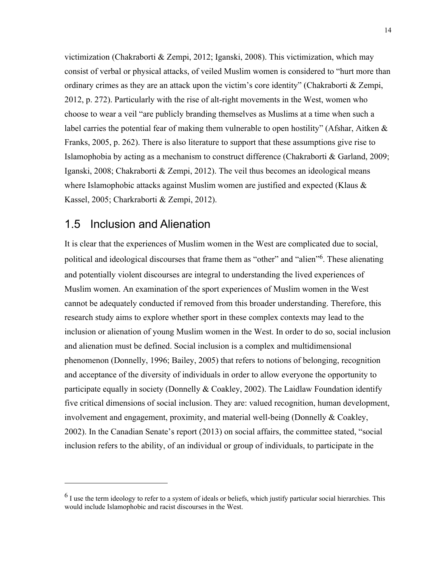victimization (Chakraborti & Zempi, 2012; Iganski, 2008). This victimization, which may consist of verbal or physical attacks, of veiled Muslim women is considered to "hurt more than ordinary crimes as they are an attack upon the victim's core identity" (Chakraborti & Zempi, 2012, p. 272). Particularly with the rise of alt-right movements in the West, women who choose to wear a veil "are publicly branding themselves as Muslims at a time when such a label carries the potential fear of making them vulnerable to open hostility" (Afshar, Aitken & Franks, 2005, p. 262). There is also literature to support that these assumptions give rise to Islamophobia by acting as a mechanism to construct difference (Chakraborti & Garland, 2009; Iganski, 2008; Chakraborti & Zempi, 2012). The veil thus becomes an ideological means where Islamophobic attacks against Muslim women are justified and expected (Klaus  $\&$ Kassel, 2005; Charkraborti & Zempi, 2012).

### 1.5 Inclusion and Alienation

<u>.</u>

It is clear that the experiences of Muslim women in the West are complicated due to social, political and ideological discourses that frame them as "other" and "alien"<sup>6</sup>. These alienating and potentially violent discourses are integral to understanding the lived experiences of Muslim women. An examination of the sport experiences of Muslim women in the West cannot be adequately conducted if removed from this broader understanding. Therefore, this research study aims to explore whether sport in these complex contexts may lead to the inclusion or alienation of young Muslim women in the West. In order to do so, social inclusion and alienation must be defined. Social inclusion is a complex and multidimensional phenomenon (Donnelly, 1996; Bailey, 2005) that refers to notions of belonging, recognition and acceptance of the diversity of individuals in order to allow everyone the opportunity to participate equally in society (Donnelly & Coakley, 2002). The Laidlaw Foundation identify five critical dimensions of social inclusion. They are: valued recognition, human development, involvement and engagement, proximity, and material well-being (Donnelly & Coakley, 2002). In the Canadian Senate's report (2013) on social affairs, the committee stated, "social inclusion refers to the ability, of an individual or group of individuals, to participate in the

 $<sup>6</sup>$  I use the term ideology to refer to a system of ideals or beliefs, which justify particular social hierarchies. This</sup> would include Islamophobic and racist discourses in the West.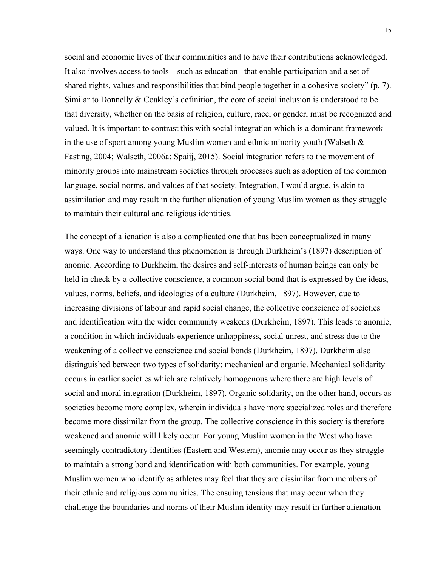social and economic lives of their communities and to have their contributions acknowledged. It also involves access to tools – such as education –that enable participation and a set of shared rights, values and responsibilities that bind people together in a cohesive society" (p. 7). Similar to Donnelly & Coakley's definition, the core of social inclusion is understood to be that diversity, whether on the basis of religion, culture, race, or gender, must be recognized and valued. It is important to contrast this with social integration which is a dominant framework in the use of sport among young Muslim women and ethnic minority youth (Walseth  $\&$ Fasting, 2004; Walseth, 2006a; Spaiij, 2015). Social integration refers to the movement of minority groups into mainstream societies through processes such as adoption of the common language, social norms, and values of that society. Integration, I would argue, is akin to assimilation and may result in the further alienation of young Muslim women as they struggle to maintain their cultural and religious identities.

The concept of alienation is also a complicated one that has been conceptualized in many ways. One way to understand this phenomenon is through Durkheim's (1897) description of anomie. According to Durkheim, the desires and self-interests of human beings can only be held in check by a collective conscience, a common social bond that is expressed by the ideas, values, norms, beliefs, and ideologies of a culture (Durkheim, 1897). However, due to increasing divisions of labour and rapid social change, the collective conscience of societies and identification with the wider community weakens (Durkheim, 1897). This leads to anomie, a condition in which individuals experience unhappiness, social unrest, and stress due to the weakening of a collective conscience and social bonds (Durkheim, 1897). Durkheim also distinguished between two types of solidarity: mechanical and organic. Mechanical solidarity occurs in earlier societies which are relatively homogenous where there are high levels of social and moral integration (Durkheim, 1897). Organic solidarity, on the other hand, occurs as societies become more complex, wherein individuals have more specialized roles and therefore become more dissimilar from the group. The collective conscience in this society is therefore weakened and anomie will likely occur. For young Muslim women in the West who have seemingly contradictory identities (Eastern and Western), anomie may occur as they struggle to maintain a strong bond and identification with both communities. For example, young Muslim women who identify as athletes may feel that they are dissimilar from members of their ethnic and religious communities. The ensuing tensions that may occur when they challenge the boundaries and norms of their Muslim identity may result in further alienation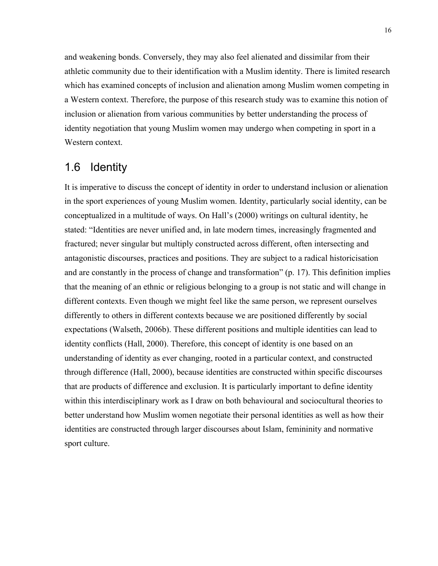and weakening bonds. Conversely, they may also feel alienated and dissimilar from their athletic community due to their identification with a Muslim identity. There is limited research which has examined concepts of inclusion and alienation among Muslim women competing in a Western context. Therefore, the purpose of this research study was to examine this notion of inclusion or alienation from various communities by better understanding the process of identity negotiation that young Muslim women may undergo when competing in sport in a Western context.

## 1.6 Identity

It is imperative to discuss the concept of identity in order to understand inclusion or alienation in the sport experiences of young Muslim women. Identity, particularly social identity, can be conceptualized in a multitude of ways. On Hall's (2000) writings on cultural identity, he stated: "Identities are never unified and, in late modern times, increasingly fragmented and fractured; never singular but multiply constructed across different, often intersecting and antagonistic discourses, practices and positions. They are subject to a radical historicisation and are constantly in the process of change and transformation" (p. 17). This definition implies that the meaning of an ethnic or religious belonging to a group is not static and will change in different contexts. Even though we might feel like the same person, we represent ourselves differently to others in different contexts because we are positioned differently by social expectations (Walseth, 2006b). These different positions and multiple identities can lead to identity conflicts (Hall, 2000). Therefore, this concept of identity is one based on an understanding of identity as ever changing, rooted in a particular context, and constructed through difference (Hall, 2000), because identities are constructed within specific discourses that are products of difference and exclusion. It is particularly important to define identity within this interdisciplinary work as I draw on both behavioural and sociocultural theories to better understand how Muslim women negotiate their personal identities as well as how their identities are constructed through larger discourses about Islam, femininity and normative sport culture.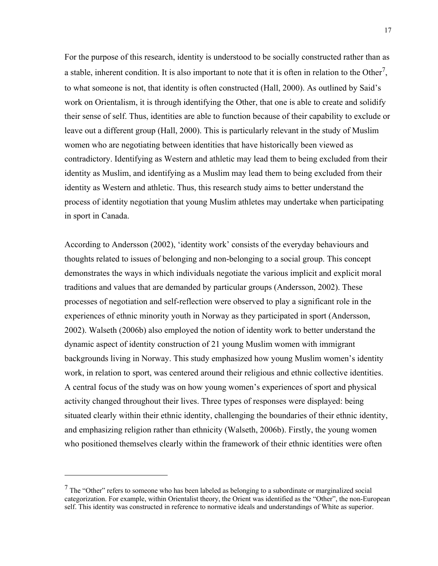For the purpose of this research, identity is understood to be socially constructed rather than as a stable, inherent condition. It is also important to note that it is often in relation to the Other<sup>7</sup>, to what someone is not, that identity is often constructed (Hall, 2000). As outlined by Said's work on Orientalism, it is through identifying the Other, that one is able to create and solidify their sense of self. Thus, identities are able to function because of their capability to exclude or leave out a different group (Hall, 2000). This is particularly relevant in the study of Muslim women who are negotiating between identities that have historically been viewed as contradictory. Identifying as Western and athletic may lead them to being excluded from their identity as Muslim, and identifying as a Muslim may lead them to being excluded from their identity as Western and athletic. Thus, this research study aims to better understand the process of identity negotiation that young Muslim athletes may undertake when participating in sport in Canada.

According to Andersson (2002), 'identity work' consists of the everyday behaviours and thoughts related to issues of belonging and non-belonging to a social group. This concept demonstrates the ways in which individuals negotiate the various implicit and explicit moral traditions and values that are demanded by particular groups (Andersson, 2002). These processes of negotiation and self-reflection were observed to play a significant role in the experiences of ethnic minority youth in Norway as they participated in sport (Andersson, 2002). Walseth (2006b) also employed the notion of identity work to better understand the dynamic aspect of identity construction of 21 young Muslim women with immigrant backgrounds living in Norway. This study emphasized how young Muslim women's identity work, in relation to sport, was centered around their religious and ethnic collective identities. A central focus of the study was on how young women's experiences of sport and physical activity changed throughout their lives. Three types of responses were displayed: being situated clearly within their ethnic identity, challenging the boundaries of their ethnic identity, and emphasizing religion rather than ethnicity (Walseth, 2006b). Firstly, the young women who positioned themselves clearly within the framework of their ethnic identities were often

1

 $<sup>7</sup>$  The "Other" refers to someone who has been labeled as belonging to a subordinate or marginalized social</sup> categorization. For example, within Orientalist theory, the Orient was identified as the "Other", the non-European self. This identity was constructed in reference to normative ideals and understandings of White as superior.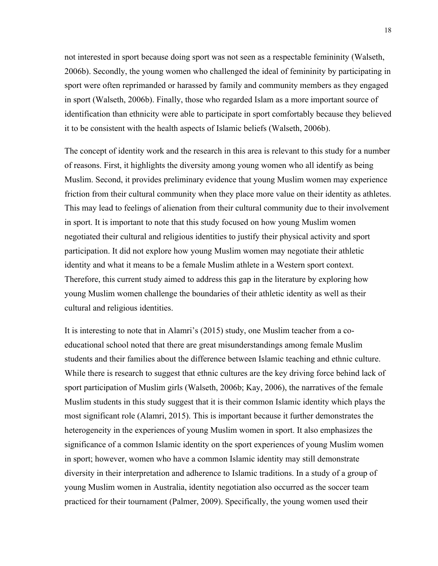not interested in sport because doing sport was not seen as a respectable femininity (Walseth, 2006b). Secondly, the young women who challenged the ideal of femininity by participating in sport were often reprimanded or harassed by family and community members as they engaged in sport (Walseth, 2006b). Finally, those who regarded Islam as a more important source of identification than ethnicity were able to participate in sport comfortably because they believed it to be consistent with the health aspects of Islamic beliefs (Walseth, 2006b).

The concept of identity work and the research in this area is relevant to this study for a number of reasons. First, it highlights the diversity among young women who all identify as being Muslim. Second, it provides preliminary evidence that young Muslim women may experience friction from their cultural community when they place more value on their identity as athletes. This may lead to feelings of alienation from their cultural community due to their involvement in sport. It is important to note that this study focused on how young Muslim women negotiated their cultural and religious identities to justify their physical activity and sport participation. It did not explore how young Muslim women may negotiate their athletic identity and what it means to be a female Muslim athlete in a Western sport context. Therefore, this current study aimed to address this gap in the literature by exploring how young Muslim women challenge the boundaries of their athletic identity as well as their cultural and religious identities.

It is interesting to note that in Alamri's (2015) study, one Muslim teacher from a coeducational school noted that there are great misunderstandings among female Muslim students and their families about the difference between Islamic teaching and ethnic culture. While there is research to suggest that ethnic cultures are the key driving force behind lack of sport participation of Muslim girls (Walseth, 2006b; Kay, 2006), the narratives of the female Muslim students in this study suggest that it is their common Islamic identity which plays the most significant role (Alamri, 2015). This is important because it further demonstrates the heterogeneity in the experiences of young Muslim women in sport. It also emphasizes the significance of a common Islamic identity on the sport experiences of young Muslim women in sport; however, women who have a common Islamic identity may still demonstrate diversity in their interpretation and adherence to Islamic traditions. In a study of a group of young Muslim women in Australia, identity negotiation also occurred as the soccer team practiced for their tournament (Palmer, 2009). Specifically, the young women used their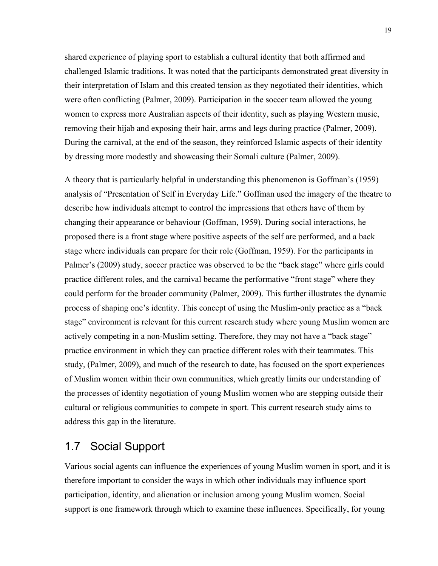shared experience of playing sport to establish a cultural identity that both affirmed and challenged Islamic traditions. It was noted that the participants demonstrated great diversity in their interpretation of Islam and this created tension as they negotiated their identities, which were often conflicting (Palmer, 2009). Participation in the soccer team allowed the young women to express more Australian aspects of their identity, such as playing Western music, removing their hijab and exposing their hair, arms and legs during practice (Palmer, 2009). During the carnival, at the end of the season, they reinforced Islamic aspects of their identity by dressing more modestly and showcasing their Somali culture (Palmer, 2009).

A theory that is particularly helpful in understanding this phenomenon is Goffman's (1959) analysis of "Presentation of Self in Everyday Life." Goffman used the imagery of the theatre to describe how individuals attempt to control the impressions that others have of them by changing their appearance or behaviour (Goffman, 1959). During social interactions, he proposed there is a front stage where positive aspects of the self are performed, and a back stage where individuals can prepare for their role (Goffman, 1959). For the participants in Palmer's (2009) study, soccer practice was observed to be the "back stage" where girls could practice different roles, and the carnival became the performative "front stage" where they could perform for the broader community (Palmer, 2009). This further illustrates the dynamic process of shaping one's identity. This concept of using the Muslim-only practice as a "back stage" environment is relevant for this current research study where young Muslim women are actively competing in a non-Muslim setting. Therefore, they may not have a "back stage" practice environment in which they can practice different roles with their teammates. This study, (Palmer, 2009), and much of the research to date, has focused on the sport experiences of Muslim women within their own communities, which greatly limits our understanding of the processes of identity negotiation of young Muslim women who are stepping outside their cultural or religious communities to compete in sport. This current research study aims to address this gap in the literature.

## 1.7 Social Support

Various social agents can influence the experiences of young Muslim women in sport, and it is therefore important to consider the ways in which other individuals may influence sport participation, identity, and alienation or inclusion among young Muslim women. Social support is one framework through which to examine these influences. Specifically, for young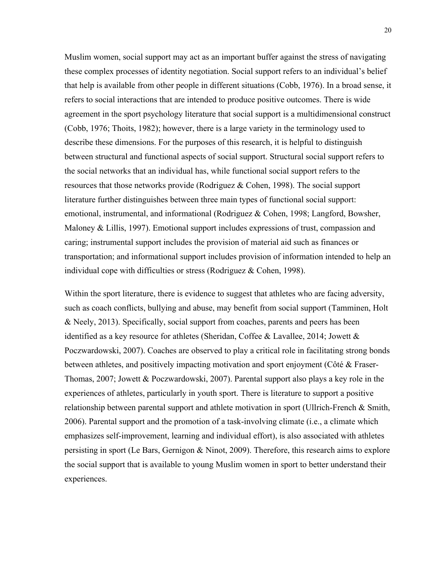Muslim women, social support may act as an important buffer against the stress of navigating these complex processes of identity negotiation. Social support refers to an individual's belief that help is available from other people in different situations (Cobb, 1976). In a broad sense, it refers to social interactions that are intended to produce positive outcomes. There is wide agreement in the sport psychology literature that social support is a multidimensional construct (Cobb, 1976; Thoits, 1982); however, there is a large variety in the terminology used to describe these dimensions. For the purposes of this research, it is helpful to distinguish between structural and functional aspects of social support. Structural social support refers to the social networks that an individual has, while functional social support refers to the resources that those networks provide (Rodriguez & Cohen, 1998). The social support literature further distinguishes between three main types of functional social support: emotional, instrumental, and informational (Rodriguez & Cohen, 1998; Langford, Bowsher, Maloney & Lillis, 1997). Emotional support includes expressions of trust, compassion and caring; instrumental support includes the provision of material aid such as finances or transportation; and informational support includes provision of information intended to help an individual cope with difficulties or stress (Rodriguez & Cohen, 1998).

Within the sport literature, there is evidence to suggest that athletes who are facing adversity, such as coach conflicts, bullying and abuse, may benefit from social support (Tamminen, Holt & Neely, 2013). Specifically, social support from coaches, parents and peers has been identified as a key resource for athletes (Sheridan, Coffee & Lavallee, 2014; Jowett & Poczwardowski, 2007). Coaches are observed to play a critical role in facilitating strong bonds between athletes, and positively impacting motivation and sport enjoyment (Côté & Fraser-Thomas, 2007; Jowett & Poczwardowski, 2007). Parental support also plays a key role in the experiences of athletes, particularly in youth sport. There is literature to support a positive relationship between parental support and athlete motivation in sport (Ullrich-French & Smith, 2006). Parental support and the promotion of a task-involving climate (i.e., a climate which emphasizes self-improvement, learning and individual effort), is also associated with athletes persisting in sport (Le Bars, Gernigon & Ninot, 2009). Therefore, this research aims to explore the social support that is available to young Muslim women in sport to better understand their experiences.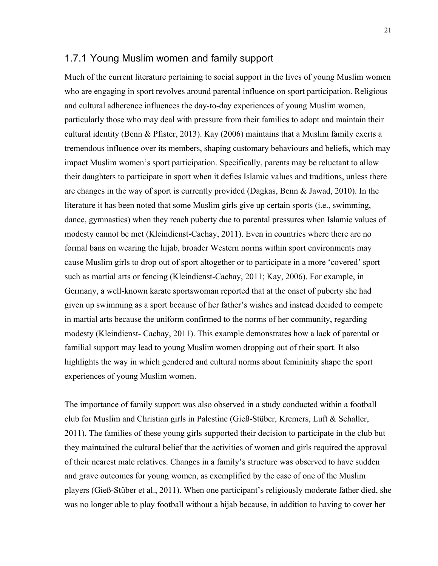### 1.7.1 Young Muslim women and family support

Much of the current literature pertaining to social support in the lives of young Muslim women who are engaging in sport revolves around parental influence on sport participation. Religious and cultural adherence influences the day-to-day experiences of young Muslim women, particularly those who may deal with pressure from their families to adopt and maintain their cultural identity (Benn & Pfister, 2013). Kay (2006) maintains that a Muslim family exerts a tremendous influence over its members, shaping customary behaviours and beliefs, which may impact Muslim women's sport participation. Specifically, parents may be reluctant to allow their daughters to participate in sport when it defies Islamic values and traditions, unless there are changes in the way of sport is currently provided (Dagkas, Benn & Jawad, 2010). In the literature it has been noted that some Muslim girls give up certain sports (i.e., swimming, dance, gymnastics) when they reach puberty due to parental pressures when Islamic values of modesty cannot be met (Kleindienst-Cachay, 2011). Even in countries where there are no formal bans on wearing the hijab, broader Western norms within sport environments may cause Muslim girls to drop out of sport altogether or to participate in a more 'covered' sport such as martial arts or fencing (Kleindienst-Cachay, 2011; Kay, 2006). For example, in Germany, a well-known karate sportswoman reported that at the onset of puberty she had given up swimming as a sport because of her father's wishes and instead decided to compete in martial arts because the uniform confirmed to the norms of her community, regarding modesty (Kleindienst- Cachay, 2011). This example demonstrates how a lack of parental or familial support may lead to young Muslim women dropping out of their sport. It also highlights the way in which gendered and cultural norms about femininity shape the sport experiences of young Muslim women.

The importance of family support was also observed in a study conducted within a football club for Muslim and Christian girls in Palestine (Gieß-Stüber, Kremers, Luft & Schaller, 2011). The families of these young girls supported their decision to participate in the club but they maintained the cultural belief that the activities of women and girls required the approval of their nearest male relatives. Changes in a family's structure was observed to have sudden and grave outcomes for young women, as exemplified by the case of one of the Muslim players (Gieß-Stüber et al., 2011). When one participant's religiously moderate father died, she was no longer able to play football without a hijab because, in addition to having to cover her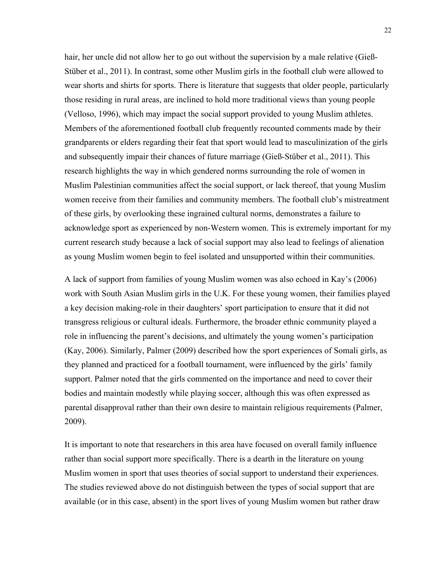hair, her uncle did not allow her to go out without the supervision by a male relative (Gieß-Stüber et al., 2011). In contrast, some other Muslim girls in the football club were allowed to wear shorts and shirts for sports. There is literature that suggests that older people, particularly those residing in rural areas, are inclined to hold more traditional views than young people (Velloso, 1996), which may impact the social support provided to young Muslim athletes. Members of the aforementioned football club frequently recounted comments made by their grandparents or elders regarding their feat that sport would lead to masculinization of the girls and subsequently impair their chances of future marriage (Gieß-Stüber et al., 2011). This research highlights the way in which gendered norms surrounding the role of women in Muslim Palestinian communities affect the social support, or lack thereof, that young Muslim women receive from their families and community members. The football club's mistreatment of these girls, by overlooking these ingrained cultural norms, demonstrates a failure to acknowledge sport as experienced by non-Western women. This is extremely important for my current research study because a lack of social support may also lead to feelings of alienation as young Muslim women begin to feel isolated and unsupported within their communities.

A lack of support from families of young Muslim women was also echoed in Kay's (2006) work with South Asian Muslim girls in the U.K. For these young women, their families played a key decision making-role in their daughters' sport participation to ensure that it did not transgress religious or cultural ideals. Furthermore, the broader ethnic community played a role in influencing the parent's decisions, and ultimately the young women's participation (Kay, 2006). Similarly, Palmer (2009) described how the sport experiences of Somali girls, as they planned and practiced for a football tournament, were influenced by the girls' family support. Palmer noted that the girls commented on the importance and need to cover their bodies and maintain modestly while playing soccer, although this was often expressed as parental disapproval rather than their own desire to maintain religious requirements (Palmer, 2009).

It is important to note that researchers in this area have focused on overall family influence rather than social support more specifically. There is a dearth in the literature on young Muslim women in sport that uses theories of social support to understand their experiences. The studies reviewed above do not distinguish between the types of social support that are available (or in this case, absent) in the sport lives of young Muslim women but rather draw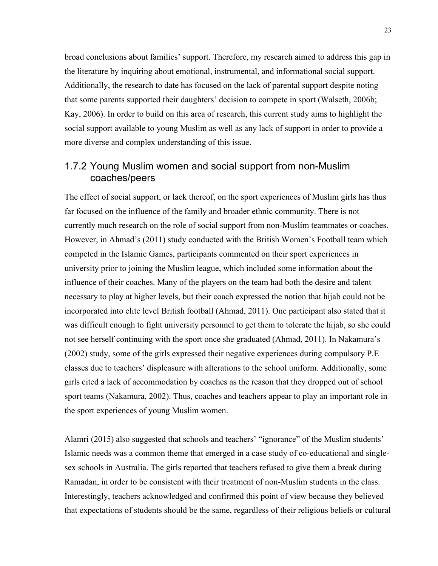broad conclusions about families' support. Therefore, my research aimed to address this gap in the literature by inquiring about emotional, instrumental, and informational social support. Additionally, the research to date has focused on the lack of parental support despite noting that some parents supported their daughters' decision to compete in sport (Walseth, 2006b; Kay, 2006). In order to build on this area of research, this current study aims to highlight the social support available to young Muslim as well as any lack of support in order to provide a more diverse and complex understanding of this issue.

### 1.7.2 Young Muslim women and social support from non-Muslim coaches/peers

The effect of social support, or lack thereof, on the sport experiences of Muslim girls has thus far focused on the influence of the family and broader ethnic community. There is not currently much research on the role of social support from non-Muslim teammates or coaches. However, in Ahmad's (2011) study conducted with the British Women's Football team which competed in the Islamic Games, participants commented on their sport experiences in university prior to joining the Muslim league, which included some information about the influence of their coaches. Many of the players on the team had both the desire and talent necessary to play at higher levels, but their coach expressed the notion that hijab could not be incorporated into elite level British football (Ahmad, 2011). One participant also stated that it was difficult enough to fight university personnel to get them to tolerate the hijab, so she could not see herself continuing with the sport once she graduated (Ahmad, 2011). In Nakamura's (2002) study, some of the girls expressed their negative experiences during compulsory P.E classes due to teachers' displeasure with alterations to the school uniform. Additionally, some girls cited a lack of accommodation by coaches as the reason that they dropped out of school sport teams (Nakamura, 2002). Thus, coaches and teachers appear to play an important role in the sport experiences of young Muslim women.

Alamri (2015) also suggested that schools and teachers' "ignorance" of the Muslim students' Islamic needs was a common theme that emerged in a case study of co-educational and singlesex schools in Australia. The girls reported that teachers refused to give them a break during Ramadan, in order to be consistent with their treatment of non-Muslim students in the class. Interestingly, teachers acknowledged and confirmed this point of view because they believed that expectations of students should be the same, regardless of their religious beliefs or cultural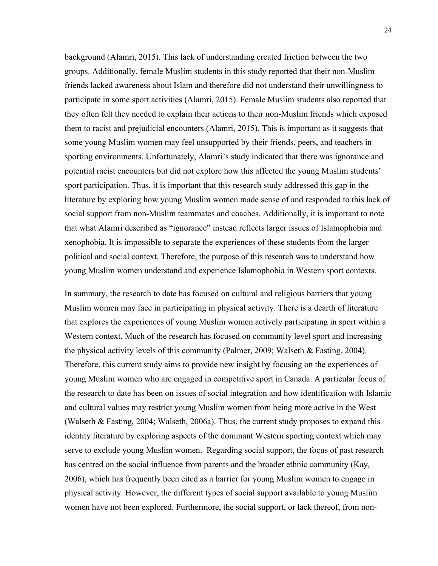background (Alamri, 2015). This lack of understanding created friction between the two groups. Additionally, female Muslim students in this study reported that their non-Muslim friends lacked awareness about Islam and therefore did not understand their unwillingness to participate in some sport activities (Alamri, 2015). Female Muslim students also reported that they often felt they needed to explain their actions to their non-Muslim friends which exposed them to racist and prejudicial encounters (Alamri, 2015). This is important as it suggests that some young Muslim women may feel unsupported by their friends, peers, and teachers in sporting environments. Unfortunately, Alamri's study indicated that there was ignorance and potential racist encounters but did not explore how this affected the young Muslim students' sport participation. Thus, it is important that this research study addressed this gap in the literature by exploring how young Muslim women made sense of and responded to this lack of social support from non-Muslim teammates and coaches. Additionally, it is important to note that what Alamri described as "ignorance" instead reflects larger issues of Islamophobia and xenophobia. It is impossible to separate the experiences of these students from the larger political and social context. Therefore, the purpose of this research was to understand how young Muslim women understand and experience Islamophobia in Western sport contexts.

In summary, the research to date has focused on cultural and religious barriers that young Muslim women may face in participating in physical activity. There is a dearth of literature that explores the experiences of young Muslim women actively participating in sport within a Western context. Much of the research has focused on community level sport and increasing the physical activity levels of this community (Palmer, 2009; Walseth & Fasting, 2004). Therefore, this current study aims to provide new insight by focusing on the experiences of young Muslim women who are engaged in competitive sport in Canada. A particular focus of the research to date has been on issues of social integration and how identification with Islamic and cultural values may restrict young Muslim women from being more active in the West (Walseth & Fasting, 2004; Walseth, 2006a). Thus, the current study proposes to expand this identity literature by exploring aspects of the dominant Western sporting context which may serve to exclude young Muslim women. Regarding social support, the focus of past research has centred on the social influence from parents and the broader ethnic community (Kay, 2006), which has frequently been cited as a barrier for young Muslim women to engage in physical activity. However, the different types of social support available to young Muslim women have not been explored. Furthermore, the social support, or lack thereof, from non-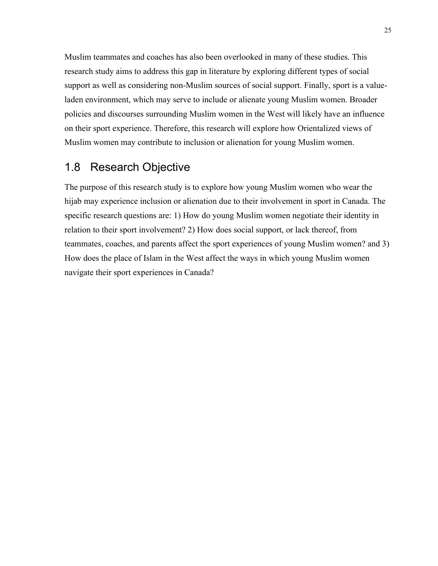Muslim teammates and coaches has also been overlooked in many of these studies. This research study aims to address this gap in literature by exploring different types of social support as well as considering non-Muslim sources of social support. Finally, sport is a valueladen environment, which may serve to include or alienate young Muslim women. Broader policies and discourses surrounding Muslim women in the West will likely have an influence on their sport experience. Therefore, this research will explore how Orientalized views of Muslim women may contribute to inclusion or alienation for young Muslim women.

# 1.8 Research Objective

The purpose of this research study is to explore how young Muslim women who wear the hijab may experience inclusion or alienation due to their involvement in sport in Canada. The specific research questions are: 1) How do young Muslim women negotiate their identity in relation to their sport involvement? 2) How does social support, or lack thereof, from teammates, coaches, and parents affect the sport experiences of young Muslim women? and 3) How does the place of Islam in the West affect the ways in which young Muslim women navigate their sport experiences in Canada?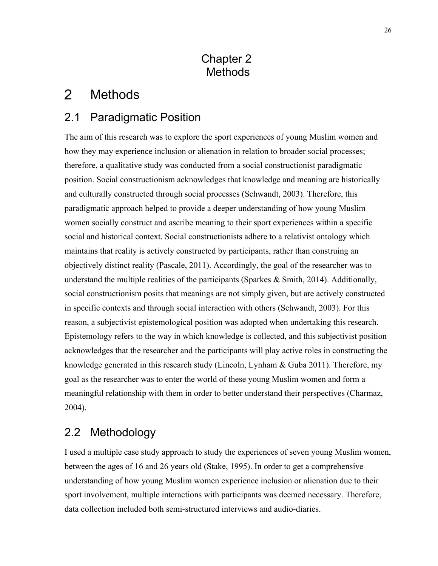# Chapter 2 Methods

#### $\overline{2}$ Methods

# 2.1 Paradigmatic Position

The aim of this research was to explore the sport experiences of young Muslim women and how they may experience inclusion or alienation in relation to broader social processes; therefore, a qualitative study was conducted from a social constructionist paradigmatic position. Social constructionism acknowledges that knowledge and meaning are historically and culturally constructed through social processes (Schwandt, 2003). Therefore, this paradigmatic approach helped to provide a deeper understanding of how young Muslim women socially construct and ascribe meaning to their sport experiences within a specific social and historical context. Social constructionists adhere to a relativist ontology which maintains that reality is actively constructed by participants, rather than construing an objectively distinct reality (Pascale, 2011). Accordingly, the goal of the researcher was to understand the multiple realities of the participants (Sparkes & Smith, 2014). Additionally, social constructionism posits that meanings are not simply given, but are actively constructed in specific contexts and through social interaction with others (Schwandt, 2003). For this reason, a subjectivist epistemological position was adopted when undertaking this research. Epistemology refers to the way in which knowledge is collected, and this subjectivist position acknowledges that the researcher and the participants will play active roles in constructing the knowledge generated in this research study (Lincoln, Lynham & Guba 2011). Therefore, my goal as the researcher was to enter the world of these young Muslim women and form a meaningful relationship with them in order to better understand their perspectives (Charmaz, 2004).

# 2.2 Methodology

I used a multiple case study approach to study the experiences of seven young Muslim women, between the ages of 16 and 26 years old (Stake, 1995). In order to get a comprehensive understanding of how young Muslim women experience inclusion or alienation due to their sport involvement, multiple interactions with participants was deemed necessary. Therefore, data collection included both semi-structured interviews and audio-diaries.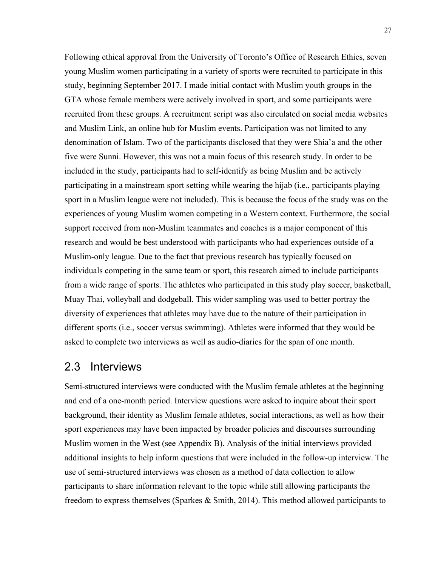Following ethical approval from the University of Toronto's Office of Research Ethics, seven young Muslim women participating in a variety of sports were recruited to participate in this study, beginning September 2017. I made initial contact with Muslim youth groups in the GTA whose female members were actively involved in sport, and some participants were recruited from these groups. A recruitment script was also circulated on social media websites and Muslim Link, an online hub for Muslim events. Participation was not limited to any denomination of Islam. Two of the participants disclosed that they were Shia'a and the other five were Sunni. However, this was not a main focus of this research study. In order to be included in the study, participants had to self-identify as being Muslim and be actively participating in a mainstream sport setting while wearing the hijab (i.e., participants playing sport in a Muslim league were not included). This is because the focus of the study was on the experiences of young Muslim women competing in a Western context. Furthermore, the social support received from non-Muslim teammates and coaches is a major component of this research and would be best understood with participants who had experiences outside of a Muslim-only league. Due to the fact that previous research has typically focused on individuals competing in the same team or sport, this research aimed to include participants from a wide range of sports. The athletes who participated in this study play soccer, basketball, Muay Thai, volleyball and dodgeball. This wider sampling was used to better portray the diversity of experiences that athletes may have due to the nature of their participation in different sports (i.e., soccer versus swimming). Athletes were informed that they would be asked to complete two interviews as well as audio-diaries for the span of one month.

### 2.3 Interviews

Semi-structured interviews were conducted with the Muslim female athletes at the beginning and end of a one-month period. Interview questions were asked to inquire about their sport background, their identity as Muslim female athletes, social interactions, as well as how their sport experiences may have been impacted by broader policies and discourses surrounding Muslim women in the West (see Appendix B). Analysis of the initial interviews provided additional insights to help inform questions that were included in the follow-up interview. The use of semi-structured interviews was chosen as a method of data collection to allow participants to share information relevant to the topic while still allowing participants the freedom to express themselves (Sparkes & Smith, 2014). This method allowed participants to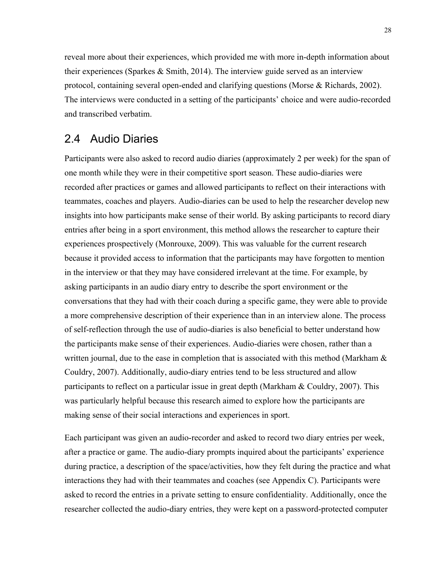reveal more about their experiences, which provided me with more in-depth information about their experiences (Sparkes & Smith, 2014). The interview guide served as an interview protocol, containing several open-ended and clarifying questions (Morse & Richards, 2002). The interviews were conducted in a setting of the participants' choice and were audio-recorded and transcribed verbatim.

### 2.4 Audio Diaries

Participants were also asked to record audio diaries (approximately 2 per week) for the span of one month while they were in their competitive sport season. These audio-diaries were recorded after practices or games and allowed participants to reflect on their interactions with teammates, coaches and players. Audio-diaries can be used to help the researcher develop new insights into how participants make sense of their world. By asking participants to record diary entries after being in a sport environment, this method allows the researcher to capture their experiences prospectively (Monrouxe, 2009). This was valuable for the current research because it provided access to information that the participants may have forgotten to mention in the interview or that they may have considered irrelevant at the time. For example, by asking participants in an audio diary entry to describe the sport environment or the conversations that they had with their coach during a specific game, they were able to provide a more comprehensive description of their experience than in an interview alone. The process of self-reflection through the use of audio-diaries is also beneficial to better understand how the participants make sense of their experiences. Audio-diaries were chosen, rather than a written journal, due to the ease in completion that is associated with this method (Markham  $\&$ Couldry, 2007). Additionally, audio-diary entries tend to be less structured and allow participants to reflect on a particular issue in great depth (Markham & Couldry, 2007). This was particularly helpful because this research aimed to explore how the participants are making sense of their social interactions and experiences in sport.

Each participant was given an audio-recorder and asked to record two diary entries per week, after a practice or game. The audio-diary prompts inquired about the participants' experience during practice, a description of the space/activities, how they felt during the practice and what interactions they had with their teammates and coaches (see Appendix C). Participants were asked to record the entries in a private setting to ensure confidentiality. Additionally, once the researcher collected the audio-diary entries, they were kept on a password-protected computer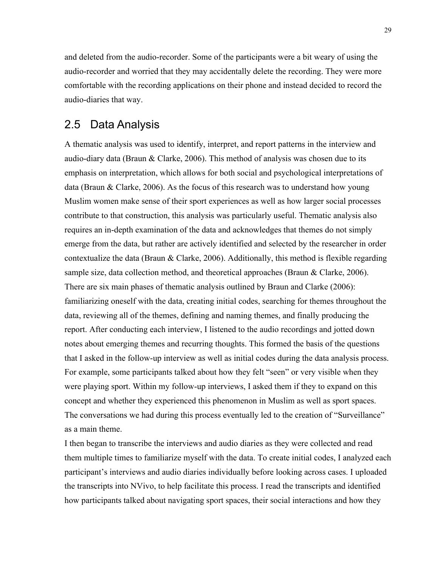and deleted from the audio-recorder. Some of the participants were a bit weary of using the audio-recorder and worried that they may accidentally delete the recording. They were more comfortable with the recording applications on their phone and instead decided to record the audio-diaries that way.

### 2.5 Data Analysis

A thematic analysis was used to identify, interpret, and report patterns in the interview and audio-diary data (Braun  $&$  Clarke, 2006). This method of analysis was chosen due to its emphasis on interpretation, which allows for both social and psychological interpretations of data (Braun & Clarke, 2006). As the focus of this research was to understand how young Muslim women make sense of their sport experiences as well as how larger social processes contribute to that construction, this analysis was particularly useful. Thematic analysis also requires an in-depth examination of the data and acknowledges that themes do not simply emerge from the data, but rather are actively identified and selected by the researcher in order contextualize the data (Braun & Clarke, 2006). Additionally, this method is flexible regarding sample size, data collection method, and theoretical approaches (Braun & Clarke, 2006). There are six main phases of thematic analysis outlined by Braun and Clarke (2006): familiarizing oneself with the data, creating initial codes, searching for themes throughout the data, reviewing all of the themes, defining and naming themes, and finally producing the report. After conducting each interview, I listened to the audio recordings and jotted down notes about emerging themes and recurring thoughts. This formed the basis of the questions that I asked in the follow-up interview as well as initial codes during the data analysis process. For example, some participants talked about how they felt "seen" or very visible when they were playing sport. Within my follow-up interviews, I asked them if they to expand on this concept and whether they experienced this phenomenon in Muslim as well as sport spaces. The conversations we had during this process eventually led to the creation of "Surveillance" as a main theme.

I then began to transcribe the interviews and audio diaries as they were collected and read them multiple times to familiarize myself with the data. To create initial codes, I analyzed each participant's interviews and audio diaries individually before looking across cases. I uploaded the transcripts into NVivo, to help facilitate this process. I read the transcripts and identified how participants talked about navigating sport spaces, their social interactions and how they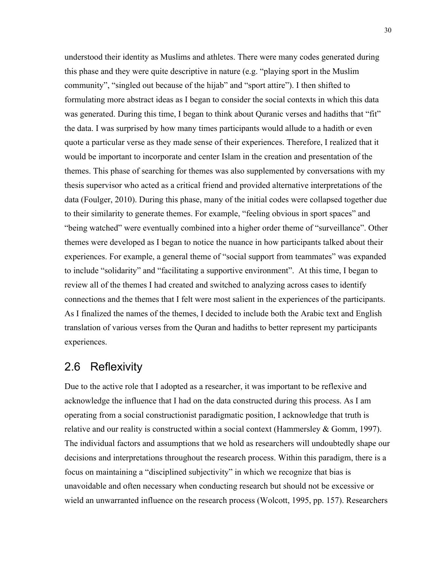understood their identity as Muslims and athletes. There were many codes generated during this phase and they were quite descriptive in nature (e.g. "playing sport in the Muslim community", "singled out because of the hijab" and "sport attire"). I then shifted to formulating more abstract ideas as I began to consider the social contexts in which this data was generated. During this time, I began to think about Quranic verses and hadiths that "fit" the data. I was surprised by how many times participants would allude to a hadith or even quote a particular verse as they made sense of their experiences. Therefore, I realized that it would be important to incorporate and center Islam in the creation and presentation of the themes. This phase of searching for themes was also supplemented by conversations with my thesis supervisor who acted as a critical friend and provided alternative interpretations of the data (Foulger, 2010). During this phase, many of the initial codes were collapsed together due to their similarity to generate themes. For example, "feeling obvious in sport spaces" and "being watched" were eventually combined into a higher order theme of "surveillance". Other themes were developed as I began to notice the nuance in how participants talked about their experiences. For example, a general theme of "social support from teammates" was expanded to include "solidarity" and "facilitating a supportive environment". At this time, I began to review all of the themes I had created and switched to analyzing across cases to identify connections and the themes that I felt were most salient in the experiences of the participants. As I finalized the names of the themes, I decided to include both the Arabic text and English translation of various verses from the Quran and hadiths to better represent my participants experiences.

## 2.6 Reflexivity

Due to the active role that I adopted as a researcher, it was important to be reflexive and acknowledge the influence that I had on the data constructed during this process. As I am operating from a social constructionist paradigmatic position, I acknowledge that truth is relative and our reality is constructed within a social context (Hammersley & Gomm, 1997). The individual factors and assumptions that we hold as researchers will undoubtedly shape our decisions and interpretations throughout the research process. Within this paradigm, there is a focus on maintaining a "disciplined subjectivity" in which we recognize that bias is unavoidable and often necessary when conducting research but should not be excessive or wield an unwarranted influence on the research process (Wolcott, 1995, pp. 157). Researchers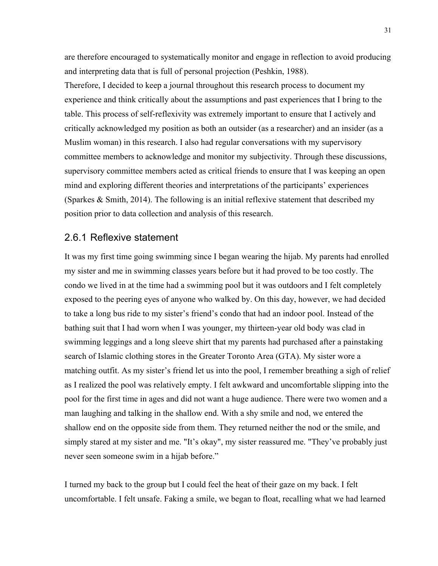are therefore encouraged to systematically monitor and engage in reflection to avoid producing and interpreting data that is full of personal projection (Peshkin, 1988).

Therefore, I decided to keep a journal throughout this research process to document my experience and think critically about the assumptions and past experiences that I bring to the table. This process of self-reflexivity was extremely important to ensure that I actively and critically acknowledged my position as both an outsider (as a researcher) and an insider (as a Muslim woman) in this research. I also had regular conversations with my supervisory committee members to acknowledge and monitor my subjectivity. Through these discussions, supervisory committee members acted as critical friends to ensure that I was keeping an open mind and exploring different theories and interpretations of the participants' experiences (Sparkes & Smith, 2014). The following is an initial reflexive statement that described my position prior to data collection and analysis of this research.

#### 2.6.1 Reflexive statement

It was my first time going swimming since I began wearing the hijab. My parents had enrolled my sister and me in swimming classes years before but it had proved to be too costly. The condo we lived in at the time had a swimming pool but it was outdoors and I felt completely exposed to the peering eyes of anyone who walked by. On this day, however, we had decided to take a long bus ride to my sister's friend's condo that had an indoor pool. Instead of the bathing suit that I had worn when I was younger, my thirteen-year old body was clad in swimming leggings and a long sleeve shirt that my parents had purchased after a painstaking search of Islamic clothing stores in the Greater Toronto Area (GTA). My sister wore a matching outfit. As my sister's friend let us into the pool, I remember breathing a sigh of relief as I realized the pool was relatively empty. I felt awkward and uncomfortable slipping into the pool for the first time in ages and did not want a huge audience. There were two women and a man laughing and talking in the shallow end. With a shy smile and nod, we entered the shallow end on the opposite side from them. They returned neither the nod or the smile, and simply stared at my sister and me. "It's okay", my sister reassured me. "They've probably just never seen someone swim in a hijab before."

I turned my back to the group but I could feel the heat of their gaze on my back. I felt uncomfortable. I felt unsafe. Faking a smile, we began to float, recalling what we had learned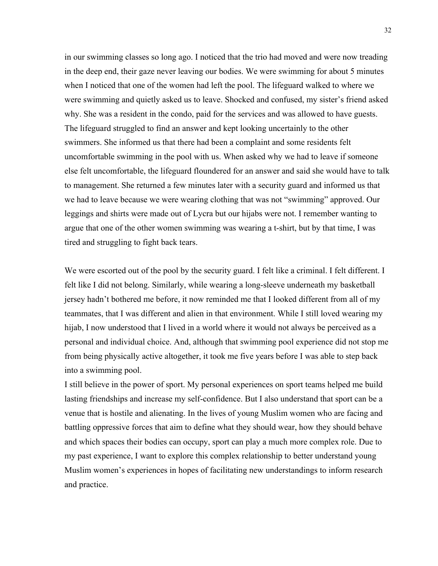in our swimming classes so long ago. I noticed that the trio had moved and were now treading in the deep end, their gaze never leaving our bodies. We were swimming for about 5 minutes when I noticed that one of the women had left the pool. The lifeguard walked to where we were swimming and quietly asked us to leave. Shocked and confused, my sister's friend asked why. She was a resident in the condo, paid for the services and was allowed to have guests. The lifeguard struggled to find an answer and kept looking uncertainly to the other swimmers. She informed us that there had been a complaint and some residents felt uncomfortable swimming in the pool with us. When asked why we had to leave if someone else felt uncomfortable, the lifeguard floundered for an answer and said she would have to talk to management. She returned a few minutes later with a security guard and informed us that we had to leave because we were wearing clothing that was not "swimming" approved. Our leggings and shirts were made out of Lycra but our hijabs were not. I remember wanting to argue that one of the other women swimming was wearing a t-shirt, but by that time, I was tired and struggling to fight back tears.

We were escorted out of the pool by the security guard. I felt like a criminal. I felt different. I felt like I did not belong. Similarly, while wearing a long-sleeve underneath my basketball jersey hadn't bothered me before, it now reminded me that I looked different from all of my teammates, that I was different and alien in that environment. While I still loved wearing my hijab, I now understood that I lived in a world where it would not always be perceived as a personal and individual choice. And, although that swimming pool experience did not stop me from being physically active altogether, it took me five years before I was able to step back into a swimming pool.

I still believe in the power of sport. My personal experiences on sport teams helped me build lasting friendships and increase my self-confidence. But I also understand that sport can be a venue that is hostile and alienating. In the lives of young Muslim women who are facing and battling oppressive forces that aim to define what they should wear, how they should behave and which spaces their bodies can occupy, sport can play a much more complex role. Due to my past experience, I want to explore this complex relationship to better understand young Muslim women's experiences in hopes of facilitating new understandings to inform research and practice.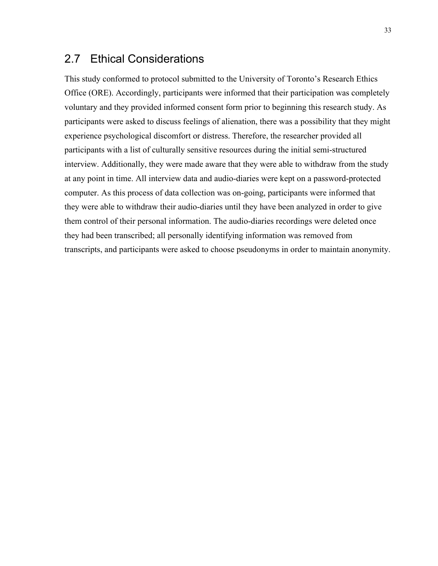## 2.7 Ethical Considerations

This study conformed to protocol submitted to the University of Toronto's Research Ethics Office (ORE). Accordingly, participants were informed that their participation was completely voluntary and they provided informed consent form prior to beginning this research study. As participants were asked to discuss feelings of alienation, there was a possibility that they might experience psychological discomfort or distress. Therefore, the researcher provided all participants with a list of culturally sensitive resources during the initial semi-structured interview. Additionally, they were made aware that they were able to withdraw from the study at any point in time. All interview data and audio-diaries were kept on a password-protected computer. As this process of data collection was on-going, participants were informed that they were able to withdraw their audio-diaries until they have been analyzed in order to give them control of their personal information. The audio-diaries recordings were deleted once they had been transcribed; all personally identifying information was removed from transcripts, and participants were asked to choose pseudonyms in order to maintain anonymity.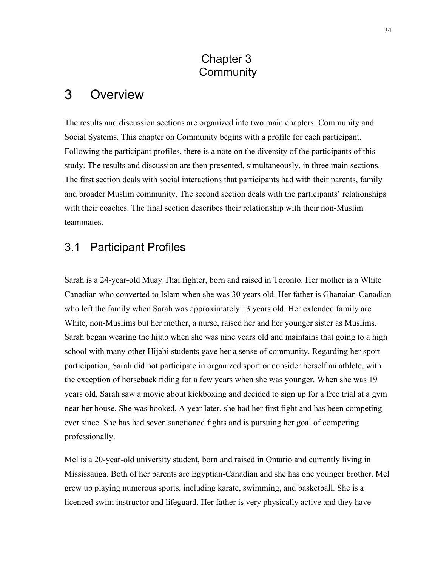# Chapter 3 **Community**

#### 3 **Overview**

The results and discussion sections are organized into two main chapters: Community and Social Systems. This chapter on Community begins with a profile for each participant. Following the participant profiles, there is a note on the diversity of the participants of this study. The results and discussion are then presented, simultaneously, in three main sections. The first section deals with social interactions that participants had with their parents, family and broader Muslim community. The second section deals with the participants' relationships with their coaches. The final section describes their relationship with their non-Muslim teammates.

## 3.1 Participant Profiles

Sarah is a 24-year-old Muay Thai fighter, born and raised in Toronto. Her mother is a White Canadian who converted to Islam when she was 30 years old. Her father is Ghanaian-Canadian who left the family when Sarah was approximately 13 years old. Her extended family are White, non-Muslims but her mother, a nurse, raised her and her younger sister as Muslims. Sarah began wearing the hijab when she was nine years old and maintains that going to a high school with many other Hijabi students gave her a sense of community. Regarding her sport participation, Sarah did not participate in organized sport or consider herself an athlete, with the exception of horseback riding for a few years when she was younger. When she was 19 years old, Sarah saw a movie about kickboxing and decided to sign up for a free trial at a gym near her house. She was hooked. A year later, she had her first fight and has been competing ever since. She has had seven sanctioned fights and is pursuing her goal of competing professionally.

Mel is a 20-year-old university student, born and raised in Ontario and currently living in Mississauga. Both of her parents are Egyptian-Canadian and she has one younger brother. Mel grew up playing numerous sports, including karate, swimming, and basketball. She is a licenced swim instructor and lifeguard. Her father is very physically active and they have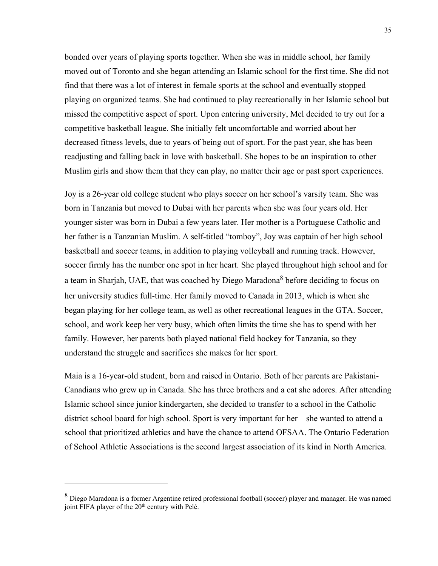bonded over years of playing sports together. When she was in middle school, her family moved out of Toronto and she began attending an Islamic school for the first time. She did not find that there was a lot of interest in female sports at the school and eventually stopped playing on organized teams. She had continued to play recreationally in her Islamic school but missed the competitive aspect of sport. Upon entering university, Mel decided to try out for a competitive basketball league. She initially felt uncomfortable and worried about her decreased fitness levels, due to years of being out of sport. For the past year, she has been readjusting and falling back in love with basketball. She hopes to be an inspiration to other Muslim girls and show them that they can play, no matter their age or past sport experiences.

Joy is a 26-year old college student who plays soccer on her school's varsity team. She was born in Tanzania but moved to Dubai with her parents when she was four years old. Her younger sister was born in Dubai a few years later. Her mother is a Portuguese Catholic and her father is a Tanzanian Muslim. A self-titled "tomboy", Joy was captain of her high school basketball and soccer teams, in addition to playing volleyball and running track. However, soccer firmly has the number one spot in her heart. She played throughout high school and for a team in Sharjah, UAE, that was coached by Diego Maradona<sup>8</sup> before deciding to focus on her university studies full-time. Her family moved to Canada in 2013, which is when she began playing for her college team, as well as other recreational leagues in the GTA. Soccer, school, and work keep her very busy, which often limits the time she has to spend with her family. However, her parents both played national field hockey for Tanzania, so they understand the struggle and sacrifices she makes for her sport.

Maia is a 16-year-old student, born and raised in Ontario. Both of her parents are Pakistani-Canadians who grew up in Canada. She has three brothers and a cat she adores. After attending Islamic school since junior kindergarten, she decided to transfer to a school in the Catholic district school board for high school. Sport is very important for her – she wanted to attend a school that prioritized athletics and have the chance to attend OFSAA. The Ontario Federation of School Athletic Associations is the second largest association of its kind in North America.

<u>.</u>

<sup>8</sup> Diego Maradona is a former Argentine retired professional football (soccer) player and manager. He was named joint FIFA player of the  $20<sup>th</sup>$  century with Pelé.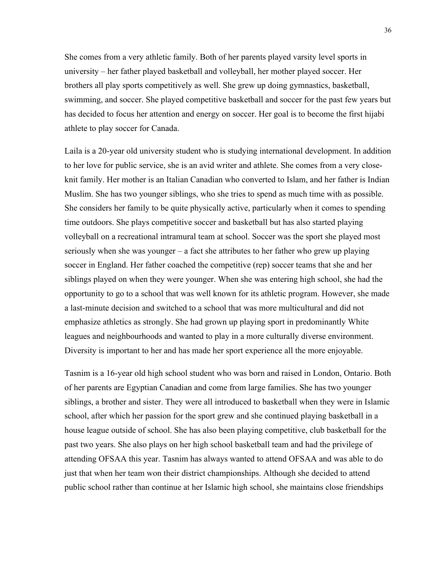She comes from a very athletic family. Both of her parents played varsity level sports in university – her father played basketball and volleyball, her mother played soccer. Her brothers all play sports competitively as well. She grew up doing gymnastics, basketball, swimming, and soccer. She played competitive basketball and soccer for the past few years but has decided to focus her attention and energy on soccer. Her goal is to become the first hijabi athlete to play soccer for Canada.

Laila is a 20-year old university student who is studying international development. In addition to her love for public service, she is an avid writer and athlete. She comes from a very closeknit family. Her mother is an Italian Canadian who converted to Islam, and her father is Indian Muslim. She has two younger siblings, who she tries to spend as much time with as possible. She considers her family to be quite physically active, particularly when it comes to spending time outdoors. She plays competitive soccer and basketball but has also started playing volleyball on a recreational intramural team at school. Soccer was the sport she played most seriously when she was younger – a fact she attributes to her father who grew up playing soccer in England. Her father coached the competitive (rep) soccer teams that she and her siblings played on when they were younger. When she was entering high school, she had the opportunity to go to a school that was well known for its athletic program. However, she made a last-minute decision and switched to a school that was more multicultural and did not emphasize athletics as strongly. She had grown up playing sport in predominantly White leagues and neighbourhoods and wanted to play in a more culturally diverse environment. Diversity is important to her and has made her sport experience all the more enjoyable.

Tasnim is a 16-year old high school student who was born and raised in London, Ontario. Both of her parents are Egyptian Canadian and come from large families. She has two younger siblings, a brother and sister. They were all introduced to basketball when they were in Islamic school, after which her passion for the sport grew and she continued playing basketball in a house league outside of school. She has also been playing competitive, club basketball for the past two years. She also plays on her high school basketball team and had the privilege of attending OFSAA this year. Tasnim has always wanted to attend OFSAA and was able to do just that when her team won their district championships. Although she decided to attend public school rather than continue at her Islamic high school, she maintains close friendships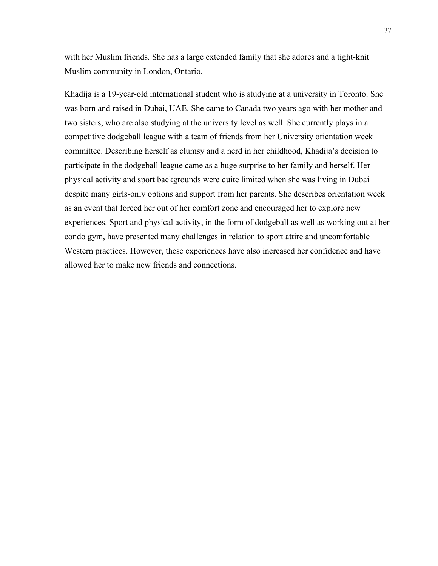with her Muslim friends. She has a large extended family that she adores and a tight-knit Muslim community in London, Ontario.

Khadija is a 19-year-old international student who is studying at a university in Toronto. She was born and raised in Dubai, UAE. She came to Canada two years ago with her mother and two sisters, who are also studying at the university level as well. She currently plays in a competitive dodgeball league with a team of friends from her University orientation week committee. Describing herself as clumsy and a nerd in her childhood, Khadija's decision to participate in the dodgeball league came as a huge surprise to her family and herself. Her physical activity and sport backgrounds were quite limited when she was living in Dubai despite many girls-only options and support from her parents. She describes orientation week as an event that forced her out of her comfort zone and encouraged her to explore new experiences. Sport and physical activity, in the form of dodgeball as well as working out at her condo gym, have presented many challenges in relation to sport attire and uncomfortable Western practices. However, these experiences have also increased her confidence and have allowed her to make new friends and connections.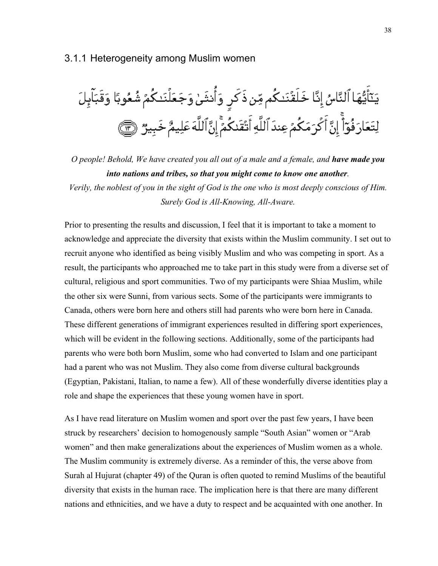#### 3.1.1 Heterogeneity among Muslim women



*O people! Behold, We have created you all out of a male and a female, and have made you into nations and tribes, so that you might come to know one another. Verily, the noblest of you in the sight of God is the one who is most deeply conscious of Him. Surely God is All-Knowing, All-Aware.*

Prior to presenting the results and discussion, I feel that it is important to take a moment to acknowledge and appreciate the diversity that exists within the Muslim community. I set out to recruit anyone who identified as being visibly Muslim and who was competing in sport. As a result, the participants who approached me to take part in this study were from a diverse set of cultural, religious and sport communities. Two of my participants were Shiaa Muslim, while the other six were Sunni, from various sects. Some of the participants were immigrants to Canada, others were born here and others still had parents who were born here in Canada. These different generations of immigrant experiences resulted in differing sport experiences, which will be evident in the following sections. Additionally, some of the participants had parents who were both born Muslim, some who had converted to Islam and one participant had a parent who was not Muslim. They also come from diverse cultural backgrounds (Egyptian, Pakistani, Italian, to name a few). All of these wonderfully diverse identities play a role and shape the experiences that these young women have in sport.

As I have read literature on Muslim women and sport over the past few years, I have been struck by researchers' decision to homogenously sample "South Asian" women or "Arab women" and then make generalizations about the experiences of Muslim women as a whole. The Muslim community is extremely diverse. As a reminder of this, the verse above from Surah al Hujurat (chapter 49) of the Quran is often quoted to remind Muslims of the beautiful diversity that exists in the human race. The implication here is that there are many different nations and ethnicities, and we have a duty to respect and be acquainted with one another. In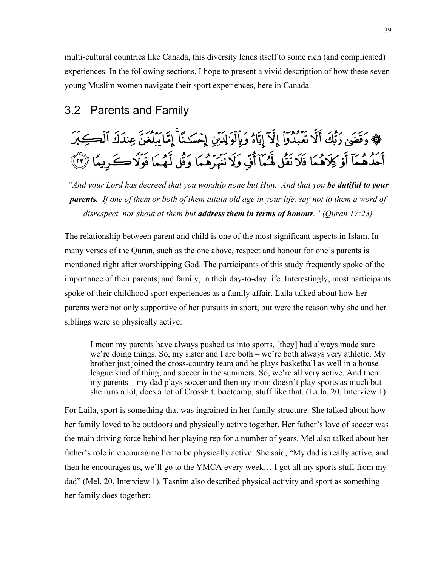multi-cultural countries like Canada, this diversity lends itself to some rich (and complicated) experiences. In the following sections, I hope to present a vivid description of how these seven young Muslim women navigate their sport experiences, here in Canada.

## 3.2 Parents and Family

# ﴾ وَقَضَىٰ رَبُّكَ أَلَّا تَعْمُدُواْ إِلَّآ إِيَّاهُ وَبِٱلْوَٰلِدَيْنِ إِحْسَنِنَّا ۚ إِمَّا يَبِلُغَنّ عِندَكَ ٱلْكِبَرَ أَحَدُهُمَآ أَوۡ كِلَاهُمَا فَلَا نَقُل لَّهُمَآ أَفٍّ وَلَا نَهُرُهُمَا وَقُل لَّهُمَا فَوۡلَاكُ كَ رِيمَا ۞

*"And your Lord has decreed that you worship none but Him. And that you be dutiful to your parents. If one of them or both of them attain old age in your life, say not to them a word of disrespect, nor shout at them but address them in terms of honour." (Quran 17:23)*

The relationship between parent and child is one of the most significant aspects in Islam. In many verses of the Quran, such as the one above, respect and honour for one's parents is mentioned right after worshipping God. The participants of this study frequently spoke of the importance of their parents, and family, in their day-to-day life. Interestingly, most participants spoke of their childhood sport experiences as a family affair. Laila talked about how her parents were not only supportive of her pursuits in sport, but were the reason why she and her siblings were so physically active:

I mean my parents have always pushed us into sports, [they] had always made sure we're doing things. So, my sister and I are both – we're both always very athletic. My brother just joined the cross-country team and he plays basketball as well in a house league kind of thing, and soccer in the summers. So, we're all very active. And then my parents – my dad plays soccer and then my mom doesn't play sports as much but she runs a lot, does a lot of CrossFit, bootcamp, stuff like that. (Laila, 20, Interview 1)

For Laila, sport is something that was ingrained in her family structure. She talked about how her family loved to be outdoors and physically active together. Her father's love of soccer was the main driving force behind her playing rep for a number of years. Mel also talked about her father's role in encouraging her to be physically active. She said, "My dad is really active, and then he encourages us, we'll go to the YMCA every week… I got all my sports stuff from my dad" (Mel, 20, Interview 1). Tasnim also described physical activity and sport as something her family does together: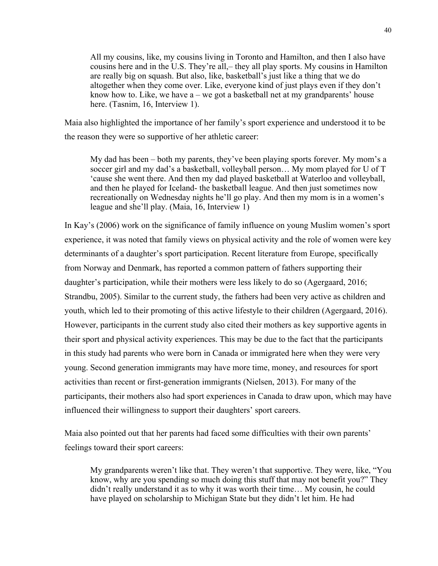All my cousins, like, my cousins living in Toronto and Hamilton, and then I also have cousins here and in the U.S. They're all,– they all play sports. My cousins in Hamilton are really big on squash. But also, like, basketball's just like a thing that we do altogether when they come over. Like, everyone kind of just plays even if they don't know how to. Like, we have  $a - we$  got a basketball net at my grandparents' house here. (Tasnim, 16, Interview 1).

Maia also highlighted the importance of her family's sport experience and understood it to be the reason they were so supportive of her athletic career:

My dad has been – both my parents, they've been playing sports forever. My mom's a soccer girl and my dad's a basketball, volleyball person… My mom played for U of T 'cause she went there. And then my dad played basketball at Waterloo and volleyball, and then he played for Iceland- the basketball league. And then just sometimes now recreationally on Wednesday nights he'll go play. And then my mom is in a women's league and she'll play. (Maia, 16, Interview 1)

In Kay's (2006) work on the significance of family influence on young Muslim women's sport experience, it was noted that family views on physical activity and the role of women were key determinants of a daughter's sport participation. Recent literature from Europe, specifically from Norway and Denmark, has reported a common pattern of fathers supporting their daughter's participation, while their mothers were less likely to do so (Agergaard, 2016; Strandbu, 2005). Similar to the current study, the fathers had been very active as children and youth, which led to their promoting of this active lifestyle to their children (Agergaard, 2016). However, participants in the current study also cited their mothers as key supportive agents in their sport and physical activity experiences. This may be due to the fact that the participants in this study had parents who were born in Canada or immigrated here when they were very young. Second generation immigrants may have more time, money, and resources for sport activities than recent or first-generation immigrants (Nielsen, 2013). For many of the participants, their mothers also had sport experiences in Canada to draw upon, which may have influenced their willingness to support their daughters' sport careers.

Maia also pointed out that her parents had faced some difficulties with their own parents' feelings toward their sport careers:

My grandparents weren't like that. They weren't that supportive. They were, like, "You know, why are you spending so much doing this stuff that may not benefit you?" They didn't really understand it as to why it was worth their time… My cousin, he could have played on scholarship to Michigan State but they didn't let him. He had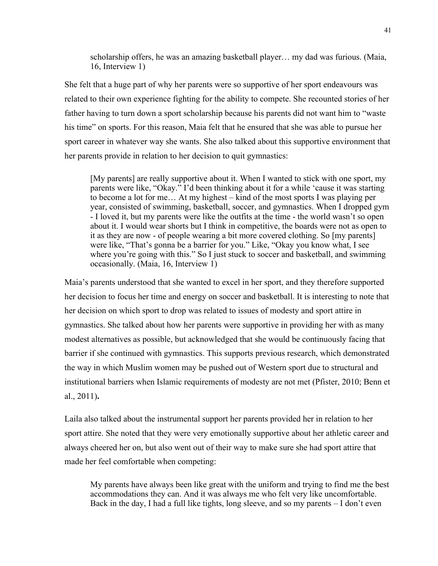scholarship offers, he was an amazing basketball player… my dad was furious. (Maia, 16, Interview 1)

She felt that a huge part of why her parents were so supportive of her sport endeavours was related to their own experience fighting for the ability to compete. She recounted stories of her father having to turn down a sport scholarship because his parents did not want him to "waste his time" on sports. For this reason, Maia felt that he ensured that she was able to pursue her sport career in whatever way she wants. She also talked about this supportive environment that her parents provide in relation to her decision to quit gymnastics:

[My parents] are really supportive about it. When I wanted to stick with one sport, my parents were like, "Okay." I'd been thinking about it for a while 'cause it was starting to become a lot for me… At my highest – kind of the most sports I was playing per year, consisted of swimming, basketball, soccer, and gymnastics. When I dropped gym - I loved it, but my parents were like the outfits at the time - the world wasn't so open about it. I would wear shorts but I think in competitive, the boards were not as open to it as they are now - of people wearing a bit more covered clothing. So [my parents] were like, "That's gonna be a barrier for you." Like, "Okay you know what, I see where you're going with this." So I just stuck to soccer and basketball, and swimming occasionally. (Maia, 16, Interview 1)

Maia's parents understood that she wanted to excel in her sport, and they therefore supported her decision to focus her time and energy on soccer and basketball. It is interesting to note that her decision on which sport to drop was related to issues of modesty and sport attire in gymnastics. She talked about how her parents were supportive in providing her with as many modest alternatives as possible, but acknowledged that she would be continuously facing that barrier if she continued with gymnastics. This supports previous research, which demonstrated the way in which Muslim women may be pushed out of Western sport due to structural and institutional barriers when Islamic requirements of modesty are not met (Pfister, 2010; Benn et al., 2011)**.**

Laila also talked about the instrumental support her parents provided her in relation to her sport attire. She noted that they were very emotionally supportive about her athletic career and always cheered her on, but also went out of their way to make sure she had sport attire that made her feel comfortable when competing:

My parents have always been like great with the uniform and trying to find me the best accommodations they can. And it was always me who felt very like uncomfortable. Back in the day, I had a full like tights, long sleeve, and so my parents – I don't even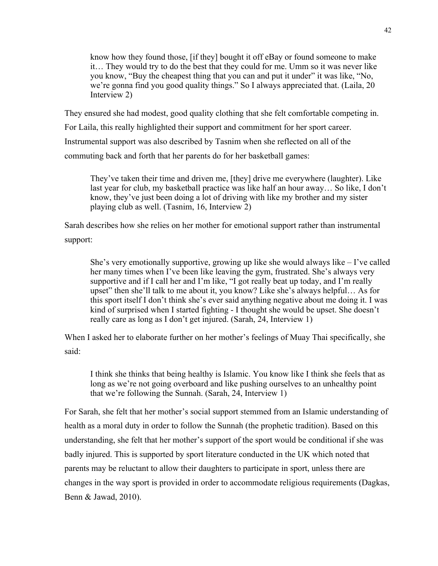know how they found those, [if they] bought it off eBay or found someone to make it… They would try to do the best that they could for me. Umm so it was never like you know, "Buy the cheapest thing that you can and put it under" it was like, "No, we're gonna find you good quality things." So I always appreciated that. (Laila, 20 Interview 2)

They ensured she had modest, good quality clothing that she felt comfortable competing in. For Laila, this really highlighted their support and commitment for her sport career. Instrumental support was also described by Tasnim when she reflected on all of the commuting back and forth that her parents do for her basketball games:

They've taken their time and driven me, [they] drive me everywhere (laughter). Like last year for club, my basketball practice was like half an hour away… So like, I don't know, they've just been doing a lot of driving with like my brother and my sister playing club as well. (Tasnim, 16, Interview 2)

Sarah describes how she relies on her mother for emotional support rather than instrumental support:

She's very emotionally supportive, growing up like she would always like  $-1$ 've called her many times when I've been like leaving the gym, frustrated. She's always very supportive and if I call her and I'm like, "I got really beat up today, and I'm really upset" then she'll talk to me about it, you know? Like she's always helpful… As for this sport itself I don't think she's ever said anything negative about me doing it. I was kind of surprised when I started fighting - I thought she would be upset. She doesn't really care as long as I don't get injured. (Sarah, 24, Interview 1)

When I asked her to elaborate further on her mother's feelings of Muay Thai specifically, she said:

I think she thinks that being healthy is Islamic. You know like I think she feels that as long as we're not going overboard and like pushing ourselves to an unhealthy point that we're following the Sunnah. (Sarah, 24, Interview 1)

For Sarah, she felt that her mother's social support stemmed from an Islamic understanding of health as a moral duty in order to follow the Sunnah (the prophetic tradition). Based on this understanding, she felt that her mother's support of the sport would be conditional if she was badly injured. This is supported by sport literature conducted in the UK which noted that parents may be reluctant to allow their daughters to participate in sport, unless there are changes in the way sport is provided in order to accommodate religious requirements (Dagkas, Benn & Jawad, 2010).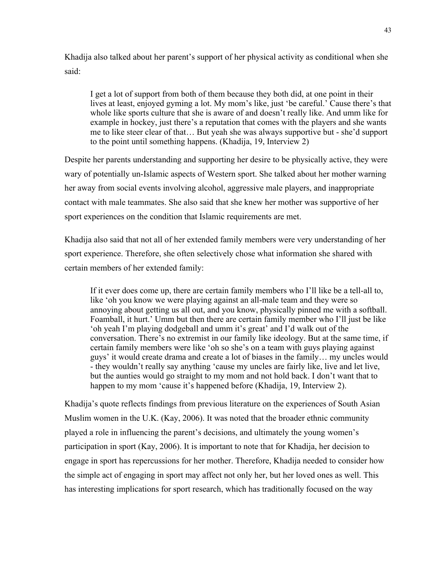Khadija also talked about her parent's support of her physical activity as conditional when she said:

I get a lot of support from both of them because they both did, at one point in their lives at least, enjoyed gyming a lot. My mom's like, just 'be careful.' Cause there's that whole like sports culture that she is aware of and doesn't really like. And umm like for example in hockey, just there's a reputation that comes with the players and she wants me to like steer clear of that… But yeah she was always supportive but - she'd support to the point until something happens. (Khadija, 19, Interview 2)

Despite her parents understanding and supporting her desire to be physically active, they were wary of potentially un-Islamic aspects of Western sport. She talked about her mother warning her away from social events involving alcohol, aggressive male players, and inappropriate contact with male teammates. She also said that she knew her mother was supportive of her sport experiences on the condition that Islamic requirements are met.

Khadija also said that not all of her extended family members were very understanding of her sport experience. Therefore, she often selectively chose what information she shared with certain members of her extended family:

If it ever does come up, there are certain family members who I'll like be a tell-all to, like 'oh you know we were playing against an all-male team and they were so annoying about getting us all out, and you know, physically pinned me with a softball. Foamball, it hurt.' Umm but then there are certain family member who I'll just be like 'oh yeah I'm playing dodgeball and umm it's great' and I'd walk out of the conversation. There's no extremist in our family like ideology. But at the same time, if certain family members were like 'oh so she's on a team with guys playing against guys' it would create drama and create a lot of biases in the family… my uncles would - they wouldn't really say anything 'cause my uncles are fairly like, live and let live, but the aunties would go straight to my mom and not hold back. I don't want that to happen to my mom 'cause it's happened before (Khadija, 19, Interview 2).

Khadija's quote reflects findings from previous literature on the experiences of South Asian Muslim women in the U.K. (Kay, 2006). It was noted that the broader ethnic community played a role in influencing the parent's decisions, and ultimately the young women's participation in sport (Kay, 2006). It is important to note that for Khadija, her decision to engage in sport has repercussions for her mother. Therefore, Khadija needed to consider how the simple act of engaging in sport may affect not only her, but her loved ones as well. This has interesting implications for sport research, which has traditionally focused on the way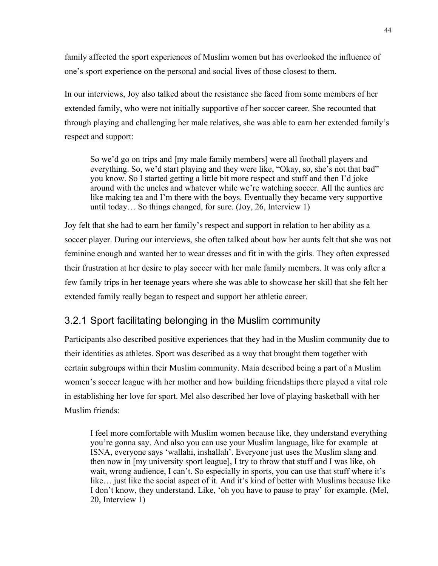family affected the sport experiences of Muslim women but has overlooked the influence of one's sport experience on the personal and social lives of those closest to them.

In our interviews, Joy also talked about the resistance she faced from some members of her extended family, who were not initially supportive of her soccer career. She recounted that through playing and challenging her male relatives, she was able to earn her extended family's respect and support:

So we'd go on trips and [my male family members] were all football players and everything. So, we'd start playing and they were like, "Okay, so, she's not that bad" you know. So I started getting a little bit more respect and stuff and then I'd joke around with the uncles and whatever while we're watching soccer. All the aunties are like making tea and I'm there with the boys. Eventually they became very supportive until today… So things changed, for sure. (Joy, 26, Interview 1)

Joy felt that she had to earn her family's respect and support in relation to her ability as a soccer player. During our interviews, she often talked about how her aunts felt that she was not feminine enough and wanted her to wear dresses and fit in with the girls. They often expressed their frustration at her desire to play soccer with her male family members. It was only after a few family trips in her teenage years where she was able to showcase her skill that she felt her extended family really began to respect and support her athletic career.

## 3.2.1 Sport facilitating belonging in the Muslim community

Participants also described positive experiences that they had in the Muslim community due to their identities as athletes. Sport was described as a way that brought them together with certain subgroups within their Muslim community. Maia described being a part of a Muslim women's soccer league with her mother and how building friendships there played a vital role in establishing her love for sport. Mel also described her love of playing basketball with her Muslim friends:

I feel more comfortable with Muslim women because like, they understand everything you're gonna say. And also you can use your Muslim language, like for example at ISNA, everyone says 'wallahi, inshallah'. Everyone just uses the Muslim slang and then now in [my university sport league], I try to throw that stuff and I was like, oh wait, wrong audience, I can't. So especially in sports, you can use that stuff where it's like… just like the social aspect of it. And it's kind of better with Muslims because like I don't know, they understand. Like, 'oh you have to pause to pray' for example. (Mel, 20, Interview 1)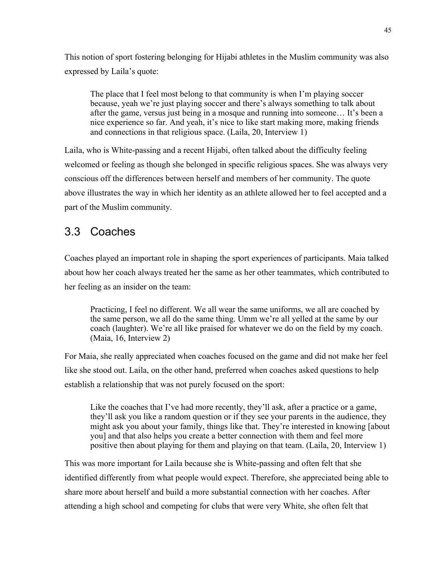This notion of sport fostering belonging for Hijabi athletes in the Muslim community was also expressed by Laila's quote:

The place that I feel most belong to that community is when I'm playing soccer because, yeah we're just playing soccer and there's always something to talk about after the game, versus just being in a mosque and running into someone… It's been a nice experience so far. And yeah, it's nice to like start making more, making friends and connections in that religious space. (Laila, 20, Interview 1)

Laila, who is White-passing and a recent Hijabi, often talked about the difficulty feeling welcomed or feeling as though she belonged in specific religious spaces. She was always very conscious off the differences between herself and members of her community. The quote above illustrates the way in which her identity as an athlete allowed her to feel accepted and a part of the Muslim community.

## 3.3 Coaches

Coaches played an important role in shaping the sport experiences of participants. Maia talked about how her coach always treated her the same as her other teammates, which contributed to her feeling as an insider on the team:

Practicing, I feel no different. We all wear the same uniforms, we all are coached by the same person, we all do the same thing. Umm we're all yelled at the same by our coach (laughter). We're all like praised for whatever we do on the field by my coach. (Maia, 16, Interview 2)

For Maia, she really appreciated when coaches focused on the game and did not make her feel like she stood out. Laila, on the other hand, preferred when coaches asked questions to help establish a relationship that was not purely focused on the sport:

Like the coaches that I've had more recently, they'll ask, after a practice or a game, they'll ask you like a random question or if they see your parents in the audience, they might ask you about your family, things like that. They're interested in knowing [about you] and that also helps you create a better connection with them and feel more positive then about playing for them and playing on that team. (Laila, 20, Interview 1)

This was more important for Laila because she is White-passing and often felt that she identified differently from what people would expect. Therefore, she appreciated being able to share more about herself and build a more substantial connection with her coaches. After attending a high school and competing for clubs that were very White, she often felt that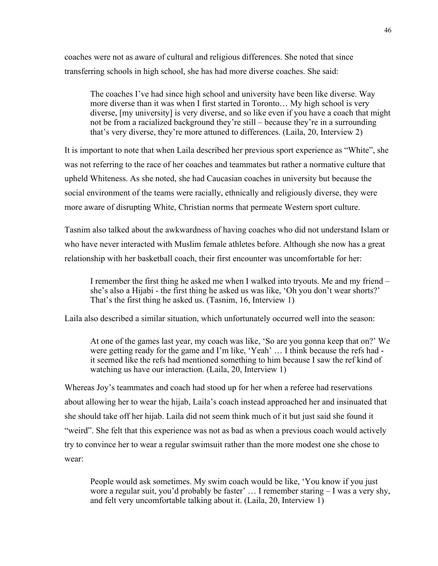coaches were not as aware of cultural and religious differences. She noted that since transferring schools in high school, she has had more diverse coaches. She said:

The coaches I've had since high school and university have been like diverse. Way more diverse than it was when I first started in Toronto… My high school is very diverse, [my university] is very diverse, and so like even if you have a coach that might not be from a racialized background they're still – because they're in a surrounding that's very diverse, they're more attuned to differences. (Laila, 20, Interview 2)

It is important to note that when Laila described her previous sport experience as "White", she was not referring to the race of her coaches and teammates but rather a normative culture that upheld Whiteness. As she noted, she had Caucasian coaches in university but because the social environment of the teams were racially, ethnically and religiously diverse, they were more aware of disrupting White, Christian norms that permeate Western sport culture.

Tasnim also talked about the awkwardness of having coaches who did not understand Islam or who have never interacted with Muslim female athletes before. Although she now has a great relationship with her basketball coach, their first encounter was uncomfortable for her:

I remember the first thing he asked me when I walked into tryouts. Me and my friend – she's also a Hijabi - the first thing he asked us was like, 'Oh you don't wear shorts?' That's the first thing he asked us. (Tasnim, 16, Interview 1)

Laila also described a similar situation, which unfortunately occurred well into the season:

At one of the games last year, my coach was like, 'So are you gonna keep that on?' We were getting ready for the game and I'm like, 'Yeah' … I think because the refs had it seemed like the refs had mentioned something to him because I saw the ref kind of watching us have our interaction. (Laila, 20, Interview 1)

Whereas Joy's teammates and coach had stood up for her when a referee had reservations about allowing her to wear the hijab, Laila's coach instead approached her and insinuated that she should take off her hijab. Laila did not seem think much of it but just said she found it "weird". She felt that this experience was not as bad as when a previous coach would actively try to convince her to wear a regular swimsuit rather than the more modest one she chose to wear:

People would ask sometimes. My swim coach would be like, 'You know if you just wore a regular suit, you'd probably be faster' … I remember staring – I was a very shy, and felt very uncomfortable talking about it. (Laila, 20, Interview 1)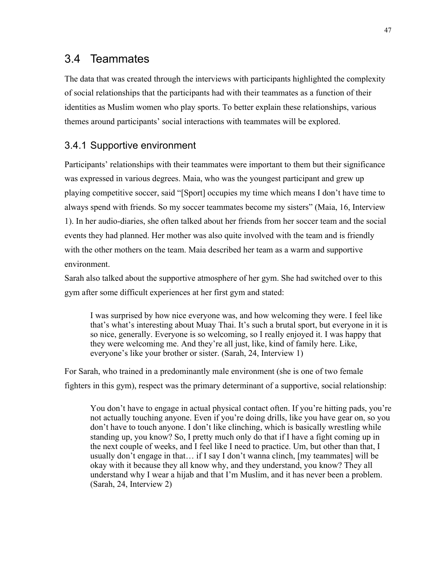## 3.4 Teammates

The data that was created through the interviews with participants highlighted the complexity of social relationships that the participants had with their teammates as a function of their identities as Muslim women who play sports. To better explain these relationships, various themes around participants' social interactions with teammates will be explored.

## 3.4.1 Supportive environment

Participants' relationships with their teammates were important to them but their significance was expressed in various degrees. Maia, who was the youngest participant and grew up playing competitive soccer, said "[Sport] occupies my time which means I don't have time to always spend with friends. So my soccer teammates become my sisters" (Maia, 16, Interview 1). In her audio-diaries, she often talked about her friends from her soccer team and the social events they had planned. Her mother was also quite involved with the team and is friendly with the other mothers on the team. Maia described her team as a warm and supportive environment.

Sarah also talked about the supportive atmosphere of her gym. She had switched over to this gym after some difficult experiences at her first gym and stated:

I was surprised by how nice everyone was, and how welcoming they were. I feel like that's what's interesting about Muay Thai. It's such a brutal sport, but everyone in it is so nice, generally. Everyone is so welcoming, so I really enjoyed it. I was happy that they were welcoming me. And they're all just, like, kind of family here. Like, everyone's like your brother or sister. (Sarah, 24, Interview 1)

For Sarah, who trained in a predominantly male environment (she is one of two female fighters in this gym), respect was the primary determinant of a supportive, social relationship:

You don't have to engage in actual physical contact often. If you're hitting pads, you're not actually touching anyone. Even if you're doing drills, like you have gear on, so you don't have to touch anyone. I don't like clinching, which is basically wrestling while standing up, you know? So, I pretty much only do that if I have a fight coming up in the next couple of weeks, and I feel like I need to practice. Um, but other than that, I usually don't engage in that… if I say I don't wanna clinch, [my teammates] will be okay with it because they all know why, and they understand, you know? They all understand why I wear a hijab and that I'm Muslim, and it has never been a problem. (Sarah, 24, Interview 2)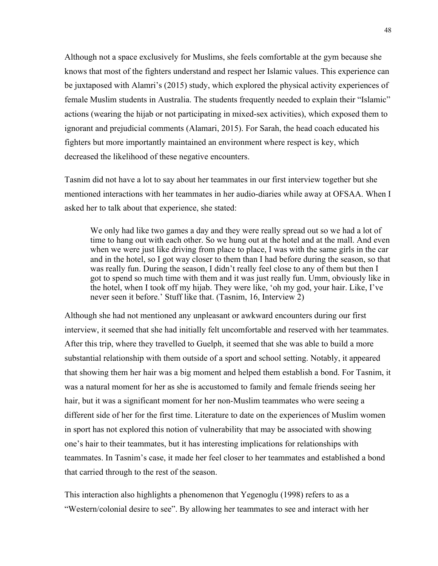Although not a space exclusively for Muslims, she feels comfortable at the gym because she knows that most of the fighters understand and respect her Islamic values. This experience can be juxtaposed with Alamri's (2015) study, which explored the physical activity experiences of female Muslim students in Australia. The students frequently needed to explain their "Islamic" actions (wearing the hijab or not participating in mixed-sex activities), which exposed them to ignorant and prejudicial comments (Alamari, 2015). For Sarah, the head coach educated his fighters but more importantly maintained an environment where respect is key, which decreased the likelihood of these negative encounters.

Tasnim did not have a lot to say about her teammates in our first interview together but she mentioned interactions with her teammates in her audio-diaries while away at OFSAA. When I asked her to talk about that experience, she stated:

We only had like two games a day and they were really spread out so we had a lot of time to hang out with each other. So we hung out at the hotel and at the mall. And even when we were just like driving from place to place, I was with the same girls in the car and in the hotel, so I got way closer to them than I had before during the season, so that was really fun. During the season, I didn't really feel close to any of them but then I got to spend so much time with them and it was just really fun. Umm, obviously like in the hotel, when I took off my hijab. They were like, 'oh my god, your hair. Like, I've never seen it before.' Stuff like that. (Tasnim, 16, Interview 2)

Although she had not mentioned any unpleasant or awkward encounters during our first interview, it seemed that she had initially felt uncomfortable and reserved with her teammates. After this trip, where they travelled to Guelph, it seemed that she was able to build a more substantial relationship with them outside of a sport and school setting. Notably, it appeared that showing them her hair was a big moment and helped them establish a bond. For Tasnim, it was a natural moment for her as she is accustomed to family and female friends seeing her hair, but it was a significant moment for her non-Muslim teammates who were seeing a different side of her for the first time. Literature to date on the experiences of Muslim women in sport has not explored this notion of vulnerability that may be associated with showing one's hair to their teammates, but it has interesting implications for relationships with teammates. In Tasnim's case, it made her feel closer to her teammates and established a bond that carried through to the rest of the season.

This interaction also highlights a phenomenon that Yegenoglu (1998) refers to as a "Western/colonial desire to see". By allowing her teammates to see and interact with her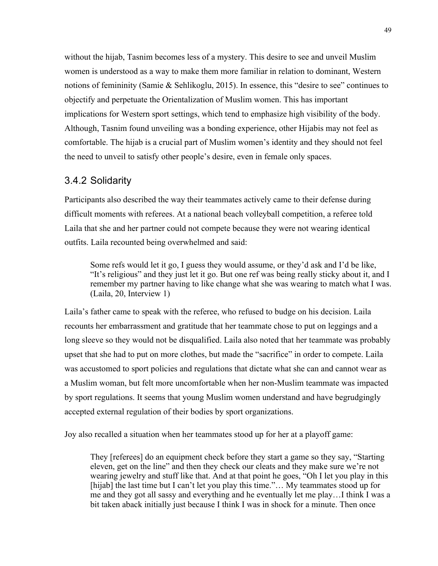without the hijab, Tasnim becomes less of a mystery. This desire to see and unveil Muslim women is understood as a way to make them more familiar in relation to dominant, Western notions of femininity (Samie & Sehlikoglu, 2015). In essence, this "desire to see" continues to objectify and perpetuate the Orientalization of Muslim women. This has important implications for Western sport settings, which tend to emphasize high visibility of the body. Although, Tasnim found unveiling was a bonding experience, other Hijabis may not feel as comfortable. The hijab is a crucial part of Muslim women's identity and they should not feel the need to unveil to satisfy other people's desire, even in female only spaces.

#### 3.4.2 Solidarity

Participants also described the way their teammates actively came to their defense during difficult moments with referees. At a national beach volleyball competition, a referee told Laila that she and her partner could not compete because they were not wearing identical outfits. Laila recounted being overwhelmed and said:

Some refs would let it go, I guess they would assume, or they'd ask and I'd be like, "It's religious" and they just let it go. But one ref was being really sticky about it, and I remember my partner having to like change what she was wearing to match what I was. (Laila, 20, Interview 1)

Laila's father came to speak with the referee, who refused to budge on his decision. Laila recounts her embarrassment and gratitude that her teammate chose to put on leggings and a long sleeve so they would not be disqualified. Laila also noted that her teammate was probably upset that she had to put on more clothes, but made the "sacrifice" in order to compete. Laila was accustomed to sport policies and regulations that dictate what she can and cannot wear as a Muslim woman, but felt more uncomfortable when her non-Muslim teammate was impacted by sport regulations. It seems that young Muslim women understand and have begrudgingly accepted external regulation of their bodies by sport organizations.

Joy also recalled a situation when her teammates stood up for her at a playoff game:

They [referees] do an equipment check before they start a game so they say, "Starting eleven, get on the line" and then they check our cleats and they make sure we're not wearing jewelry and stuff like that. And at that point he goes, "Oh I let you play in this [hijab] the last time but I can't let you play this time."... My teammates stood up for me and they got all sassy and everything and he eventually let me play…I think I was a bit taken aback initially just because I think I was in shock for a minute. Then once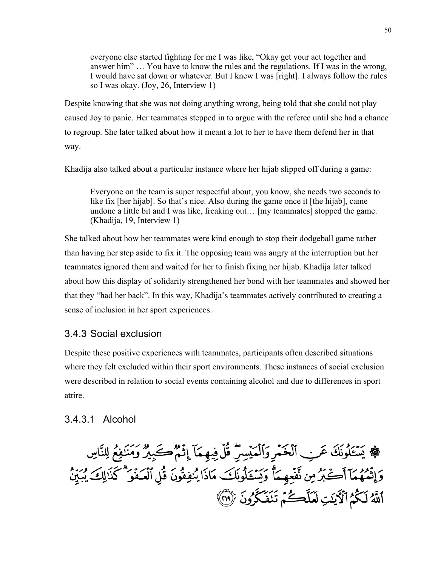everyone else started fighting for me I was like, "Okay get your act together and answer him" … You have to know the rules and the regulations. If I was in the wrong, I would have sat down or whatever. But I knew I was [right]. I always follow the rules so I was okay. (Joy, 26, Interview 1)

Despite knowing that she was not doing anything wrong, being told that she could not play caused Joy to panic. Her teammates stepped in to argue with the referee until she had a chance to regroup. She later talked about how it meant a lot to her to have them defend her in that way.

Khadija also talked about a particular instance where her hijab slipped off during a game:

Everyone on the team is super respectful about, you know, she needs two seconds to like fix [her hijab]. So that's nice. Also during the game once it [the hijab], came undone a little bit and I was like, freaking out… [my teammates] stopped the game. (Khadija, 19, Interview 1)

She talked about how her teammates were kind enough to stop their dodgeball game rather than having her step aside to fix it. The opposing team was angry at the interruption but her teammates ignored them and waited for her to finish fixing her hijab. Khadija later talked about how this display of solidarity strengthened her bond with her teammates and showed her that they "had her back". In this way, Khadija's teammates actively contributed to creating a sense of inclusion in her sport experiences.

### 3.4.3 Social exclusion

Despite these positive experiences with teammates, participants often described situations where they felt excluded within their sport environments. These instances of social exclusion were described in relation to social events containing alcohol and due to differences in sport attire.

#### 3.4.3.1 Alcohol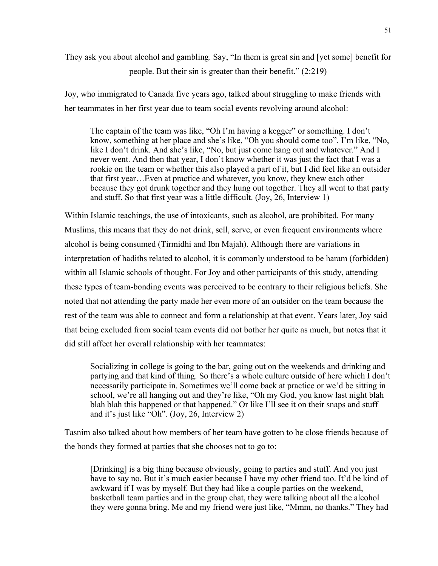They ask you about alcohol and gambling. Say, "In them is great sin and [yet some] benefit for people. But their sin is greater than their benefit." (2:219)

Joy, who immigrated to Canada five years ago, talked about struggling to make friends with her teammates in her first year due to team social events revolving around alcohol:

The captain of the team was like, "Oh I'm having a kegger" or something. I don't know, something at her place and she's like, "Oh you should come too". I'm like, "No, like I don't drink. And she's like, "No, but just come hang out and whatever." And I never went. And then that year, I don't know whether it was just the fact that I was a rookie on the team or whether this also played a part of it, but I did feel like an outsider that first year…Even at practice and whatever, you know, they knew each other because they got drunk together and they hung out together. They all went to that party and stuff. So that first year was a little difficult. (Joy, 26, Interview 1)

Within Islamic teachings, the use of intoxicants, such as alcohol, are prohibited. For many Muslims, this means that they do not drink, sell, serve, or even frequent environments where alcohol is being consumed (Tirmidhi and Ibn Majah). Although there are variations in interpretation of hadiths related to alcohol, it is commonly understood to be haram (forbidden) within all Islamic schools of thought. For Joy and other participants of this study, attending these types of team-bonding events was perceived to be contrary to their religious beliefs. She noted that not attending the party made her even more of an outsider on the team because the rest of the team was able to connect and form a relationship at that event. Years later, Joy said that being excluded from social team events did not bother her quite as much, but notes that it did still affect her overall relationship with her teammates:

Socializing in college is going to the bar, going out on the weekends and drinking and partying and that kind of thing. So there's a whole culture outside of here which I don't necessarily participate in. Sometimes we'll come back at practice or we'd be sitting in school, we're all hanging out and they're like, "Oh my God, you know last night blah blah blah this happened or that happened." Or like I'll see it on their snaps and stuff and it's just like "Oh". (Joy, 26, Interview 2)

Tasnim also talked about how members of her team have gotten to be close friends because of the bonds they formed at parties that she chooses not to go to:

[Drinking] is a big thing because obviously, going to parties and stuff. And you just have to say no. But it's much easier because I have my other friend too. It'd be kind of awkward if I was by myself. But they had like a couple parties on the weekend, basketball team parties and in the group chat, they were talking about all the alcohol they were gonna bring. Me and my friend were just like, "Mmm, no thanks." They had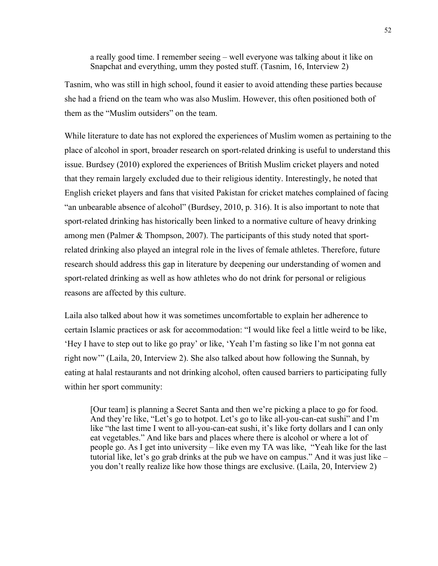a really good time. I remember seeing – well everyone was talking about it like on Snapchat and everything, umm they posted stuff. (Tasnim, 16, Interview 2)

Tasnim, who was still in high school, found it easier to avoid attending these parties because she had a friend on the team who was also Muslim. However, this often positioned both of them as the "Muslim outsiders" on the team.

While literature to date has not explored the experiences of Muslim women as pertaining to the place of alcohol in sport, broader research on sport-related drinking is useful to understand this issue. Burdsey (2010) explored the experiences of British Muslim cricket players and noted that they remain largely excluded due to their religious identity. Interestingly, he noted that English cricket players and fans that visited Pakistan for cricket matches complained of facing "an unbearable absence of alcohol" (Burdsey, 2010, p. 316). It is also important to note that sport-related drinking has historically been linked to a normative culture of heavy drinking among men (Palmer & Thompson, 2007). The participants of this study noted that sportrelated drinking also played an integral role in the lives of female athletes. Therefore, future research should address this gap in literature by deepening our understanding of women and sport-related drinking as well as how athletes who do not drink for personal or religious reasons are affected by this culture.

Laila also talked about how it was sometimes uncomfortable to explain her adherence to certain Islamic practices or ask for accommodation: "I would like feel a little weird to be like, 'Hey I have to step out to like go pray' or like, 'Yeah I'm fasting so like I'm not gonna eat right now'" (Laila, 20, Interview 2). She also talked about how following the Sunnah, by eating at halal restaurants and not drinking alcohol, often caused barriers to participating fully within her sport community:

[Our team] is planning a Secret Santa and then we're picking a place to go for food. And they're like, "Let's go to hotpot. Let's go to like all-you-can-eat sushi" and I'm like "the last time I went to all-you-can-eat sushi, it's like forty dollars and I can only eat vegetables." And like bars and places where there is alcohol or where a lot of people go. As I get into university – like even my TA was like, "Yeah like for the last tutorial like, let's go grab drinks at the pub we have on campus." And it was just like – you don't really realize like how those things are exclusive. (Laila, 20, Interview 2)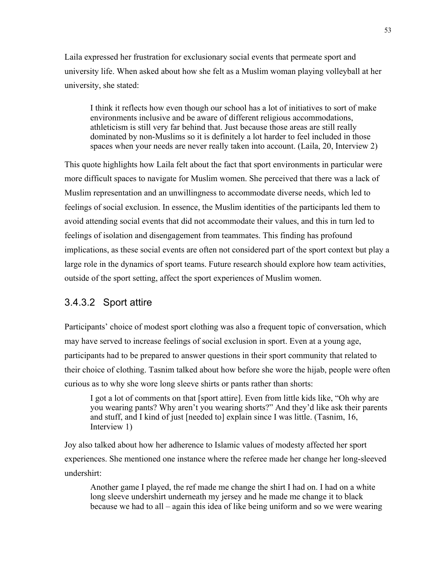Laila expressed her frustration for exclusionary social events that permeate sport and university life. When asked about how she felt as a Muslim woman playing volleyball at her university, she stated:

I think it reflects how even though our school has a lot of initiatives to sort of make environments inclusive and be aware of different religious accommodations, athleticism is still very far behind that. Just because those areas are still really dominated by non-Muslims so it is definitely a lot harder to feel included in those spaces when your needs are never really taken into account. (Laila, 20, Interview 2)

This quote highlights how Laila felt about the fact that sport environments in particular were more difficult spaces to navigate for Muslim women. She perceived that there was a lack of Muslim representation and an unwillingness to accommodate diverse needs, which led to feelings of social exclusion. In essence, the Muslim identities of the participants led them to avoid attending social events that did not accommodate their values, and this in turn led to feelings of isolation and disengagement from teammates. This finding has profound implications, as these social events are often not considered part of the sport context but play a large role in the dynamics of sport teams. Future research should explore how team activities, outside of the sport setting, affect the sport experiences of Muslim women.

#### 3.4.3.2 Sport attire

Participants' choice of modest sport clothing was also a frequent topic of conversation, which may have served to increase feelings of social exclusion in sport. Even at a young age, participants had to be prepared to answer questions in their sport community that related to their choice of clothing. Tasnim talked about how before she wore the hijab, people were often curious as to why she wore long sleeve shirts or pants rather than shorts:

I got a lot of comments on that [sport attire]. Even from little kids like, "Oh why are you wearing pants? Why aren't you wearing shorts?" And they'd like ask their parents and stuff, and I kind of just [needed to] explain since I was little. (Tasnim, 16, Interview 1)

Joy also talked about how her adherence to Islamic values of modesty affected her sport experiences. She mentioned one instance where the referee made her change her long-sleeved undershirt:

Another game I played, the ref made me change the shirt I had on. I had on a white long sleeve undershirt underneath my jersey and he made me change it to black because we had to all – again this idea of like being uniform and so we were wearing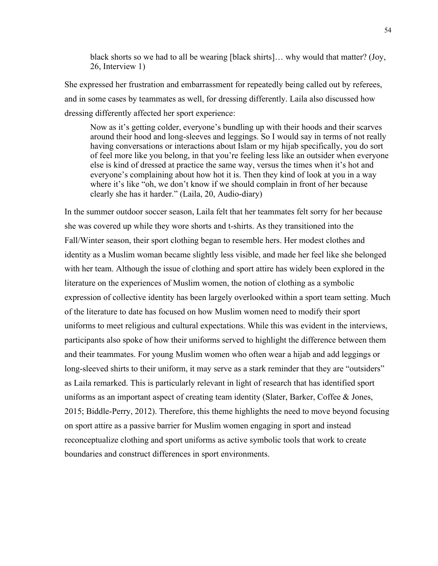black shorts so we had to all be wearing [black shirts]… why would that matter? (Joy, 26, Interview 1)

She expressed her frustration and embarrassment for repeatedly being called out by referees, and in some cases by teammates as well, for dressing differently. Laila also discussed how dressing differently affected her sport experience:

Now as it's getting colder, everyone's bundling up with their hoods and their scarves around their hood and long-sleeves and leggings. So I would say in terms of not really having conversations or interactions about Islam or my hijab specifically, you do sort of feel more like you belong, in that you're feeling less like an outsider when everyone else is kind of dressed at practice the same way, versus the times when it's hot and everyone's complaining about how hot it is. Then they kind of look at you in a way where it's like "oh, we don't know if we should complain in front of her because clearly she has it harder." (Laila, 20, Audio-diary)

In the summer outdoor soccer season, Laila felt that her teammates felt sorry for her because she was covered up while they wore shorts and t-shirts. As they transitioned into the Fall/Winter season, their sport clothing began to resemble hers. Her modest clothes and identity as a Muslim woman became slightly less visible, and made her feel like she belonged with her team. Although the issue of clothing and sport attire has widely been explored in the literature on the experiences of Muslim women, the notion of clothing as a symbolic expression of collective identity has been largely overlooked within a sport team setting. Much of the literature to date has focused on how Muslim women need to modify their sport uniforms to meet religious and cultural expectations. While this was evident in the interviews, participants also spoke of how their uniforms served to highlight the difference between them and their teammates. For young Muslim women who often wear a hijab and add leggings or long-sleeved shirts to their uniform, it may serve as a stark reminder that they are "outsiders" as Laila remarked. This is particularly relevant in light of research that has identified sport uniforms as an important aspect of creating team identity (Slater, Barker, Coffee & Jones, 2015; Biddle-Perry, 2012). Therefore, this theme highlights the need to move beyond focusing on sport attire as a passive barrier for Muslim women engaging in sport and instead reconceptualize clothing and sport uniforms as active symbolic tools that work to create boundaries and construct differences in sport environments.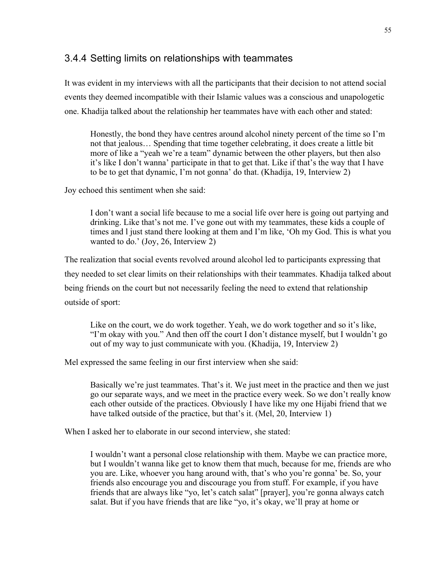### 3.4.4 Setting limits on relationships with teammates

It was evident in my interviews with all the participants that their decision to not attend social events they deemed incompatible with their Islamic values was a conscious and unapologetic one. Khadija talked about the relationship her teammates have with each other and stated:

Honestly, the bond they have centres around alcohol ninety percent of the time so I'm not that jealous… Spending that time together celebrating, it does create a little bit more of like a "yeah we're a team" dynamic between the other players, but then also it's like I don't wanna' participate in that to get that. Like if that's the way that I have to be to get that dynamic, I'm not gonna' do that. (Khadija, 19, Interview 2)

Joy echoed this sentiment when she said:

I don't want a social life because to me a social life over here is going out partying and drinking. Like that's not me. I've gone out with my teammates, these kids a couple of times and l just stand there looking at them and I'm like, 'Oh my God. This is what you wanted to do.' (Joy, 26, Interview 2)

The realization that social events revolved around alcohol led to participants expressing that they needed to set clear limits on their relationships with their teammates. Khadija talked about being friends on the court but not necessarily feeling the need to extend that relationship outside of sport:

Like on the court, we do work together. Yeah, we do work together and so it's like, "I'm okay with you." And then off the court I don't distance myself, but I wouldn't go out of my way to just communicate with you. (Khadija, 19, Interview 2)

Mel expressed the same feeling in our first interview when she said:

Basically we're just teammates. That's it. We just meet in the practice and then we just go our separate ways, and we meet in the practice every week. So we don't really know each other outside of the practices. Obviously I have like my one Hijabi friend that we have talked outside of the practice, but that's it. (Mel, 20, Interview 1)

When I asked her to elaborate in our second interview, she stated:

I wouldn't want a personal close relationship with them. Maybe we can practice more, but I wouldn't wanna like get to know them that much, because for me, friends are who you are. Like, whoever you hang around with, that's who you're gonna' be. So, your friends also encourage you and discourage you from stuff. For example, if you have friends that are always like "yo, let's catch salat" [prayer], you're gonna always catch salat. But if you have friends that are like "yo, it's okay, we'll pray at home or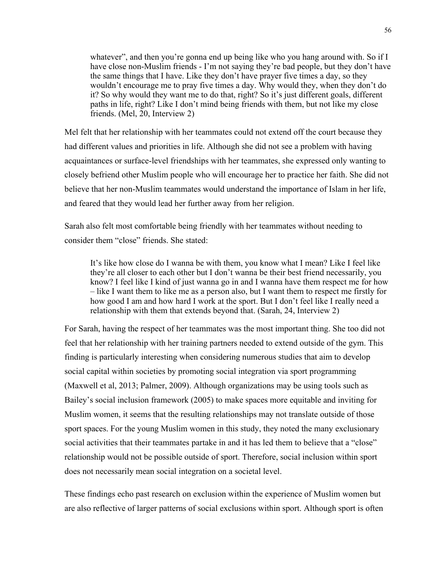whatever", and then you're gonna end up being like who you hang around with. So if I have close non-Muslim friends - I'm not saying they're bad people, but they don't have the same things that I have. Like they don't have prayer five times a day, so they wouldn't encourage me to pray five times a day. Why would they, when they don't do it? So why would they want me to do that, right? So it's just different goals, different paths in life, right? Like I don't mind being friends with them, but not like my close friends. (Mel, 20, Interview 2)

Mel felt that her relationship with her teammates could not extend off the court because they had different values and priorities in life. Although she did not see a problem with having acquaintances or surface-level friendships with her teammates, she expressed only wanting to closely befriend other Muslim people who will encourage her to practice her faith. She did not believe that her non-Muslim teammates would understand the importance of Islam in her life, and feared that they would lead her further away from her religion.

Sarah also felt most comfortable being friendly with her teammates without needing to consider them "close" friends. She stated:

It's like how close do I wanna be with them, you know what I mean? Like I feel like they're all closer to each other but I don't wanna be their best friend necessarily, you know? I feel like I kind of just wanna go in and I wanna have them respect me for how – like I want them to like me as a person also, but I want them to respect me firstly for how good I am and how hard I work at the sport. But I don't feel like I really need a relationship with them that extends beyond that. (Sarah, 24, Interview 2)

For Sarah, having the respect of her teammates was the most important thing. She too did not feel that her relationship with her training partners needed to extend outside of the gym. This finding is particularly interesting when considering numerous studies that aim to develop social capital within societies by promoting social integration via sport programming (Maxwell et al, 2013; Palmer, 2009). Although organizations may be using tools such as Bailey's social inclusion framework (2005) to make spaces more equitable and inviting for Muslim women, it seems that the resulting relationships may not translate outside of those sport spaces. For the young Muslim women in this study, they noted the many exclusionary social activities that their teammates partake in and it has led them to believe that a "close" relationship would not be possible outside of sport. Therefore, social inclusion within sport does not necessarily mean social integration on a societal level.

These findings echo past research on exclusion within the experience of Muslim women but are also reflective of larger patterns of social exclusions within sport. Although sport is often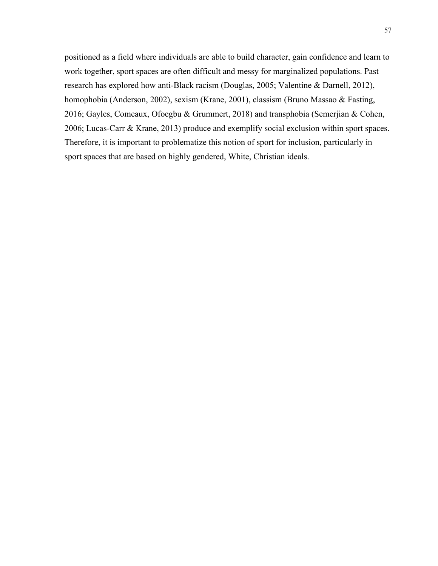positioned as a field where individuals are able to build character, gain confidence and learn to work together, sport spaces are often difficult and messy for marginalized populations. Past research has explored how anti-Black racism (Douglas, 2005; Valentine & Darnell, 2012), homophobia (Anderson, 2002), sexism (Krane, 2001), classism (Bruno Massao & Fasting, 2016; Gayles, Comeaux, Ofoegbu & Grummert, 2018) and transphobia (Semerjian & Cohen, 2006; Lucas-Carr & Krane, 2013) produce and exemplify social exclusion within sport spaces. Therefore, it is important to problematize this notion of sport for inclusion, particularly in sport spaces that are based on highly gendered, White, Christian ideals.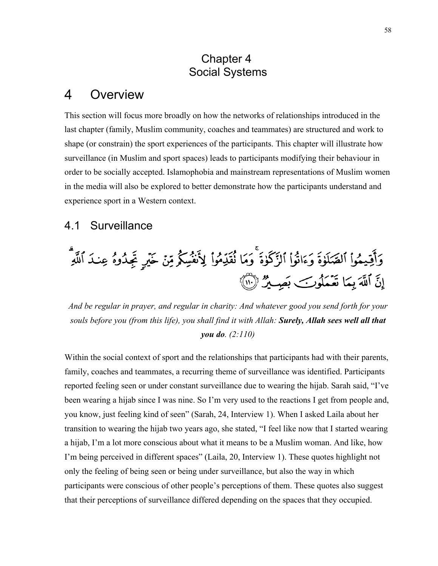## Chapter 4 Social Systems

#### $\overline{4}$ **Overview**

This section will focus more broadly on how the networks of relationships introduced in the last chapter (family, Muslim community, coaches and teammates) are structured and work to shape (or constrain) the sport experiences of the participants. This chapter will illustrate how surveillance (in Muslim and sport spaces) leads to participants modifying their behaviour in order to be socially accepted. Islamophobia and mainstream representations of Muslim women in the media will also be explored to better demonstrate how the participants understand and experience sport in a Western context.

## 4.1 Surveillance

وَأَقِيمُواْ ٱلصَّلَوٰةَ وَءَاتُواْ ٱلزَّكَوٰةَ ۚ وَمَا نُقَدِّمُواْ لِأَنفُسِكُمْ مِّنۡ خَيۡرٍ تَجِدُوهُ عِندَ ٱللَّهِ إِنَّ ٱللَّهَ بِمَا تَعْمَلُوبَ بَصِينٌ (١١)

*And be regular in prayer, and regular in charity: And whatever good you send forth for your souls before you (from this life), you shall find it with Allah: Surely, Allah sees well all that you do. (2:110)* 

Within the social context of sport and the relationships that participants had with their parents, family, coaches and teammates, a recurring theme of surveillance was identified. Participants reported feeling seen or under constant surveillance due to wearing the hijab. Sarah said, "I've been wearing a hijab since I was nine. So I'm very used to the reactions I get from people and, you know, just feeling kind of seen" (Sarah, 24, Interview 1). When I asked Laila about her transition to wearing the hijab two years ago, she stated, "I feel like now that I started wearing a hijab, I'm a lot more conscious about what it means to be a Muslim woman. And like, how I'm being perceived in different spaces" (Laila, 20, Interview 1). These quotes highlight not only the feeling of being seen or being under surveillance, but also the way in which participants were conscious of other people's perceptions of them. These quotes also suggest that their perceptions of surveillance differed depending on the spaces that they occupied.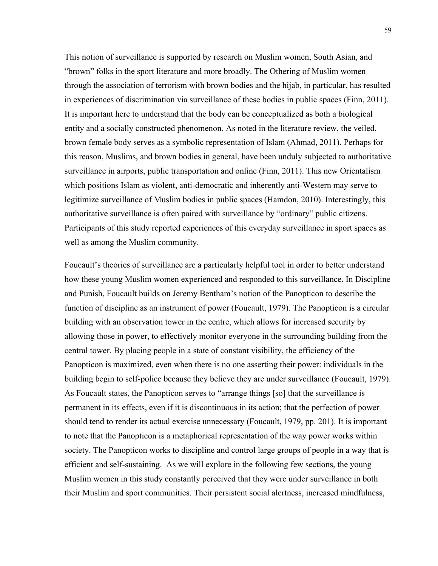This notion of surveillance is supported by research on Muslim women, South Asian, and "brown" folks in the sport literature and more broadly. The Othering of Muslim women through the association of terrorism with brown bodies and the hijab, in particular, has resulted in experiences of discrimination via surveillance of these bodies in public spaces (Finn, 2011). It is important here to understand that the body can be conceptualized as both a biological entity and a socially constructed phenomenon. As noted in the literature review, the veiled, brown female body serves as a symbolic representation of Islam (Ahmad, 2011). Perhaps for this reason, Muslims, and brown bodies in general, have been unduly subjected to authoritative surveillance in airports, public transportation and online (Finn, 2011). This new Orientalism which positions Islam as violent, anti-democratic and inherently anti-Western may serve to legitimize surveillance of Muslim bodies in public spaces (Hamdon, 2010). Interestingly, this authoritative surveillance is often paired with surveillance by "ordinary" public citizens. Participants of this study reported experiences of this everyday surveillance in sport spaces as well as among the Muslim community.

Foucault's theories of surveillance are a particularly helpful tool in order to better understand how these young Muslim women experienced and responded to this surveillance. In Discipline and Punish, Foucault builds on Jeremy Bentham's notion of the Panopticon to describe the function of discipline as an instrument of power (Foucault, 1979). The Panopticon is a circular building with an observation tower in the centre, which allows for increased security by allowing those in power, to effectively monitor everyone in the surrounding building from the central tower. By placing people in a state of constant visibility, the efficiency of the Panopticon is maximized, even when there is no one asserting their power: individuals in the building begin to self-police because they believe they are under surveillance (Foucault, 1979). As Foucault states, the Panopticon serves to "arrange things [so] that the surveillance is permanent in its effects, even if it is discontinuous in its action; that the perfection of power should tend to render its actual exercise unnecessary (Foucault, 1979, pp. 201). It is important to note that the Panopticon is a metaphorical representation of the way power works within society. The Panopticon works to discipline and control large groups of people in a way that is efficient and self-sustaining. As we will explore in the following few sections, the young Muslim women in this study constantly perceived that they were under surveillance in both their Muslim and sport communities. Their persistent social alertness, increased mindfulness,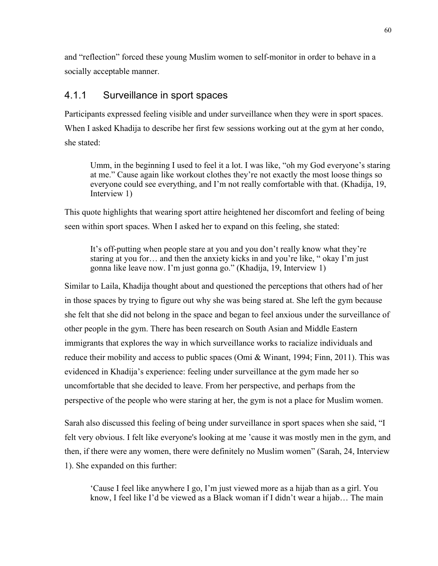and "reflection" forced these young Muslim women to self-monitor in order to behave in a socially acceptable manner.

#### 4.1.1 Surveillance in sport spaces

Participants expressed feeling visible and under surveillance when they were in sport spaces. When I asked Khadija to describe her first few sessions working out at the gym at her condo, she stated:

Umm, in the beginning I used to feel it a lot. I was like, "oh my God everyone's staring at me." Cause again like workout clothes they're not exactly the most loose things so everyone could see everything, and I'm not really comfortable with that. (Khadija, 19, Interview 1)

This quote highlights that wearing sport attire heightened her discomfort and feeling of being seen within sport spaces. When I asked her to expand on this feeling, she stated:

It's off-putting when people stare at you and you don't really know what they're staring at you for… and then the anxiety kicks in and you're like, " okay I'm just gonna like leave now. I'm just gonna go." (Khadija, 19, Interview 1)

Similar to Laila, Khadija thought about and questioned the perceptions that others had of her in those spaces by trying to figure out why she was being stared at. She left the gym because she felt that she did not belong in the space and began to feel anxious under the surveillance of other people in the gym. There has been research on South Asian and Middle Eastern immigrants that explores the way in which surveillance works to racialize individuals and reduce their mobility and access to public spaces (Omi & Winant, 1994; Finn, 2011). This was evidenced in Khadija's experience: feeling under surveillance at the gym made her so uncomfortable that she decided to leave. From her perspective, and perhaps from the perspective of the people who were staring at her, the gym is not a place for Muslim women.

Sarah also discussed this feeling of being under surveillance in sport spaces when she said, "I felt very obvious. I felt like everyone's looking at me 'cause it was mostly men in the gym, and then, if there were any women, there were definitely no Muslim women" (Sarah, 24, Interview 1). She expanded on this further:

'Cause I feel like anywhere I go, I'm just viewed more as a hijab than as a girl. You know, I feel like I'd be viewed as a Black woman if I didn't wear a hijab… The main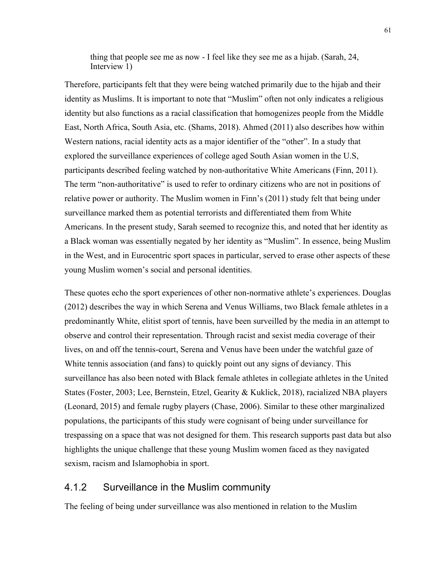thing that people see me as now - I feel like they see me as a hijab. (Sarah, 24, Interview 1)

Therefore, participants felt that they were being watched primarily due to the hijab and their identity as Muslims. It is important to note that "Muslim" often not only indicates a religious identity but also functions as a racial classification that homogenizes people from the Middle East, North Africa, South Asia, etc. (Shams, 2018). Ahmed (2011) also describes how within Western nations, racial identity acts as a major identifier of the "other". In a study that explored the surveillance experiences of college aged South Asian women in the U.S, participants described feeling watched by non-authoritative White Americans (Finn, 2011). The term "non-authoritative" is used to refer to ordinary citizens who are not in positions of relative power or authority. The Muslim women in Finn's (2011) study felt that being under surveillance marked them as potential terrorists and differentiated them from White Americans. In the present study, Sarah seemed to recognize this, and noted that her identity as a Black woman was essentially negated by her identity as "Muslim". In essence, being Muslim in the West, and in Eurocentric sport spaces in particular, served to erase other aspects of these young Muslim women's social and personal identities.

These quotes echo the sport experiences of other non-normative athlete's experiences. Douglas (2012) describes the way in which Serena and Venus Williams, two Black female athletes in a predominantly White, elitist sport of tennis, have been surveilled by the media in an attempt to observe and control their representation. Through racist and sexist media coverage of their lives, on and off the tennis-court, Serena and Venus have been under the watchful gaze of White tennis association (and fans) to quickly point out any signs of deviancy. This surveillance has also been noted with Black female athletes in collegiate athletes in the United States (Foster, 2003; Lee, Bernstein, Etzel, Gearity & Kuklick, 2018), racialized NBA players (Leonard, 2015) and female rugby players (Chase, 2006). Similar to these other marginalized populations, the participants of this study were cognisant of being under surveillance for trespassing on a space that was not designed for them. This research supports past data but also highlights the unique challenge that these young Muslim women faced as they navigated sexism, racism and Islamophobia in sport.

#### 4.1.2 Surveillance in the Muslim community

The feeling of being under surveillance was also mentioned in relation to the Muslim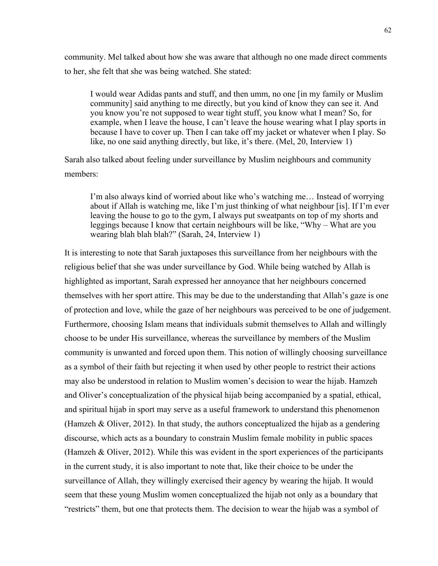community. Mel talked about how she was aware that although no one made direct comments to her, she felt that she was being watched. She stated:

I would wear Adidas pants and stuff, and then umm, no one [in my family or Muslim community] said anything to me directly, but you kind of know they can see it. And you know you're not supposed to wear tight stuff, you know what I mean? So, for example, when I leave the house, I can't leave the house wearing what I play sports in because I have to cover up. Then I can take off my jacket or whatever when I play. So like, no one said anything directly, but like, it's there. (Mel, 20, Interview 1)

Sarah also talked about feeling under surveillance by Muslim neighbours and community members:

I'm also always kind of worried about like who's watching me… Instead of worrying about if Allah is watching me, like I'm just thinking of what neighbour [is]. If I'm ever leaving the house to go to the gym, I always put sweatpants on top of my shorts and leggings because I know that certain neighbours will be like, "Why – What are you wearing blah blah blah?" (Sarah, 24, Interview 1)

It is interesting to note that Sarah juxtaposes this surveillance from her neighbours with the religious belief that she was under surveillance by God. While being watched by Allah is highlighted as important, Sarah expressed her annoyance that her neighbours concerned themselves with her sport attire. This may be due to the understanding that Allah's gaze is one of protection and love, while the gaze of her neighbours was perceived to be one of judgement. Furthermore, choosing Islam means that individuals submit themselves to Allah and willingly choose to be under His surveillance, whereas the surveillance by members of the Muslim community is unwanted and forced upon them. This notion of willingly choosing surveillance as a symbol of their faith but rejecting it when used by other people to restrict their actions may also be understood in relation to Muslim women's decision to wear the hijab. Hamzeh and Oliver's conceptualization of the physical hijab being accompanied by a spatial, ethical, and spiritual hijab in sport may serve as a useful framework to understand this phenomenon (Hamzeh & Oliver, 2012). In that study, the authors conceptualized the hijab as a gendering discourse, which acts as a boundary to constrain Muslim female mobility in public spaces (Hamzeh & Oliver, 2012). While this was evident in the sport experiences of the participants in the current study, it is also important to note that, like their choice to be under the surveillance of Allah, they willingly exercised their agency by wearing the hijab. It would seem that these young Muslim women conceptualized the hijab not only as a boundary that "restricts" them, but one that protects them. The decision to wear the hijab was a symbol of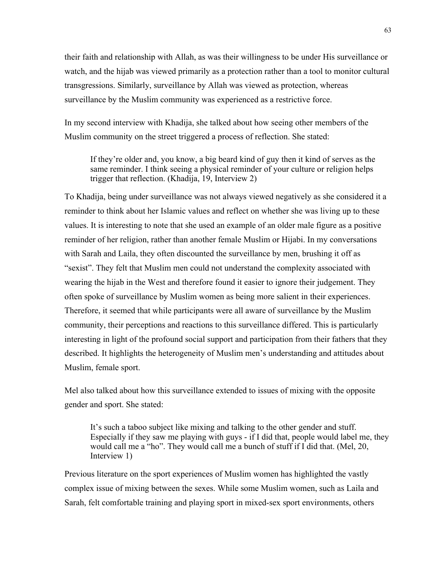their faith and relationship with Allah, as was their willingness to be under His surveillance or watch, and the hijab was viewed primarily as a protection rather than a tool to monitor cultural transgressions. Similarly, surveillance by Allah was viewed as protection, whereas surveillance by the Muslim community was experienced as a restrictive force.

In my second interview with Khadija, she talked about how seeing other members of the Muslim community on the street triggered a process of reflection. She stated:

If they're older and, you know, a big beard kind of guy then it kind of serves as the same reminder. I think seeing a physical reminder of your culture or religion helps trigger that reflection. (Khadija, 19, Interview 2)

To Khadija, being under surveillance was not always viewed negatively as she considered it a reminder to think about her Islamic values and reflect on whether she was living up to these values. It is interesting to note that she used an example of an older male figure as a positive reminder of her religion, rather than another female Muslim or Hijabi. In my conversations with Sarah and Laila, they often discounted the surveillance by men, brushing it off as "sexist". They felt that Muslim men could not understand the complexity associated with wearing the hijab in the West and therefore found it easier to ignore their judgement. They often spoke of surveillance by Muslim women as being more salient in their experiences. Therefore, it seemed that while participants were all aware of surveillance by the Muslim community, their perceptions and reactions to this surveillance differed. This is particularly interesting in light of the profound social support and participation from their fathers that they described. It highlights the heterogeneity of Muslim men's understanding and attitudes about Muslim, female sport.

Mel also talked about how this surveillance extended to issues of mixing with the opposite gender and sport. She stated:

It's such a taboo subject like mixing and talking to the other gender and stuff. Especially if they saw me playing with guys - if I did that, people would label me, they would call me a "ho". They would call me a bunch of stuff if I did that. (Mel, 20, Interview 1)

Previous literature on the sport experiences of Muslim women has highlighted the vastly complex issue of mixing between the sexes. While some Muslim women, such as Laila and Sarah, felt comfortable training and playing sport in mixed-sex sport environments, others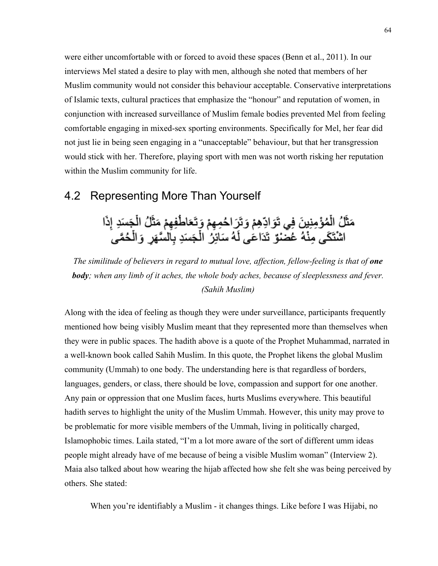were either uncomfortable with or forced to avoid these spaces (Benn et al., 2011). In our interviews Mel stated a desire to play with men, although she noted that members of her Muslim community would not consider this behaviour acceptable. Conservative interpretations of Islamic texts, cultural practices that emphasize the "honour" and reputation of women, in conjunction with increased surveillance of Muslim female bodies prevented Mel from feeling comfortable engaging in mixed-sex sporting environments. Specifically for Mel, her fear did not just lie in being seen engaging in a "unacceptable" behaviour, but that her transgression would stick with her. Therefore, playing sport with men was not worth risking her reputation within the Muslim community for life.

## 4.2 Representing More Than Yourself

مَثَّلُ الْمُؤْمِنِينَ فِي تَوَادِّهِمْ وَتَرَاحُمِهِمْ وَتَعَاطُفِهِمْ مَثَّلُ الْجَسَدِ إِذَا<br>اشْتَكَى مِنْهُ عُصْنْوٌ تَدَاعَى لَهُ سَائِرُ الْجَسَدِ بِالسَّهَرِ وَالْحُمَّى

*The similitude of believers in regard to mutual love, affection, fellow-feeling is that of one body; when any limb of it aches, the whole body aches, because of sleeplessness and fever. (Sahih Muslim)*

Along with the idea of feeling as though they were under surveillance, participants frequently mentioned how being visibly Muslim meant that they represented more than themselves when they were in public spaces. The hadith above is a quote of the Prophet Muhammad, narrated in a well-known book called Sahih Muslim. In this quote, the Prophet likens the global Muslim community (Ummah) to one body. The understanding here is that regardless of borders, languages, genders, or class, there should be love, compassion and support for one another. Any pain or oppression that one Muslim faces, hurts Muslims everywhere. This beautiful hadith serves to highlight the unity of the Muslim Ummah. However, this unity may prove to be problematic for more visible members of the Ummah, living in politically charged, Islamophobic times. Laila stated, "I'm a lot more aware of the sort of different umm ideas people might already have of me because of being a visible Muslim woman" (Interview 2). Maia also talked about how wearing the hijab affected how she felt she was being perceived by others. She stated:

When you're identifiably a Muslim - it changes things. Like before I was Hijabi, no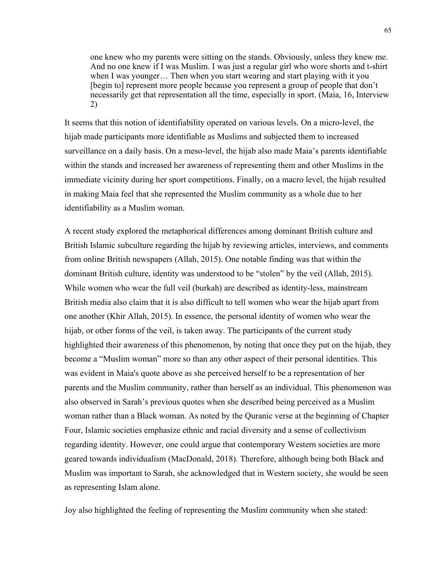one knew who my parents were sitting on the stands. Obviously, unless they knew me. And no one knew if I was Muslim. I was just a regular girl who wore shorts and t-shirt when I was younger… Then when you start wearing and start playing with it you [begin to] represent more people because you represent a group of people that don't necessarily get that representation all the time, especially in sport. (Maia, 16, Interview 2)

It seems that this notion of identifiability operated on various levels. On a micro-level, the hijab made participants more identifiable as Muslims and subjected them to increased surveillance on a daily basis. On a meso-level, the hijab also made Maia's parents identifiable within the stands and increased her awareness of representing them and other Muslims in the immediate vicinity during her sport competitions. Finally, on a macro level, the hijab resulted in making Maia feel that she represented the Muslim community as a whole due to her identifiability as a Muslim woman.

A recent study explored the metaphorical differences among dominant British culture and British Islamic subculture regarding the hijab by reviewing articles, interviews, and comments from online British newspapers (Allah, 2015). One notable finding was that within the dominant British culture, identity was understood to be "stolen" by the veil (Allah, 2015). While women who wear the full veil (burkah) are described as identity-less, mainstream British media also claim that it is also difficult to tell women who wear the hijab apart from one another (Khir Allah, 2015). In essence, the personal identity of women who wear the hijab, or other forms of the veil, is taken away. The participants of the current study highlighted their awareness of this phenomenon, by noting that once they put on the hijab, they become a "Muslim woman" more so than any other aspect of their personal identities. This was evident in Maia's quote above as she perceived herself to be a representation of her parents and the Muslim community, rather than herself as an individual. This phenomenon was also observed in Sarah's previous quotes when she described being perceived as a Muslim woman rather than a Black woman. As noted by the Quranic verse at the beginning of Chapter Four, Islamic societies emphasize ethnic and racial diversity and a sense of collectivism regarding identity. However, one could argue that contemporary Western societies are more geared towards individualism (MacDonald, 2018). Therefore, although being both Black and Muslim was important to Sarah, she acknowledged that in Western society, she would be seen as representing Islam alone.

Joy also highlighted the feeling of representing the Muslim community when she stated: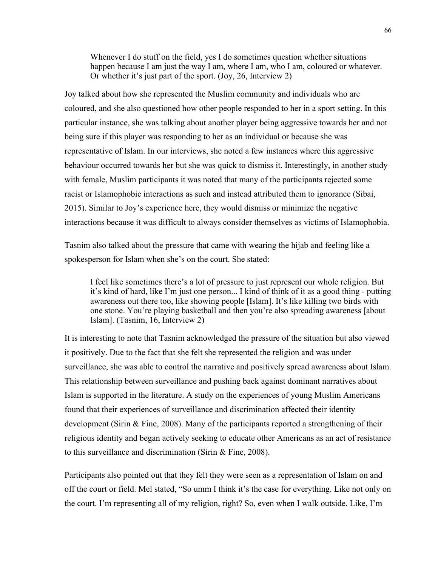Whenever I do stuff on the field, yes I do sometimes question whether situations happen because I am just the way I am, where I am, who I am, coloured or whatever. Or whether it's just part of the sport. (Joy, 26, Interview 2)

Joy talked about how she represented the Muslim community and individuals who are coloured, and she also questioned how other people responded to her in a sport setting. In this particular instance, she was talking about another player being aggressive towards her and not being sure if this player was responding to her as an individual or because she was representative of Islam. In our interviews, she noted a few instances where this aggressive behaviour occurred towards her but she was quick to dismiss it. Interestingly, in another study with female, Muslim participants it was noted that many of the participants rejected some racist or Islamophobic interactions as such and instead attributed them to ignorance (Sibai, 2015). Similar to Joy's experience here, they would dismiss or minimize the negative interactions because it was difficult to always consider themselves as victims of Islamophobia.

Tasnim also talked about the pressure that came with wearing the hijab and feeling like a spokesperson for Islam when she's on the court. She stated:

I feel like sometimes there's a lot of pressure to just represent our whole religion. But it's kind of hard, like I'm just one person... I kind of think of it as a good thing - putting awareness out there too, like showing people [Islam]. It's like killing two birds with one stone. You're playing basketball and then you're also spreading awareness [about Islam]. (Tasnim, 16, Interview 2)

It is interesting to note that Tasnim acknowledged the pressure of the situation but also viewed it positively. Due to the fact that she felt she represented the religion and was under surveillance, she was able to control the narrative and positively spread awareness about Islam. This relationship between surveillance and pushing back against dominant narratives about Islam is supported in the literature. A study on the experiences of young Muslim Americans found that their experiences of surveillance and discrimination affected their identity development (Sirin & Fine, 2008). Many of the participants reported a strengthening of their religious identity and began actively seeking to educate other Americans as an act of resistance to this surveillance and discrimination (Sirin & Fine, 2008).

Participants also pointed out that they felt they were seen as a representation of Islam on and off the court or field. Mel stated, "So umm I think it's the case for everything. Like not only on the court. I'm representing all of my religion, right? So, even when I walk outside. Like, I'm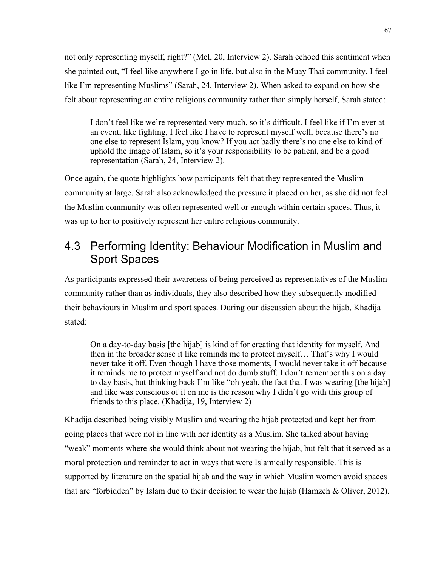not only representing myself, right?" (Mel, 20, Interview 2). Sarah echoed this sentiment when she pointed out, "I feel like anywhere I go in life, but also in the Muay Thai community, I feel like I'm representing Muslims" (Sarah, 24, Interview 2). When asked to expand on how she felt about representing an entire religious community rather than simply herself, Sarah stated:

I don't feel like we're represented very much, so it's difficult. I feel like if I'm ever at an event, like fighting, I feel like I have to represent myself well, because there's no one else to represent Islam, you know? If you act badly there's no one else to kind of uphold the image of Islam, so it's your responsibility to be patient, and be a good representation (Sarah, 24, Interview 2).

Once again, the quote highlights how participants felt that they represented the Muslim community at large. Sarah also acknowledged the pressure it placed on her, as she did not feel the Muslim community was often represented well or enough within certain spaces. Thus, it was up to her to positively represent her entire religious community.

# 4.3 Performing Identity: Behaviour Modification in Muslim and Sport Spaces

As participants expressed their awareness of being perceived as representatives of the Muslim community rather than as individuals, they also described how they subsequently modified their behaviours in Muslim and sport spaces. During our discussion about the hijab, Khadija stated:

On a day-to-day basis [the hijab] is kind of for creating that identity for myself. And then in the broader sense it like reminds me to protect myself… That's why I would never take it off. Even though I have those moments, I would never take it off because it reminds me to protect myself and not do dumb stuff. I don't remember this on a day to day basis, but thinking back I'm like "oh yeah, the fact that I was wearing [the hijab] and like was conscious of it on me is the reason why I didn't go with this group of friends to this place. (Khadija, 19, Interview 2)

Khadija described being visibly Muslim and wearing the hijab protected and kept her from going places that were not in line with her identity as a Muslim. She talked about having "weak" moments where she would think about not wearing the hijab, but felt that it served as a moral protection and reminder to act in ways that were Islamically responsible. This is supported by literature on the spatial hijab and the way in which Muslim women avoid spaces that are "forbidden" by Islam due to their decision to wear the hijab (Hamzeh & Oliver, 2012).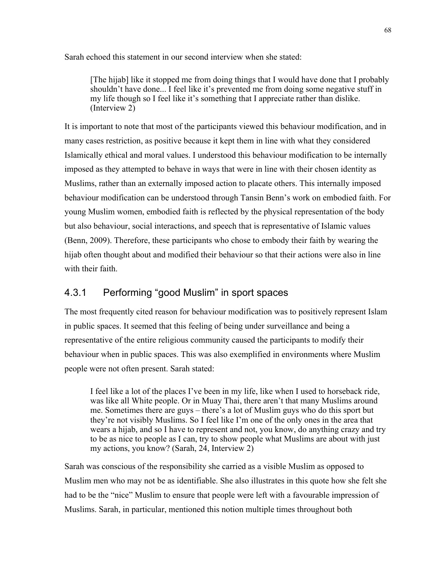Sarah echoed this statement in our second interview when she stated:

[The hijab] like it stopped me from doing things that I would have done that I probably shouldn't have done... I feel like it's prevented me from doing some negative stuff in my life though so I feel like it's something that I appreciate rather than dislike. (Interview 2)

It is important to note that most of the participants viewed this behaviour modification, and in many cases restriction, as positive because it kept them in line with what they considered Islamically ethical and moral values. I understood this behaviour modification to be internally imposed as they attempted to behave in ways that were in line with their chosen identity as Muslims, rather than an externally imposed action to placate others. This internally imposed behaviour modification can be understood through Tansin Benn's work on embodied faith. For young Muslim women, embodied faith is reflected by the physical representation of the body but also behaviour, social interactions, and speech that is representative of Islamic values (Benn, 2009). Therefore, these participants who chose to embody their faith by wearing the hijab often thought about and modified their behaviour so that their actions were also in line with their faith.

## 4.3.1 Performing "good Muslim" in sport spaces

The most frequently cited reason for behaviour modification was to positively represent Islam in public spaces. It seemed that this feeling of being under surveillance and being a representative of the entire religious community caused the participants to modify their behaviour when in public spaces. This was also exemplified in environments where Muslim people were not often present. Sarah stated:

I feel like a lot of the places I've been in my life, like when I used to horseback ride, was like all White people. Or in Muay Thai, there aren't that many Muslims around me. Sometimes there are guys – there's a lot of Muslim guys who do this sport but they're not visibly Muslims. So I feel like I'm one of the only ones in the area that wears a hijab, and so I have to represent and not, you know, do anything crazy and try to be as nice to people as I can, try to show people what Muslims are about with just my actions, you know? (Sarah, 24, Interview 2)

Sarah was conscious of the responsibility she carried as a visible Muslim as opposed to Muslim men who may not be as identifiable. She also illustrates in this quote how she felt she had to be the "nice" Muslim to ensure that people were left with a favourable impression of Muslims. Sarah, in particular, mentioned this notion multiple times throughout both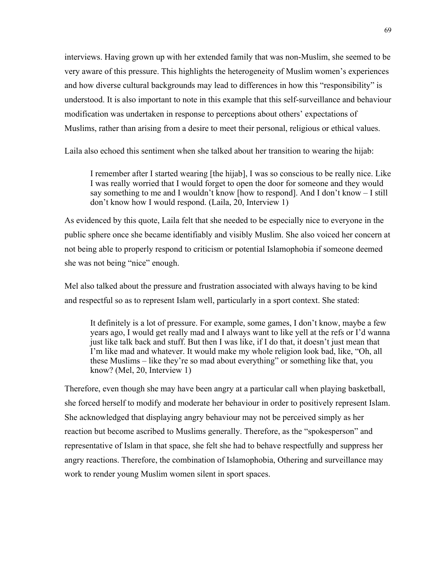interviews. Having grown up with her extended family that was non-Muslim, she seemed to be very aware of this pressure. This highlights the heterogeneity of Muslim women's experiences and how diverse cultural backgrounds may lead to differences in how this "responsibility" is understood. It is also important to note in this example that this self-surveillance and behaviour modification was undertaken in response to perceptions about others' expectations of Muslims, rather than arising from a desire to meet their personal, religious or ethical values.

Laila also echoed this sentiment when she talked about her transition to wearing the hijab:

I remember after I started wearing [the hijab], I was so conscious to be really nice. Like I was really worried that I would forget to open the door for someone and they would say something to me and I wouldn't know [how to respond]. And I don't know – I still don't know how I would respond. (Laila, 20, Interview 1)

As evidenced by this quote, Laila felt that she needed to be especially nice to everyone in the public sphere once she became identifiably and visibly Muslim. She also voiced her concern at not being able to properly respond to criticism or potential Islamophobia if someone deemed she was not being "nice" enough.

Mel also talked about the pressure and frustration associated with always having to be kind and respectful so as to represent Islam well, particularly in a sport context. She stated:

It definitely is a lot of pressure. For example, some games, I don't know, maybe a few years ago, I would get really mad and I always want to like yell at the refs or I'd wanna just like talk back and stuff. But then I was like, if I do that, it doesn't just mean that I'm like mad and whatever. It would make my whole religion look bad, like, "Oh, all these Muslims – like they're so mad about everything" or something like that, you know? (Mel, 20, Interview 1)

Therefore, even though she may have been angry at a particular call when playing basketball, she forced herself to modify and moderate her behaviour in order to positively represent Islam. She acknowledged that displaying angry behaviour may not be perceived simply as her reaction but become ascribed to Muslims generally. Therefore, as the "spokesperson" and representative of Islam in that space, she felt she had to behave respectfully and suppress her angry reactions. Therefore, the combination of Islamophobia, Othering and surveillance may work to render young Muslim women silent in sport spaces.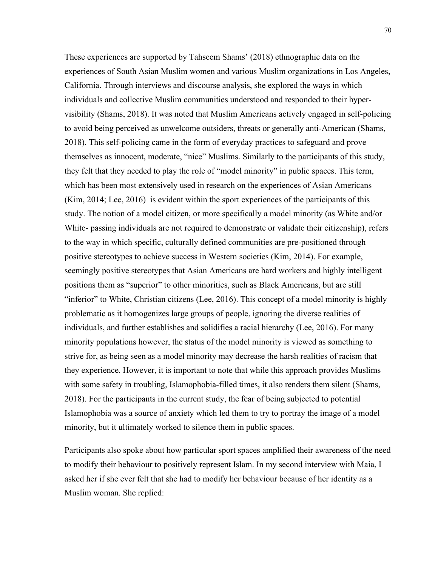These experiences are supported by Tahseem Shams' (2018) ethnographic data on the experiences of South Asian Muslim women and various Muslim organizations in Los Angeles, California. Through interviews and discourse analysis, she explored the ways in which individuals and collective Muslim communities understood and responded to their hypervisibility (Shams, 2018). It was noted that Muslim Americans actively engaged in self-policing to avoid being perceived as unwelcome outsiders, threats or generally anti-American (Shams, 2018). This self-policing came in the form of everyday practices to safeguard and prove themselves as innocent, moderate, "nice" Muslims. Similarly to the participants of this study, they felt that they needed to play the role of "model minority" in public spaces. This term, which has been most extensively used in research on the experiences of Asian Americans (Kim, 2014; Lee, 2016) is evident within the sport experiences of the participants of this study. The notion of a model citizen, or more specifically a model minority (as White and/or White- passing individuals are not required to demonstrate or validate their citizenship), refers to the way in which specific, culturally defined communities are pre-positioned through positive stereotypes to achieve success in Western societies (Kim, 2014). For example, seemingly positive stereotypes that Asian Americans are hard workers and highly intelligent positions them as "superior" to other minorities, such as Black Americans, but are still "inferior" to White, Christian citizens (Lee, 2016). This concept of a model minority is highly problematic as it homogenizes large groups of people, ignoring the diverse realities of individuals, and further establishes and solidifies a racial hierarchy (Lee, 2016). For many minority populations however, the status of the model minority is viewed as something to strive for, as being seen as a model minority may decrease the harsh realities of racism that they experience. However, it is important to note that while this approach provides Muslims with some safety in troubling, Islamophobia-filled times, it also renders them silent (Shams, 2018). For the participants in the current study, the fear of being subjected to potential Islamophobia was a source of anxiety which led them to try to portray the image of a model minority, but it ultimately worked to silence them in public spaces.

Participants also spoke about how particular sport spaces amplified their awareness of the need to modify their behaviour to positively represent Islam. In my second interview with Maia, I asked her if she ever felt that she had to modify her behaviour because of her identity as a Muslim woman. She replied: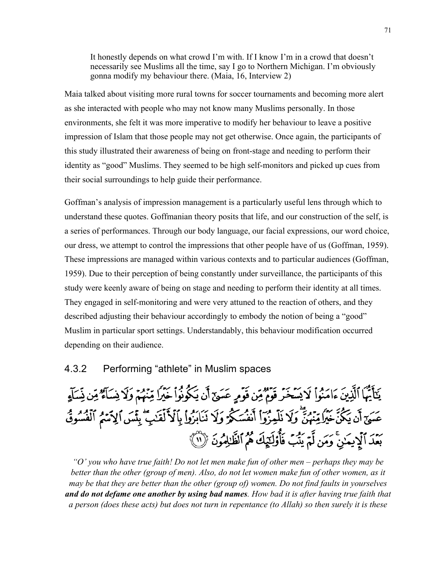It honestly depends on what crowd I'm with. If I know I'm in a crowd that doesn't necessarily see Muslims all the time, say I go to Northern Michigan. I'm obviously gonna modify my behaviour there. (Maia, 16, Interview 2)

Maia talked about visiting more rural towns for soccer tournaments and becoming more alert as she interacted with people who may not know many Muslims personally. In those environments, she felt it was more imperative to modify her behaviour to leave a positive impression of Islam that those people may not get otherwise. Once again, the participants of this study illustrated their awareness of being on front-stage and needing to perform their identity as "good" Muslims. They seemed to be high self-monitors and picked up cues from their social surroundings to help guide their performance.

Goffman's analysis of impression management is a particularly useful lens through which to understand these quotes. Goffmanian theory posits that life, and our construction of the self, is a series of performances. Through our body language, our facial expressions, our word choice, our dress, we attempt to control the impressions that other people have of us (Goffman, 1959). These impressions are managed within various contexts and to particular audiences (Goffman, 1959). Due to their perception of being constantly under surveillance, the participants of this study were keenly aware of being on stage and needing to perform their identity at all times. They engaged in self-monitoring and were very attuned to the reaction of others, and they described adjusting their behaviour accordingly to embody the notion of being a "good" Muslim in particular sport settings. Understandably, this behaviour modification occurred depending on their audience.

### 4.3.2 Performing "athlete" in Muslim spaces

يَتَأَيُّهَا ٱلَّذِينَ ءَامَنُواْ لَا يَسَخَّرُ قَوْمٌ مِّن قَوْمٍ عَسَىٰٓ أَن يَكُونُواْ خَيْرًا مِّنْهُمْ وَلَا نِسَآءٌ مِّن نِّسَآءٍ عَسَىٰٓ أَن يَكُنَّ خَيْرًا مِّنْهُمَّنَّ وَلَا نَلْمِزُوٓاْ أَنفُسَكُمْ وَلَا نَنَابَزُواْ بِٱلْأَلْقَدِيُّ بِئْسَ الِاَسْمُ ٱلْفُسُوقُ بَعْدَ ٱلْإِيمَٰنِ ۚ وَمَن لَّمۡ يَشُبُ فَأُوْلَٰٓئِكَ هُمُ ٱلظَّٰٓلِمُونَ ۚ (١) }

*"O' you who have true faith! Do not let men make fun of other men – perhaps they may be better than the other (group of men). Also, do not let women make fun of other women, as it may be that they are better than the other (group of) women. Do not find faults in yourselves and do not defame one another by using bad names. How bad it is after having true faith that a person (does these acts) but does not turn in repentance (to Allah) so then surely it is these*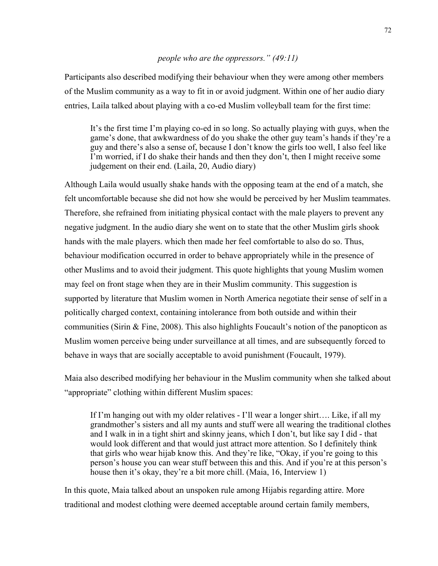### *people who are the oppressors." (49:11)*

Participants also described modifying their behaviour when they were among other members of the Muslim community as a way to fit in or avoid judgment. Within one of her audio diary entries, Laila talked about playing with a co-ed Muslim volleyball team for the first time:

It's the first time I'm playing co-ed in so long. So actually playing with guys, when the game's done, that awkwardness of do you shake the other guy team's hands if they're a guy and there's also a sense of, because I don't know the girls too well, I also feel like I'm worried, if I do shake their hands and then they don't, then I might receive some judgement on their end. (Laila, 20, Audio diary)

Although Laila would usually shake hands with the opposing team at the end of a match, she felt uncomfortable because she did not how she would be perceived by her Muslim teammates. Therefore, she refrained from initiating physical contact with the male players to prevent any negative judgment. In the audio diary she went on to state that the other Muslim girls shook hands with the male players. which then made her feel comfortable to also do so. Thus, behaviour modification occurred in order to behave appropriately while in the presence of other Muslims and to avoid their judgment. This quote highlights that young Muslim women may feel on front stage when they are in their Muslim community. This suggestion is supported by literature that Muslim women in North America negotiate their sense of self in a politically charged context, containing intolerance from both outside and within their communities (Sirin & Fine, 2008). This also highlights Foucault's notion of the panopticon as Muslim women perceive being under surveillance at all times, and are subsequently forced to behave in ways that are socially acceptable to avoid punishment (Foucault, 1979).

Maia also described modifying her behaviour in the Muslim community when she talked about "appropriate" clothing within different Muslim spaces:

If I'm hanging out with my older relatives - I'll wear a longer shirt…. Like, if all my grandmother's sisters and all my aunts and stuff were all wearing the traditional clothes and I walk in in a tight shirt and skinny jeans, which I don't, but like say I did - that would look different and that would just attract more attention. So I definitely think that girls who wear hijab know this. And they're like, "Okay, if you're going to this person's house you can wear stuff between this and this. And if you're at this person's house then it's okay, they're a bit more chill. (Maia, 16, Interview 1)

In this quote, Maia talked about an unspoken rule among Hijabis regarding attire. More traditional and modest clothing were deemed acceptable around certain family members,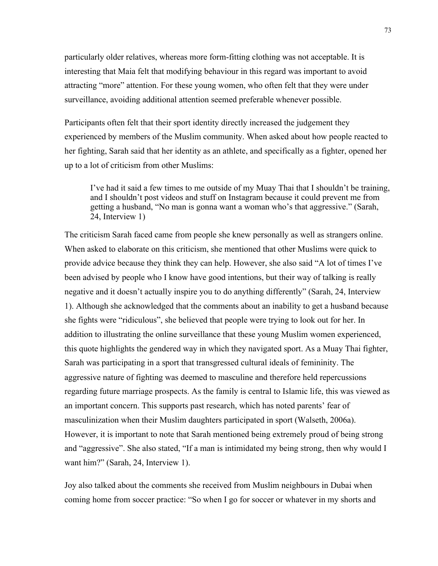particularly older relatives, whereas more form-fitting clothing was not acceptable. It is interesting that Maia felt that modifying behaviour in this regard was important to avoid attracting "more" attention. For these young women, who often felt that they were under surveillance, avoiding additional attention seemed preferable whenever possible.

Participants often felt that their sport identity directly increased the judgement they experienced by members of the Muslim community. When asked about how people reacted to her fighting, Sarah said that her identity as an athlete, and specifically as a fighter, opened her up to a lot of criticism from other Muslims:

I've had it said a few times to me outside of my Muay Thai that I shouldn't be training, and I shouldn't post videos and stuff on Instagram because it could prevent me from getting a husband, "No man is gonna want a woman who's that aggressive." (Sarah, 24, Interview 1)

The criticism Sarah faced came from people she knew personally as well as strangers online. When asked to elaborate on this criticism, she mentioned that other Muslims were quick to provide advice because they think they can help. However, she also said "A lot of times I've been advised by people who I know have good intentions, but their way of talking is really negative and it doesn't actually inspire you to do anything differently" (Sarah, 24, Interview 1). Although she acknowledged that the comments about an inability to get a husband because she fights were "ridiculous", she believed that people were trying to look out for her. In addition to illustrating the online surveillance that these young Muslim women experienced, this quote highlights the gendered way in which they navigated sport. As a Muay Thai fighter, Sarah was participating in a sport that transgressed cultural ideals of femininity. The aggressive nature of fighting was deemed to masculine and therefore held repercussions regarding future marriage prospects. As the family is central to Islamic life, this was viewed as an important concern. This supports past research, which has noted parents' fear of masculinization when their Muslim daughters participated in sport (Walseth, 2006a). However, it is important to note that Sarah mentioned being extremely proud of being strong and "aggressive". She also stated, "If a man is intimidated my being strong, then why would I want him?" (Sarah, 24, Interview 1).

Joy also talked about the comments she received from Muslim neighbours in Dubai when coming home from soccer practice: "So when I go for soccer or whatever in my shorts and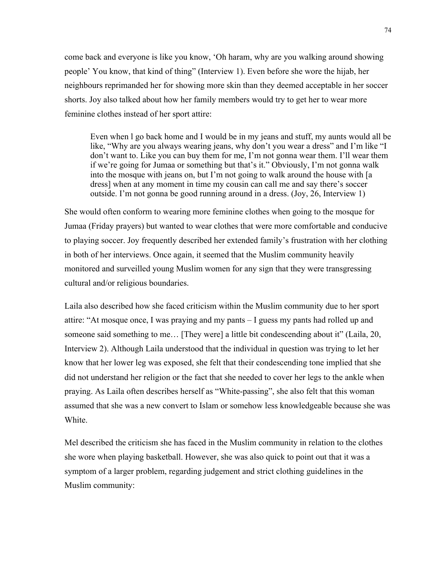come back and everyone is like you know, 'Oh haram, why are you walking around showing people' You know, that kind of thing" (Interview 1). Even before she wore the hijab, her neighbours reprimanded her for showing more skin than they deemed acceptable in her soccer shorts. Joy also talked about how her family members would try to get her to wear more feminine clothes instead of her sport attire:

Even when l go back home and I would be in my jeans and stuff, my aunts would all be like, "Why are you always wearing jeans, why don't you wear a dress" and I'm like "I don't want to. Like you can buy them for me, I'm not gonna wear them. I'll wear them if we're going for Jumaa or something but that's it." Obviously, I'm not gonna walk into the mosque with jeans on, but I'm not going to walk around the house with [a dress] when at any moment in time my cousin can call me and say there's soccer outside. I'm not gonna be good running around in a dress. (Joy, 26, Interview 1)

She would often conform to wearing more feminine clothes when going to the mosque for Jumaa (Friday prayers) but wanted to wear clothes that were more comfortable and conducive to playing soccer. Joy frequently described her extended family's frustration with her clothing in both of her interviews. Once again, it seemed that the Muslim community heavily monitored and surveilled young Muslim women for any sign that they were transgressing cultural and/or religious boundaries.

Laila also described how she faced criticism within the Muslim community due to her sport attire: "At mosque once, I was praying and my pants – I guess my pants had rolled up and someone said something to me… [They were] a little bit condescending about it" (Laila, 20, Interview 2). Although Laila understood that the individual in question was trying to let her know that her lower leg was exposed, she felt that their condescending tone implied that she did not understand her religion or the fact that she needed to cover her legs to the ankle when praying. As Laila often describes herself as "White-passing", she also felt that this woman assumed that she was a new convert to Islam or somehow less knowledgeable because she was White.

Mel described the criticism she has faced in the Muslim community in relation to the clothes she wore when playing basketball. However, she was also quick to point out that it was a symptom of a larger problem, regarding judgement and strict clothing guidelines in the Muslim community: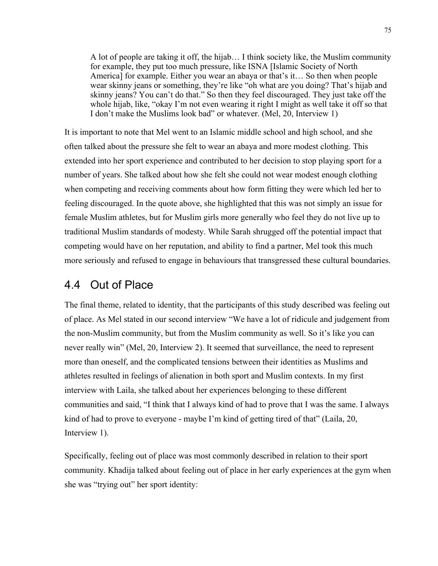A lot of people are taking it off, the hijab… I think society like, the Muslim community for example, they put too much pressure, like ISNA [Islamic Society of North America] for example. Either you wear an abaya or that's it… So then when people wear skinny jeans or something, they're like "oh what are you doing? That's hijab and skinny jeans? You can't do that." So then they feel discouraged. They just take off the whole hijab, like, "okay I'm not even wearing it right I might as well take it off so that I don't make the Muslims look bad" or whatever. (Mel, 20, Interview 1)

It is important to note that Mel went to an Islamic middle school and high school, and she often talked about the pressure she felt to wear an abaya and more modest clothing. This extended into her sport experience and contributed to her decision to stop playing sport for a number of years. She talked about how she felt she could not wear modest enough clothing when competing and receiving comments about how form fitting they were which led her to feeling discouraged. In the quote above, she highlighted that this was not simply an issue for female Muslim athletes, but for Muslim girls more generally who feel they do not live up to traditional Muslim standards of modesty. While Sarah shrugged off the potential impact that competing would have on her reputation, and ability to find a partner, Mel took this much more seriously and refused to engage in behaviours that transgressed these cultural boundaries.

## 4.4 Out of Place

The final theme, related to identity, that the participants of this study described was feeling out of place. As Mel stated in our second interview "We have a lot of ridicule and judgement from the non-Muslim community, but from the Muslim community as well. So it's like you can never really win" (Mel, 20, Interview 2). It seemed that surveillance, the need to represent more than oneself, and the complicated tensions between their identities as Muslims and athletes resulted in feelings of alienation in both sport and Muslim contexts. In my first interview with Laila, she talked about her experiences belonging to these different communities and said, "I think that I always kind of had to prove that I was the same. I always kind of had to prove to everyone - maybe I'm kind of getting tired of that" (Laila, 20, Interview 1).

Specifically, feeling out of place was most commonly described in relation to their sport community. Khadija talked about feeling out of place in her early experiences at the gym when she was "trying out" her sport identity: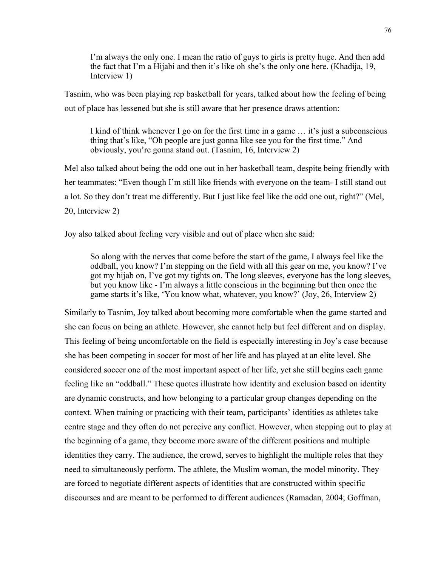I'm always the only one. I mean the ratio of guys to girls is pretty huge. And then add the fact that I'm a Hijabi and then it's like oh she's the only one here. (Khadija, 19, Interview 1)

Tasnim, who was been playing rep basketball for years, talked about how the feeling of being out of place has lessened but she is still aware that her presence draws attention:

I kind of think whenever I go on for the first time in a game … it's just a subconscious thing that's like, "Oh people are just gonna like see you for the first time." And obviously, you're gonna stand out. (Tasnim, 16, Interview 2)

Mel also talked about being the odd one out in her basketball team, despite being friendly with her teammates: "Even though I'm still like friends with everyone on the team- I still stand out a lot. So they don't treat me differently. But I just like feel like the odd one out, right?" (Mel, 20, Interview 2)

Joy also talked about feeling very visible and out of place when she said:

So along with the nerves that come before the start of the game, I always feel like the oddball, you know? I'm stepping on the field with all this gear on me, you know? I've got my hijab on, I've got my tights on. The long sleeves, everyone has the long sleeves, but you know like - I'm always a little conscious in the beginning but then once the game starts it's like, 'You know what, whatever, you know?' (Joy, 26, Interview 2)

Similarly to Tasnim, Joy talked about becoming more comfortable when the game started and she can focus on being an athlete. However, she cannot help but feel different and on display. This feeling of being uncomfortable on the field is especially interesting in Joy's case because she has been competing in soccer for most of her life and has played at an elite level. She considered soccer one of the most important aspect of her life, yet she still begins each game feeling like an "oddball." These quotes illustrate how identity and exclusion based on identity are dynamic constructs, and how belonging to a particular group changes depending on the context. When training or practicing with their team, participants' identities as athletes take centre stage and they often do not perceive any conflict. However, when stepping out to play at the beginning of a game, they become more aware of the different positions and multiple identities they carry. The audience, the crowd, serves to highlight the multiple roles that they need to simultaneously perform. The athlete, the Muslim woman, the model minority. They are forced to negotiate different aspects of identities that are constructed within specific discourses and are meant to be performed to different audiences (Ramadan, 2004; Goffman,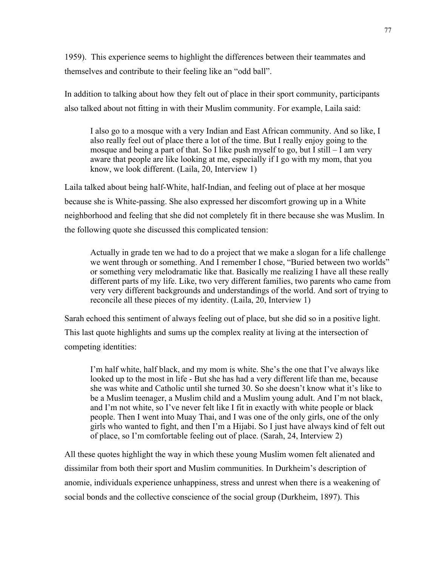1959). This experience seems to highlight the differences between their teammates and themselves and contribute to their feeling like an "odd ball".

In addition to talking about how they felt out of place in their sport community, participants also talked about not fitting in with their Muslim community. For example, Laila said:

I also go to a mosque with a very Indian and East African community. And so like, I also really feel out of place there a lot of the time. But I really enjoy going to the mosque and being a part of that. So I like push myself to go, but I still – I am very aware that people are like looking at me, especially if I go with my mom, that you know, we look different. (Laila, 20, Interview 1)

Laila talked about being half-White, half-Indian, and feeling out of place at her mosque because she is White-passing. She also expressed her discomfort growing up in a White neighborhood and feeling that she did not completely fit in there because she was Muslim. In the following quote she discussed this complicated tension:

Actually in grade ten we had to do a project that we make a slogan for a life challenge we went through or something. And I remember I chose, "Buried between two worlds" or something very melodramatic like that. Basically me realizing I have all these really different parts of my life. Like, two very different families, two parents who came from very very different backgrounds and understandings of the world. And sort of trying to reconcile all these pieces of my identity. (Laila, 20, Interview 1)

Sarah echoed this sentiment of always feeling out of place, but she did so in a positive light. This last quote highlights and sums up the complex reality at living at the intersection of competing identities:

I'm half white, half black, and my mom is white. She's the one that I've always like looked up to the most in life - But she has had a very different life than me, because she was white and Catholic until she turned 30. So she doesn't know what it's like to be a Muslim teenager, a Muslim child and a Muslim young adult. And I'm not black, and I'm not white, so I've never felt like I fit in exactly with white people or black people. Then I went into Muay Thai, and I was one of the only girls, one of the only girls who wanted to fight, and then I'm a Hijabi. So I just have always kind of felt out of place, so I'm comfortable feeling out of place. (Sarah, 24, Interview 2)

All these quotes highlight the way in which these young Muslim women felt alienated and dissimilar from both their sport and Muslim communities. In Durkheim's description of anomie, individuals experience unhappiness, stress and unrest when there is a weakening of social bonds and the collective conscience of the social group (Durkheim, 1897). This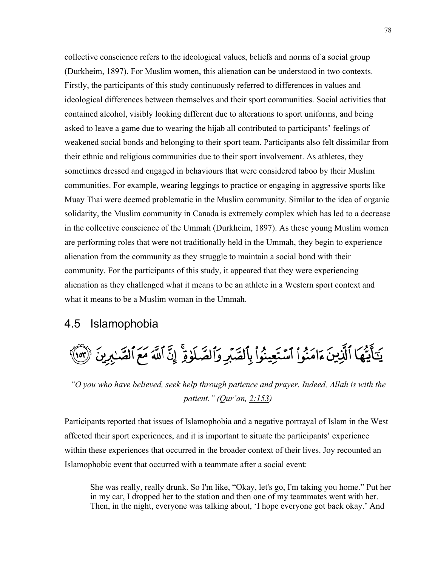collective conscience refers to the ideological values, beliefs and norms of a social group (Durkheim, 1897). For Muslim women, this alienation can be understood in two contexts. Firstly, the participants of this study continuously referred to differences in values and ideological differences between themselves and their sport communities. Social activities that contained alcohol, visibly looking different due to alterations to sport uniforms, and being asked to leave a game due to wearing the hijab all contributed to participants' feelings of weakened social bonds and belonging to their sport team. Participants also felt dissimilar from their ethnic and religious communities due to their sport involvement. As athletes, they sometimes dressed and engaged in behaviours that were considered taboo by their Muslim communities. For example, wearing leggings to practice or engaging in aggressive sports like Muay Thai were deemed problematic in the Muslim community. Similar to the idea of organic solidarity, the Muslim community in Canada is extremely complex which has led to a decrease in the collective conscience of the Ummah (Durkheim, 1897). As these young Muslim women are performing roles that were not traditionally held in the Ummah, they begin to experience alienation from the community as they struggle to maintain a social bond with their community. For the participants of this study, it appeared that they were experiencing alienation as they challenged what it means to be an athlete in a Western sport context and what it means to be a Muslim woman in the Ummah.

# 4.5 Islamophobia



*"O you who have believed, seek help through patience and prayer. Indeed, Allah is with the patient." (Qur'an, 2:153)*

Participants reported that issues of Islamophobia and a negative portrayal of Islam in the West affected their sport experiences, and it is important to situate the participants' experience within these experiences that occurred in the broader context of their lives. Joy recounted an Islamophobic event that occurred with a teammate after a social event:

She was really, really drunk. So I'm like, "Okay, let's go, I'm taking you home." Put her in my car, I dropped her to the station and then one of my teammates went with her. Then, in the night, everyone was talking about, 'I hope everyone got back okay.' And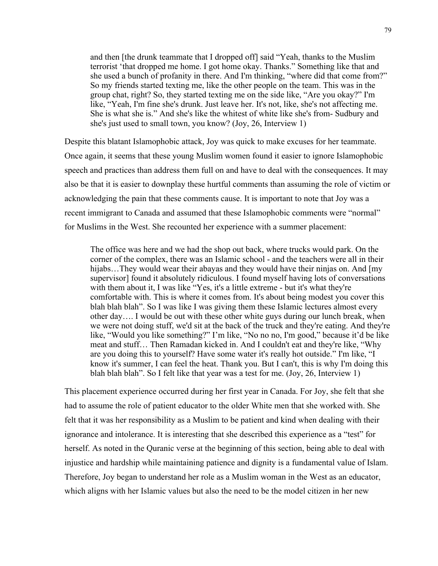and then [the drunk teammate that I dropped off] said "Yeah, thanks to the Muslim terrorist 'that dropped me home. I got home okay. Thanks." Something like that and she used a bunch of profanity in there. And I'm thinking, "where did that come from?" So my friends started texting me, like the other people on the team. This was in the group chat, right? So, they started texting me on the side like, "Are you okay?" I'm like, "Yeah, I'm fine she's drunk. Just leave her. It's not, like, she's not affecting me. She is what she is." And she's like the whitest of white like she's from- Sudbury and she's just used to small town, you know? (Joy, 26, Interview 1)

Despite this blatant Islamophobic attack, Joy was quick to make excuses for her teammate. Once again, it seems that these young Muslim women found it easier to ignore Islamophobic speech and practices than address them full on and have to deal with the consequences. It may also be that it is easier to downplay these hurtful comments than assuming the role of victim or acknowledging the pain that these comments cause. It is important to note that Joy was a recent immigrant to Canada and assumed that these Islamophobic comments were "normal" for Muslims in the West. She recounted her experience with a summer placement:

The office was here and we had the shop out back, where trucks would park. On the corner of the complex, there was an Islamic school - and the teachers were all in their hijabs...They would wear their abayas and they would have their ninjas on. And [my supervisor] found it absolutely ridiculous. I found myself having lots of conversations with them about it, I was like "Yes, it's a little extreme - but it's what they're comfortable with. This is where it comes from. It's about being modest you cover this blah blah blah". So I was like I was giving them these Islamic lectures almost every other day…. I would be out with these other white guys during our lunch break, when we were not doing stuff, we'd sit at the back of the truck and they're eating. And they're like, "Would you like something?" I'm like, "No no no, I'm good," because it'd be like meat and stuff… Then Ramadan kicked in. And I couldn't eat and they're like, "Why are you doing this to yourself? Have some water it's really hot outside." I'm like, "I know it's summer, I can feel the heat. Thank you. But I can't, this is why I'm doing this blah blah blah". So I felt like that year was a test for me. (Joy, 26, Interview 1)

This placement experience occurred during her first year in Canada. For Joy, she felt that she had to assume the role of patient educator to the older White men that she worked with. She felt that it was her responsibility as a Muslim to be patient and kind when dealing with their ignorance and intolerance. It is interesting that she described this experience as a "test" for herself. As noted in the Quranic verse at the beginning of this section, being able to deal with injustice and hardship while maintaining patience and dignity is a fundamental value of Islam. Therefore, Joy began to understand her role as a Muslim woman in the West as an educator, which aligns with her Islamic values but also the need to be the model citizen in her new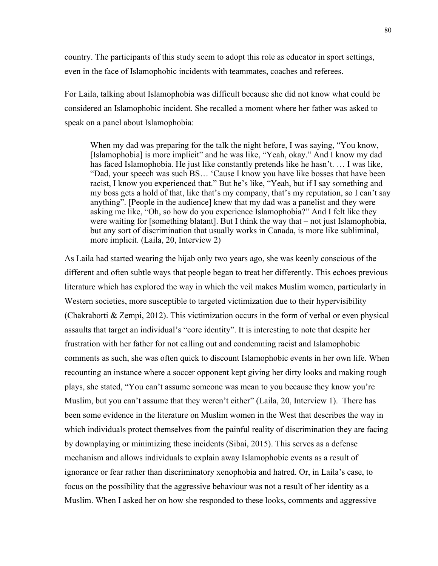country. The participants of this study seem to adopt this role as educator in sport settings, even in the face of Islamophobic incidents with teammates, coaches and referees.

For Laila, talking about Islamophobia was difficult because she did not know what could be considered an Islamophobic incident. She recalled a moment where her father was asked to speak on a panel about Islamophobia:

When my dad was preparing for the talk the night before, I was saying, "You know, [Islamophobia] is more implicit" and he was like, "Yeah, okay." And I know my dad has faced Islamophobia. He just like constantly pretends like he hasn't. … I was like, "Dad, your speech was such BS… 'Cause I know you have like bosses that have been racist, I know you experienced that." But he's like, "Yeah, but if I say something and my boss gets a hold of that, like that's my company, that's my reputation, so I can't say anything". [People in the audience] knew that my dad was a panelist and they were asking me like, "Oh, so how do you experience Islamophobia?" And I felt like they were waiting for [something blatant]. But I think the way that – not just Islamophobia, but any sort of discrimination that usually works in Canada, is more like subliminal, more implicit. (Laila, 20, Interview 2)

As Laila had started wearing the hijab only two years ago, she was keenly conscious of the different and often subtle ways that people began to treat her differently. This echoes previous literature which has explored the way in which the veil makes Muslim women, particularly in Western societies, more susceptible to targeted victimization due to their hypervisibility (Chakraborti & Zempi, 2012). This victimization occurs in the form of verbal or even physical assaults that target an individual's "core identity". It is interesting to note that despite her frustration with her father for not calling out and condemning racist and Islamophobic comments as such, she was often quick to discount Islamophobic events in her own life. When recounting an instance where a soccer opponent kept giving her dirty looks and making rough plays, she stated, "You can't assume someone was mean to you because they know you're Muslim, but you can't assume that they weren't either" (Laila, 20, Interview 1). There has been some evidence in the literature on Muslim women in the West that describes the way in which individuals protect themselves from the painful reality of discrimination they are facing by downplaying or minimizing these incidents (Sibai, 2015). This serves as a defense mechanism and allows individuals to explain away Islamophobic events as a result of ignorance or fear rather than discriminatory xenophobia and hatred. Or, in Laila's case, to focus on the possibility that the aggressive behaviour was not a result of her identity as a Muslim. When I asked her on how she responded to these looks, comments and aggressive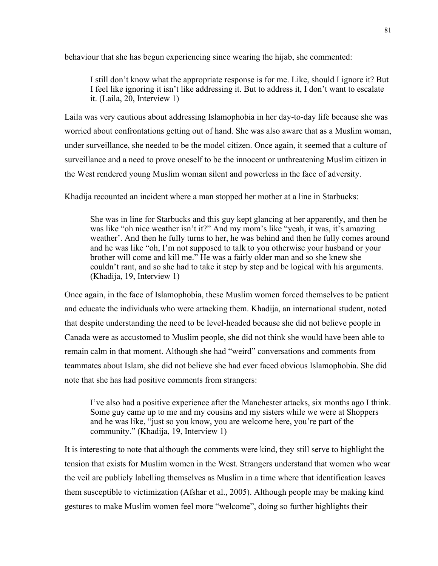behaviour that she has begun experiencing since wearing the hijab, she commented:

I still don't know what the appropriate response is for me. Like, should I ignore it? But I feel like ignoring it isn't like addressing it. But to address it, I don't want to escalate it. (Laila, 20, Interview 1)

Laila was very cautious about addressing Islamophobia in her day-to-day life because she was worried about confrontations getting out of hand. She was also aware that as a Muslim woman, under surveillance, she needed to be the model citizen. Once again, it seemed that a culture of surveillance and a need to prove oneself to be the innocent or unthreatening Muslim citizen in the West rendered young Muslim woman silent and powerless in the face of adversity.

Khadija recounted an incident where a man stopped her mother at a line in Starbucks:

She was in line for Starbucks and this guy kept glancing at her apparently, and then he was like "oh nice weather isn't it?" And my mom's like "yeah, it was, it's amazing weather'. And then he fully turns to her, he was behind and then he fully comes around and he was like "oh, I'm not supposed to talk to you otherwise your husband or your brother will come and kill me." He was a fairly older man and so she knew she couldn't rant, and so she had to take it step by step and be logical with his arguments. (Khadija, 19, Interview 1)

Once again, in the face of Islamophobia, these Muslim women forced themselves to be patient and educate the individuals who were attacking them. Khadija, an international student, noted that despite understanding the need to be level-headed because she did not believe people in Canada were as accustomed to Muslim people, she did not think she would have been able to remain calm in that moment. Although she had "weird" conversations and comments from teammates about Islam, she did not believe she had ever faced obvious Islamophobia. She did note that she has had positive comments from strangers:

I've also had a positive experience after the Manchester attacks, six months ago I think. Some guy came up to me and my cousins and my sisters while we were at Shoppers and he was like, "just so you know, you are welcome here, you're part of the community." (Khadija, 19, Interview 1)

It is interesting to note that although the comments were kind, they still serve to highlight the tension that exists for Muslim women in the West. Strangers understand that women who wear the veil are publicly labelling themselves as Muslim in a time where that identification leaves them susceptible to victimization (Afshar et al., 2005). Although people may be making kind gestures to make Muslim women feel more "welcome", doing so further highlights their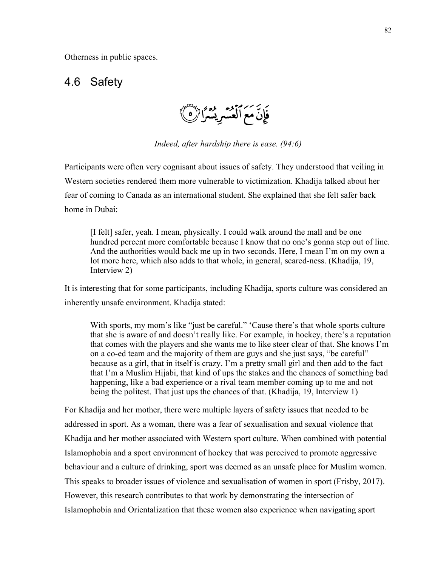Otherness in public spaces.

## 4.6 Safety

فَإِنَّ مَعَ ٱلْعُسْرِيْسُرًا ۚ

*Indeed, after hardship there is ease. (94:6)*

Participants were often very cognisant about issues of safety. They understood that veiling in Western societies rendered them more vulnerable to victimization. Khadija talked about her fear of coming to Canada as an international student. She explained that she felt safer back home in Dubai:

[I felt] safer, yeah. I mean, physically. I could walk around the mall and be one hundred percent more comfortable because I know that no one's gonna step out of line. And the authorities would back me up in two seconds. Here, I mean I'm on my own a lot more here, which also adds to that whole, in general, scared-ness. (Khadija, 19, Interview 2)

It is interesting that for some participants, including Khadija, sports culture was considered an inherently unsafe environment. Khadija stated:

With sports, my mom's like "just be careful." 'Cause there's that whole sports culture that she is aware of and doesn't really like. For example, in hockey, there's a reputation that comes with the players and she wants me to like steer clear of that. She knows I'm on a co-ed team and the majority of them are guys and she just says, "be careful" because as a girl, that in itself is crazy. I'm a pretty small girl and then add to the fact that I'm a Muslim Hijabi, that kind of ups the stakes and the chances of something bad happening, like a bad experience or a rival team member coming up to me and not being the politest. That just ups the chances of that. (Khadija, 19, Interview 1)

For Khadija and her mother, there were multiple layers of safety issues that needed to be addressed in sport. As a woman, there was a fear of sexualisation and sexual violence that Khadija and her mother associated with Western sport culture. When combined with potential Islamophobia and a sport environment of hockey that was perceived to promote aggressive behaviour and a culture of drinking, sport was deemed as an unsafe place for Muslim women. This speaks to broader issues of violence and sexualisation of women in sport (Frisby, 2017). However, this research contributes to that work by demonstrating the intersection of Islamophobia and Orientalization that these women also experience when navigating sport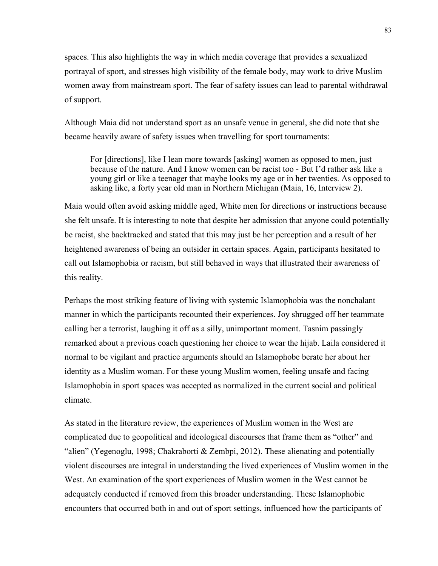spaces. This also highlights the way in which media coverage that provides a sexualized portrayal of sport, and stresses high visibility of the female body, may work to drive Muslim women away from mainstream sport. The fear of safety issues can lead to parental withdrawal of support.

Although Maia did not understand sport as an unsafe venue in general, she did note that she became heavily aware of safety issues when travelling for sport tournaments:

For [directions], like I lean more towards [asking] women as opposed to men, just because of the nature. And I know women can be racist too - But I'd rather ask like a young girl or like a teenager that maybe looks my age or in her twenties. As opposed to asking like, a forty year old man in Northern Michigan (Maia, 16, Interview 2).

Maia would often avoid asking middle aged, White men for directions or instructions because she felt unsafe. It is interesting to note that despite her admission that anyone could potentially be racist, she backtracked and stated that this may just be her perception and a result of her heightened awareness of being an outsider in certain spaces. Again, participants hesitated to call out Islamophobia or racism, but still behaved in ways that illustrated their awareness of this reality.

Perhaps the most striking feature of living with systemic Islamophobia was the nonchalant manner in which the participants recounted their experiences. Joy shrugged off her teammate calling her a terrorist, laughing it off as a silly, unimportant moment. Tasnim passingly remarked about a previous coach questioning her choice to wear the hijab. Laila considered it normal to be vigilant and practice arguments should an Islamophobe berate her about her identity as a Muslim woman. For these young Muslim women, feeling unsafe and facing Islamophobia in sport spaces was accepted as normalized in the current social and political climate.

As stated in the literature review, the experiences of Muslim women in the West are complicated due to geopolitical and ideological discourses that frame them as "other" and "alien" (Yegenoglu, 1998; Chakraborti & Zembpi, 2012). These alienating and potentially violent discourses are integral in understanding the lived experiences of Muslim women in the West. An examination of the sport experiences of Muslim women in the West cannot be adequately conducted if removed from this broader understanding. These Islamophobic encounters that occurred both in and out of sport settings, influenced how the participants of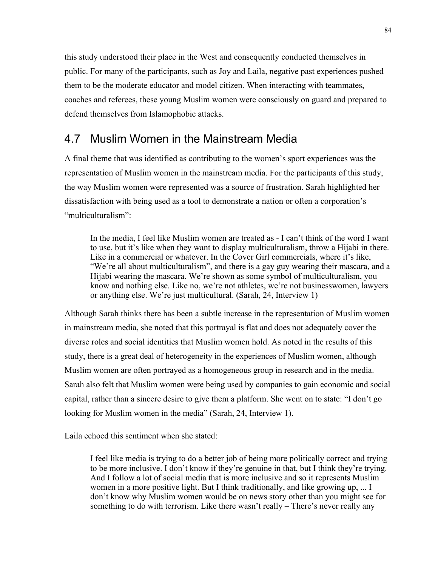this study understood their place in the West and consequently conducted themselves in public. For many of the participants, such as Joy and Laila, negative past experiences pushed them to be the moderate educator and model citizen. When interacting with teammates, coaches and referees, these young Muslim women were consciously on guard and prepared to defend themselves from Islamophobic attacks.

# 4.7 Muslim Women in the Mainstream Media

A final theme that was identified as contributing to the women's sport experiences was the representation of Muslim women in the mainstream media. For the participants of this study, the way Muslim women were represented was a source of frustration. Sarah highlighted her dissatisfaction with being used as a tool to demonstrate a nation or often a corporation's "multiculturalism":

In the media, I feel like Muslim women are treated as - I can't think of the word I want to use, but it's like when they want to display multiculturalism, throw a Hijabi in there. Like in a commercial or whatever. In the Cover Girl commercials, where it's like, "We're all about multiculturalism", and there is a gay guy wearing their mascara, and a Hijabi wearing the mascara. We're shown as some symbol of multiculturalism, you know and nothing else. Like no, we're not athletes, we're not businesswomen, lawyers or anything else. We're just multicultural. (Sarah, 24, Interview 1)

Although Sarah thinks there has been a subtle increase in the representation of Muslim women in mainstream media, she noted that this portrayal is flat and does not adequately cover the diverse roles and social identities that Muslim women hold. As noted in the results of this study, there is a great deal of heterogeneity in the experiences of Muslim women, although Muslim women are often portrayed as a homogeneous group in research and in the media. Sarah also felt that Muslim women were being used by companies to gain economic and social capital, rather than a sincere desire to give them a platform. She went on to state: "I don't go looking for Muslim women in the media" (Sarah, 24, Interview 1).

Laila echoed this sentiment when she stated:

I feel like media is trying to do a better job of being more politically correct and trying to be more inclusive. I don't know if they're genuine in that, but I think they're trying. And I follow a lot of social media that is more inclusive and so it represents Muslim women in a more positive light. But I think traditionally, and like growing up, ... I don't know why Muslim women would be on news story other than you might see for something to do with terrorism. Like there wasn't really – There's never really any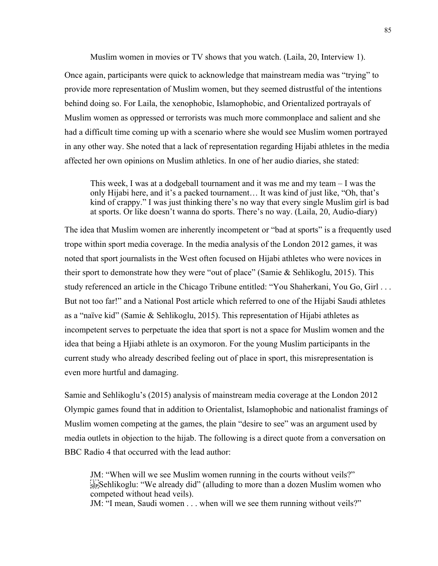Muslim women in movies or TV shows that you watch. (Laila, 20, Interview 1).

Once again, participants were quick to acknowledge that mainstream media was "trying" to provide more representation of Muslim women, but they seemed distrustful of the intentions behind doing so. For Laila, the xenophobic, Islamophobic, and Orientalized portrayals of Muslim women as oppressed or terrorists was much more commonplace and salient and she had a difficult time coming up with a scenario where she would see Muslim women portrayed in any other way. She noted that a lack of representation regarding Hijabi athletes in the media affected her own opinions on Muslim athletics. In one of her audio diaries, she stated:

This week, I was at a dodgeball tournament and it was me and my team – I was the only Hijabi here, and it's a packed tournament… It was kind of just like, "Oh, that's kind of crappy." I was just thinking there's no way that every single Muslim girl is bad at sports. Or like doesn't wanna do sports. There's no way. (Laila, 20, Audio-diary)

The idea that Muslim women are inherently incompetent or "bad at sports" is a frequently used trope within sport media coverage. In the media analysis of the London 2012 games, it was noted that sport journalists in the West often focused on Hijabi athletes who were novices in their sport to demonstrate how they were "out of place" (Samie & Sehlikoglu, 2015). This study referenced an article in the Chicago Tribune entitled: "You Shaherkani, You Go, Girl . . . But not too far!" and a National Post article which referred to one of the Hijabi Saudi athletes as a "naïve kid" (Samie & Sehlikoglu, 2015). This representation of Hijabi athletes as incompetent serves to perpetuate the idea that sport is not a space for Muslim women and the idea that being a Hjiabi athlete is an oxymoron. For the young Muslim participants in the current study who already described feeling out of place in sport, this misrepresentation is even more hurtful and damaging.

Samie and Sehlikoglu's (2015) analysis of mainstream media coverage at the London 2012 Olympic games found that in addition to Orientalist, Islamophobic and nationalist framings of Muslim women competing at the games, the plain "desire to see" was an argument used by media outlets in objection to the hijab. The following is a direct quote from a conversation on BBC Radio 4 that occurred with the lead author:

JM: "When will we see Muslim women running in the courts without veils?"  $\frac{1}{15}$ Sehlikoglu: "We already did" (alluding to more than a dozen Muslim women who competed without head veils). JM: "I mean, Saudi women . . . when will we see them running without veils?"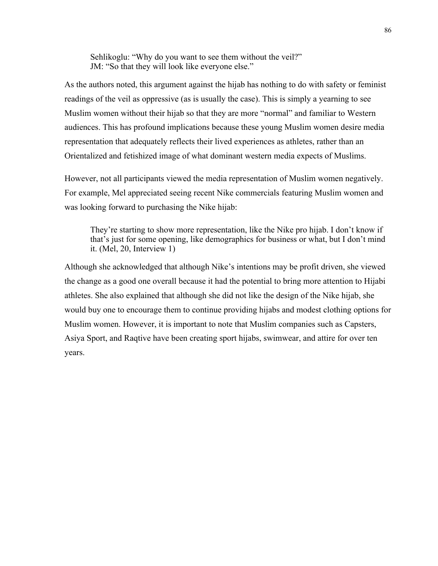Sehlikoglu: "Why do you want to see them without the veil?" JM: "So that they will look like everyone else."

As the authors noted, this argument against the hijab has nothing to do with safety or feminist readings of the veil as oppressive (as is usually the case). This is simply a yearning to see Muslim women without their hijab so that they are more "normal" and familiar to Western audiences. This has profound implications because these young Muslim women desire media representation that adequately reflects their lived experiences as athletes, rather than an Orientalized and fetishized image of what dominant western media expects of Muslims.

However, not all participants viewed the media representation of Muslim women negatively. For example, Mel appreciated seeing recent Nike commercials featuring Muslim women and was looking forward to purchasing the Nike hijab:

They're starting to show more representation, like the Nike pro hijab. I don't know if that's just for some opening, like demographics for business or what, but I don't mind it. (Mel, 20, Interview 1)

Although she acknowledged that although Nike's intentions may be profit driven, she viewed the change as a good one overall because it had the potential to bring more attention to Hijabi athletes. She also explained that although she did not like the design of the Nike hijab, she would buy one to encourage them to continue providing hijabs and modest clothing options for Muslim women. However, it is important to note that Muslim companies such as Capsters, Asiya Sport, and Raqtive have been creating sport hijabs, swimwear, and attire for over ten years.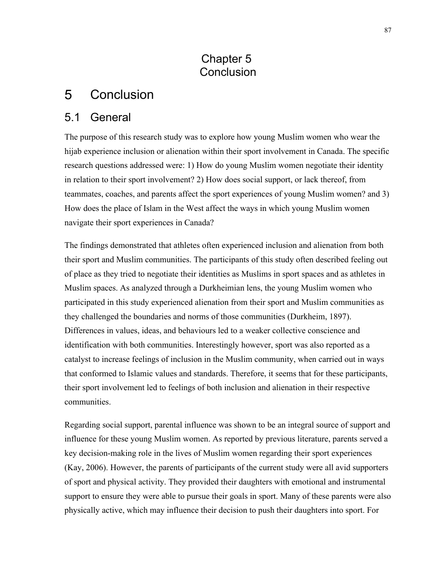# Chapter 5 **Conclusion**

#### 5 **Conclusion**

# 5.1 General

The purpose of this research study was to explore how young Muslim women who wear the hijab experience inclusion or alienation within their sport involvement in Canada. The specific research questions addressed were: 1) How do young Muslim women negotiate their identity in relation to their sport involvement? 2) How does social support, or lack thereof, from teammates, coaches, and parents affect the sport experiences of young Muslim women? and 3) How does the place of Islam in the West affect the ways in which young Muslim women navigate their sport experiences in Canada?

The findings demonstrated that athletes often experienced inclusion and alienation from both their sport and Muslim communities. The participants of this study often described feeling out of place as they tried to negotiate their identities as Muslims in sport spaces and as athletes in Muslim spaces. As analyzed through a Durkheimian lens, the young Muslim women who participated in this study experienced alienation from their sport and Muslim communities as they challenged the boundaries and norms of those communities (Durkheim, 1897). Differences in values, ideas, and behaviours led to a weaker collective conscience and identification with both communities. Interestingly however, sport was also reported as a catalyst to increase feelings of inclusion in the Muslim community, when carried out in ways that conformed to Islamic values and standards. Therefore, it seems that for these participants, their sport involvement led to feelings of both inclusion and alienation in their respective communities.

Regarding social support, parental influence was shown to be an integral source of support and influence for these young Muslim women. As reported by previous literature, parents served a key decision-making role in the lives of Muslim women regarding their sport experiences (Kay, 2006). However, the parents of participants of the current study were all avid supporters of sport and physical activity. They provided their daughters with emotional and instrumental support to ensure they were able to pursue their goals in sport. Many of these parents were also physically active, which may influence their decision to push their daughters into sport. For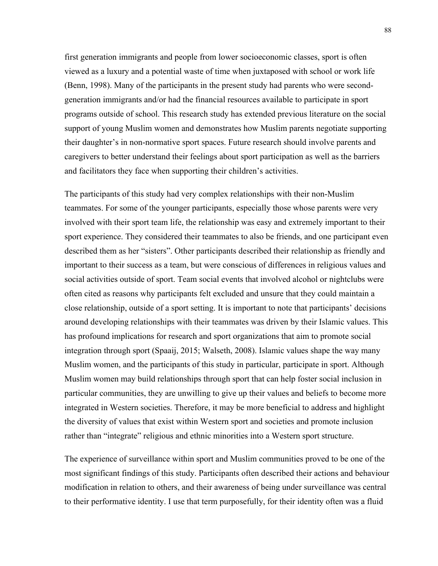first generation immigrants and people from lower socioeconomic classes, sport is often viewed as a luxury and a potential waste of time when juxtaposed with school or work life (Benn, 1998). Many of the participants in the present study had parents who were secondgeneration immigrants and/or had the financial resources available to participate in sport programs outside of school. This research study has extended previous literature on the social support of young Muslim women and demonstrates how Muslim parents negotiate supporting their daughter's in non-normative sport spaces. Future research should involve parents and caregivers to better understand their feelings about sport participation as well as the barriers and facilitators they face when supporting their children's activities.

The participants of this study had very complex relationships with their non-Muslim teammates. For some of the younger participants, especially those whose parents were very involved with their sport team life, the relationship was easy and extremely important to their sport experience. They considered their teammates to also be friends, and one participant even described them as her "sisters". Other participants described their relationship as friendly and important to their success as a team, but were conscious of differences in religious values and social activities outside of sport. Team social events that involved alcohol or nightclubs were often cited as reasons why participants felt excluded and unsure that they could maintain a close relationship, outside of a sport setting. It is important to note that participants' decisions around developing relationships with their teammates was driven by their Islamic values. This has profound implications for research and sport organizations that aim to promote social integration through sport (Spaaij, 2015; Walseth, 2008). Islamic values shape the way many Muslim women, and the participants of this study in particular, participate in sport. Although Muslim women may build relationships through sport that can help foster social inclusion in particular communities, they are unwilling to give up their values and beliefs to become more integrated in Western societies. Therefore, it may be more beneficial to address and highlight the diversity of values that exist within Western sport and societies and promote inclusion rather than "integrate" religious and ethnic minorities into a Western sport structure.

The experience of surveillance within sport and Muslim communities proved to be one of the most significant findings of this study. Participants often described their actions and behaviour modification in relation to others, and their awareness of being under surveillance was central to their performative identity. I use that term purposefully, for their identity often was a fluid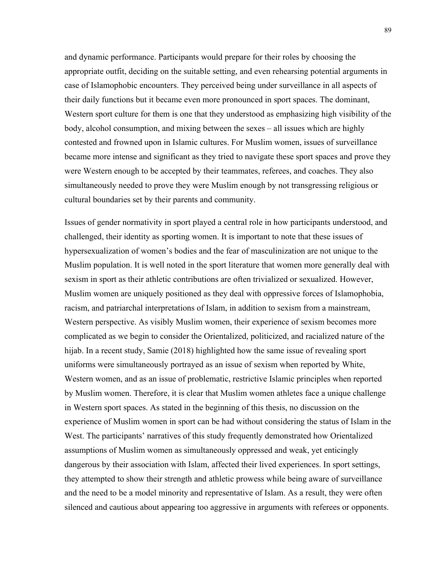and dynamic performance. Participants would prepare for their roles by choosing the appropriate outfit, deciding on the suitable setting, and even rehearsing potential arguments in case of Islamophobic encounters. They perceived being under surveillance in all aspects of their daily functions but it became even more pronounced in sport spaces. The dominant, Western sport culture for them is one that they understood as emphasizing high visibility of the body, alcohol consumption, and mixing between the sexes – all issues which are highly contested and frowned upon in Islamic cultures. For Muslim women, issues of surveillance became more intense and significant as they tried to navigate these sport spaces and prove they were Western enough to be accepted by their teammates, referees, and coaches. They also simultaneously needed to prove they were Muslim enough by not transgressing religious or cultural boundaries set by their parents and community.

Issues of gender normativity in sport played a central role in how participants understood, and challenged, their identity as sporting women. It is important to note that these issues of hypersexualization of women's bodies and the fear of masculinization are not unique to the Muslim population. It is well noted in the sport literature that women more generally deal with sexism in sport as their athletic contributions are often trivialized or sexualized. However, Muslim women are uniquely positioned as they deal with oppressive forces of Islamophobia, racism, and patriarchal interpretations of Islam, in addition to sexism from a mainstream, Western perspective. As visibly Muslim women, their experience of sexism becomes more complicated as we begin to consider the Orientalized, politicized, and racialized nature of the hijab. In a recent study, Samie (2018) highlighted how the same issue of revealing sport uniforms were simultaneously portrayed as an issue of sexism when reported by White, Western women, and as an issue of problematic, restrictive Islamic principles when reported by Muslim women. Therefore, it is clear that Muslim women athletes face a unique challenge in Western sport spaces. As stated in the beginning of this thesis, no discussion on the experience of Muslim women in sport can be had without considering the status of Islam in the West. The participants' narratives of this study frequently demonstrated how Orientalized assumptions of Muslim women as simultaneously oppressed and weak, yet enticingly dangerous by their association with Islam, affected their lived experiences. In sport settings, they attempted to show their strength and athletic prowess while being aware of surveillance and the need to be a model minority and representative of Islam. As a result, they were often silenced and cautious about appearing too aggressive in arguments with referees or opponents.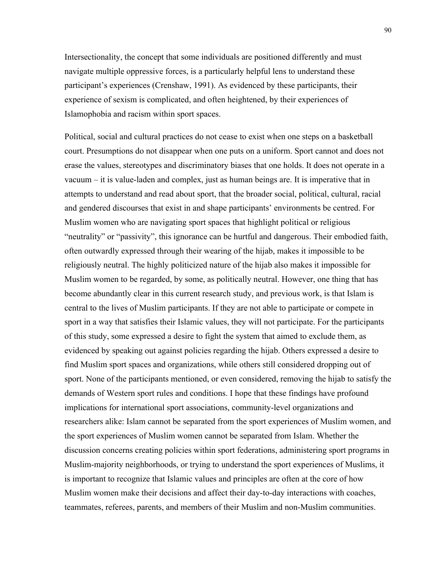Intersectionality, the concept that some individuals are positioned differently and must navigate multiple oppressive forces, is a particularly helpful lens to understand these participant's experiences (Crenshaw, 1991). As evidenced by these participants, their experience of sexism is complicated, and often heightened, by their experiences of Islamophobia and racism within sport spaces.

Political, social and cultural practices do not cease to exist when one steps on a basketball court. Presumptions do not disappear when one puts on a uniform. Sport cannot and does not erase the values, stereotypes and discriminatory biases that one holds. It does not operate in a vacuum – it is value-laden and complex, just as human beings are. It is imperative that in attempts to understand and read about sport, that the broader social, political, cultural, racial and gendered discourses that exist in and shape participants' environments be centred. For Muslim women who are navigating sport spaces that highlight political or religious "neutrality" or "passivity", this ignorance can be hurtful and dangerous. Their embodied faith, often outwardly expressed through their wearing of the hijab, makes it impossible to be religiously neutral. The highly politicized nature of the hijab also makes it impossible for Muslim women to be regarded, by some, as politically neutral. However, one thing that has become abundantly clear in this current research study, and previous work, is that Islam is central to the lives of Muslim participants. If they are not able to participate or compete in sport in a way that satisfies their Islamic values, they will not participate. For the participants of this study, some expressed a desire to fight the system that aimed to exclude them, as evidenced by speaking out against policies regarding the hijab. Others expressed a desire to find Muslim sport spaces and organizations, while others still considered dropping out of sport. None of the participants mentioned, or even considered, removing the hijab to satisfy the demands of Western sport rules and conditions. I hope that these findings have profound implications for international sport associations, community-level organizations and researchers alike: Islam cannot be separated from the sport experiences of Muslim women, and the sport experiences of Muslim women cannot be separated from Islam. Whether the discussion concerns creating policies within sport federations, administering sport programs in Muslim-majority neighborhoods, or trying to understand the sport experiences of Muslims, it is important to recognize that Islamic values and principles are often at the core of how Muslim women make their decisions and affect their day-to-day interactions with coaches, teammates, referees, parents, and members of their Muslim and non-Muslim communities.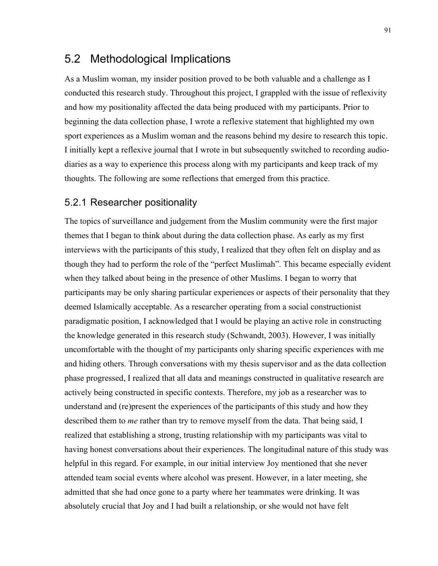# 5.2 Methodological Implications

As a Muslim woman, my insider position proved to be both valuable and a challenge as I conducted this research study. Throughout this project, I grappled with the issue of reflexivity and how my positionality affected the data being produced with my participants. Prior to beginning the data collection phase, I wrote a reflexive statement that highlighted my own sport experiences as a Muslim woman and the reasons behind my desire to research this topic. I initially kept a reflexive journal that I wrote in but subsequently switched to recording audiodiaries as a way to experience this process along with my participants and keep track of my thoughts. The following are some reflections that emerged from this practice.

### 5.2.1 Researcher positionality

The topics of surveillance and judgement from the Muslim community were the first major themes that I began to think about during the data collection phase. As early as my first interviews with the participants of this study, I realized that they often felt on display and as though they had to perform the role of the "perfect Muslimah". This became especially evident when they talked about being in the presence of other Muslims. I began to worry that participants may be only sharing particular experiences or aspects of their personality that they deemed Islamically acceptable. As a researcher operating from a social constructionist paradigmatic position, I acknowledged that I would be playing an active role in constructing the knowledge generated in this research study (Schwandt, 2003). However, I was initially uncomfortable with the thought of my participants only sharing specific experiences with me and hiding others. Through conversations with my thesis supervisor and as the data collection phase progressed, I realized that all data and meanings constructed in qualitative research are actively being constructed in specific contexts. Therefore, my job as a researcher was to understand and (re)present the experiences of the participants of this study and how they described them to *me* rather than try to remove myself from the data. That being said, I realized that establishing a strong, trusting relationship with my participants was vital to having honest conversations about their experiences. The longitudinal nature of this study was helpful in this regard. For example, in our initial interview Joy mentioned that she never attended team social events where alcohol was present. However, in a later meeting, she admitted that she had once gone to a party where her teammates were drinking. It was absolutely crucial that Joy and I had built a relationship, or she would not have felt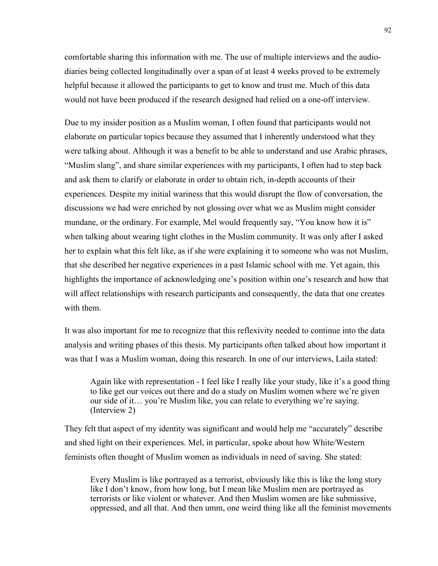comfortable sharing this information with me. The use of multiple interviews and the audiodiaries being collected longitudinally over a span of at least 4 weeks proved to be extremely helpful because it allowed the participants to get to know and trust me. Much of this data would not have been produced if the research designed had relied on a one-off interview.

Due to my insider position as a Muslim woman, I often found that participants would not elaborate on particular topics because they assumed that I inherently understood what they were talking about. Although it was a benefit to be able to understand and use Arabic phrases, "Muslim slang", and share similar experiences with my participants, I often had to step back and ask them to clarify or elaborate in order to obtain rich, in-depth accounts of their experiences. Despite my initial wariness that this would disrupt the flow of conversation, the discussions we had were enriched by not glossing over what we as Muslim might consider mundane, or the ordinary. For example, Mel would frequently say, "You know how it is" when talking about wearing tight clothes in the Muslim community. It was only after I asked her to explain what this felt like, as if she were explaining it to someone who was not Muslim, that she described her negative experiences in a past Islamic school with me. Yet again, this highlights the importance of acknowledging one's position within one's research and how that will affect relationships with research participants and consequently, the data that one creates with them.

It was also important for me to recognize that this reflexivity needed to continue into the data analysis and writing phases of this thesis. My participants often talked about how important it was that I was a Muslim woman, doing this research. In one of our interviews, Laila stated:

Again like with representation - I feel like I really like your study, like it's a good thing to like get our voices out there and do a study on Muslim women where we're given our side of it… you're Muslim like, you can relate to everything we're saying. (Interview 2)

They felt that aspect of my identity was significant and would help me "accurately" describe and shed light on their experiences. Mel, in particular, spoke about how White/Western feminists often thought of Muslim women as individuals in need of saving. She stated:

Every Muslim is like portrayed as a terrorist, obviously like this is like the long story like I don't know, from how long, but I mean like Muslim men are portrayed as terrorists or like violent or whatever. And then Muslim women are like submissive, oppressed, and all that. And then umm, one weird thing like all the feminist movements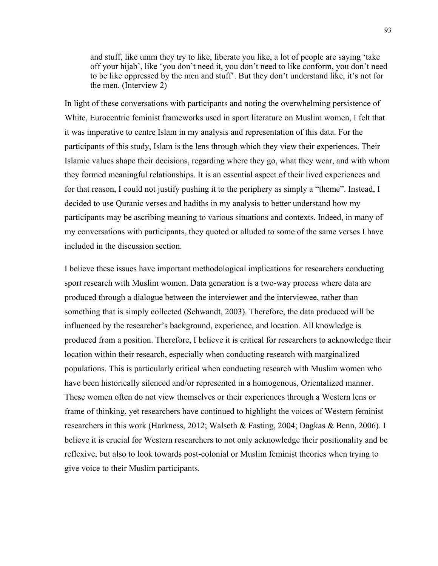and stuff, like umm they try to like, liberate you like, a lot of people are saying 'take off your hijab', like 'you don't need it, you don't need to like conform, you don't need to be like oppressed by the men and stuff'. But they don't understand like, it's not for the men. (Interview 2)

In light of these conversations with participants and noting the overwhelming persistence of White, Eurocentric feminist frameworks used in sport literature on Muslim women, I felt that it was imperative to centre Islam in my analysis and representation of this data. For the participants of this study, Islam is the lens through which they view their experiences. Their Islamic values shape their decisions, regarding where they go, what they wear, and with whom they formed meaningful relationships. It is an essential aspect of their lived experiences and for that reason, I could not justify pushing it to the periphery as simply a "theme". Instead, I decided to use Quranic verses and hadiths in my analysis to better understand how my participants may be ascribing meaning to various situations and contexts. Indeed, in many of my conversations with participants, they quoted or alluded to some of the same verses I have included in the discussion section.

I believe these issues have important methodological implications for researchers conducting sport research with Muslim women. Data generation is a two-way process where data are produced through a dialogue between the interviewer and the interviewee, rather than something that is simply collected (Schwandt, 2003). Therefore, the data produced will be influenced by the researcher's background, experience, and location. All knowledge is produced from a position. Therefore, I believe it is critical for researchers to acknowledge their location within their research, especially when conducting research with marginalized populations. This is particularly critical when conducting research with Muslim women who have been historically silenced and/or represented in a homogenous, Orientalized manner. These women often do not view themselves or their experiences through a Western lens or frame of thinking, yet researchers have continued to highlight the voices of Western feminist researchers in this work (Harkness, 2012; Walseth & Fasting, 2004; Dagkas & Benn, 2006). I believe it is crucial for Western researchers to not only acknowledge their positionality and be reflexive, but also to look towards post-colonial or Muslim feminist theories when trying to give voice to their Muslim participants.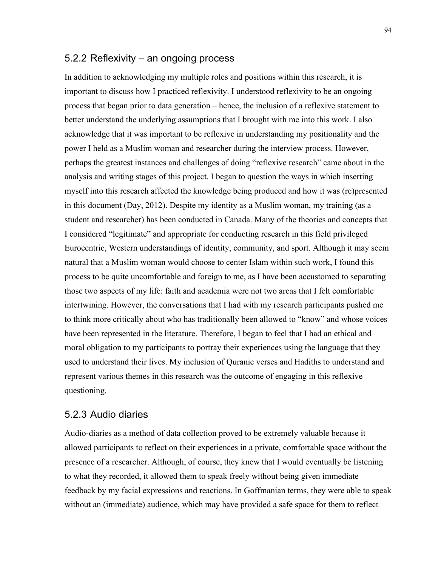### 5.2.2 Reflexivity – an ongoing process

In addition to acknowledging my multiple roles and positions within this research, it is important to discuss how I practiced reflexivity. I understood reflexivity to be an ongoing process that began prior to data generation – hence, the inclusion of a reflexive statement to better understand the underlying assumptions that I brought with me into this work. I also acknowledge that it was important to be reflexive in understanding my positionality and the power I held as a Muslim woman and researcher during the interview process. However, perhaps the greatest instances and challenges of doing "reflexive research" came about in the analysis and writing stages of this project. I began to question the ways in which inserting myself into this research affected the knowledge being produced and how it was (re)presented in this document (Day, 2012). Despite my identity as a Muslim woman, my training (as a student and researcher) has been conducted in Canada. Many of the theories and concepts that I considered "legitimate" and appropriate for conducting research in this field privileged Eurocentric, Western understandings of identity, community, and sport. Although it may seem natural that a Muslim woman would choose to center Islam within such work, I found this process to be quite uncomfortable and foreign to me, as I have been accustomed to separating those two aspects of my life: faith and academia were not two areas that I felt comfortable intertwining. However, the conversations that I had with my research participants pushed me to think more critically about who has traditionally been allowed to "know" and whose voices have been represented in the literature. Therefore, I began to feel that I had an ethical and moral obligation to my participants to portray their experiences using the language that they used to understand their lives. My inclusion of Quranic verses and Hadiths to understand and represent various themes in this research was the outcome of engaging in this reflexive questioning.

### 5.2.3 Audio diaries

Audio-diaries as a method of data collection proved to be extremely valuable because it allowed participants to reflect on their experiences in a private, comfortable space without the presence of a researcher. Although, of course, they knew that I would eventually be listening to what they recorded, it allowed them to speak freely without being given immediate feedback by my facial expressions and reactions. In Goffmanian terms, they were able to speak without an (immediate) audience, which may have provided a safe space for them to reflect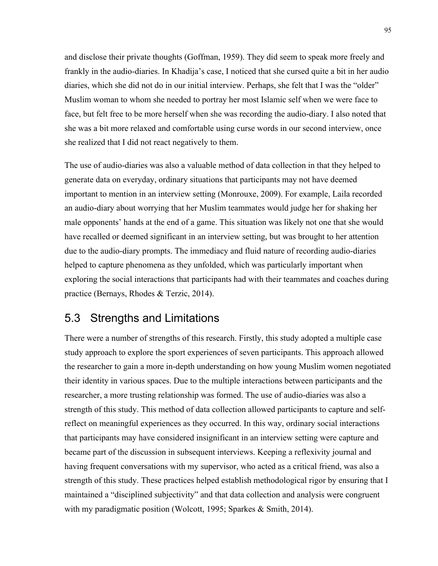and disclose their private thoughts (Goffman, 1959). They did seem to speak more freely and frankly in the audio-diaries. In Khadija's case, I noticed that she cursed quite a bit in her audio diaries, which she did not do in our initial interview. Perhaps, she felt that I was the "older" Muslim woman to whom she needed to portray her most Islamic self when we were face to face, but felt free to be more herself when she was recording the audio-diary. I also noted that she was a bit more relaxed and comfortable using curse words in our second interview, once she realized that I did not react negatively to them.

The use of audio-diaries was also a valuable method of data collection in that they helped to generate data on everyday, ordinary situations that participants may not have deemed important to mention in an interview setting (Monrouxe, 2009). For example, Laila recorded an audio-diary about worrying that her Muslim teammates would judge her for shaking her male opponents' hands at the end of a game. This situation was likely not one that she would have recalled or deemed significant in an interview setting, but was brought to her attention due to the audio-diary prompts. The immediacy and fluid nature of recording audio-diaries helped to capture phenomena as they unfolded, which was particularly important when exploring the social interactions that participants had with their teammates and coaches during practice (Bernays, Rhodes & Terzic, 2014).

## 5.3 Strengths and Limitations

There were a number of strengths of this research. Firstly, this study adopted a multiple case study approach to explore the sport experiences of seven participants. This approach allowed the researcher to gain a more in-depth understanding on how young Muslim women negotiated their identity in various spaces. Due to the multiple interactions between participants and the researcher, a more trusting relationship was formed. The use of audio-diaries was also a strength of this study. This method of data collection allowed participants to capture and selfreflect on meaningful experiences as they occurred. In this way, ordinary social interactions that participants may have considered insignificant in an interview setting were capture and became part of the discussion in subsequent interviews. Keeping a reflexivity journal and having frequent conversations with my supervisor, who acted as a critical friend, was also a strength of this study. These practices helped establish methodological rigor by ensuring that I maintained a "disciplined subjectivity" and that data collection and analysis were congruent with my paradigmatic position (Wolcott, 1995; Sparkes & Smith, 2014).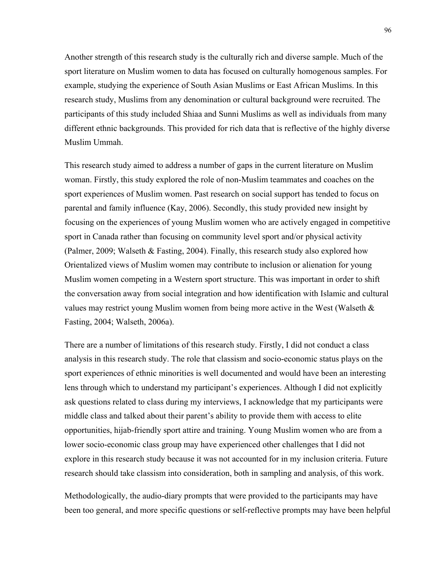Another strength of this research study is the culturally rich and diverse sample. Much of the sport literature on Muslim women to data has focused on culturally homogenous samples. For example, studying the experience of South Asian Muslims or East African Muslims. In this research study, Muslims from any denomination or cultural background were recruited. The participants of this study included Shiaa and Sunni Muslims as well as individuals from many different ethnic backgrounds. This provided for rich data that is reflective of the highly diverse Muslim Ummah.

This research study aimed to address a number of gaps in the current literature on Muslim woman. Firstly, this study explored the role of non-Muslim teammates and coaches on the sport experiences of Muslim women. Past research on social support has tended to focus on parental and family influence (Kay, 2006). Secondly, this study provided new insight by focusing on the experiences of young Muslim women who are actively engaged in competitive sport in Canada rather than focusing on community level sport and/or physical activity (Palmer, 2009; Walseth & Fasting, 2004). Finally, this research study also explored how Orientalized views of Muslim women may contribute to inclusion or alienation for young Muslim women competing in a Western sport structure. This was important in order to shift the conversation away from social integration and how identification with Islamic and cultural values may restrict young Muslim women from being more active in the West (Walseth  $\&$ Fasting, 2004; Walseth, 2006a).

There are a number of limitations of this research study. Firstly, I did not conduct a class analysis in this research study. The role that classism and socio-economic status plays on the sport experiences of ethnic minorities is well documented and would have been an interesting lens through which to understand my participant's experiences. Although I did not explicitly ask questions related to class during my interviews, I acknowledge that my participants were middle class and talked about their parent's ability to provide them with access to elite opportunities, hijab-friendly sport attire and training. Young Muslim women who are from a lower socio-economic class group may have experienced other challenges that I did not explore in this research study because it was not accounted for in my inclusion criteria. Future research should take classism into consideration, both in sampling and analysis, of this work.

Methodologically, the audio-diary prompts that were provided to the participants may have been too general, and more specific questions or self-reflective prompts may have been helpful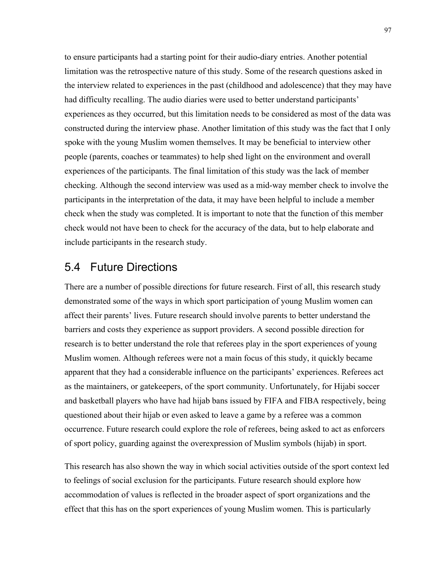to ensure participants had a starting point for their audio-diary entries. Another potential limitation was the retrospective nature of this study. Some of the research questions asked in the interview related to experiences in the past (childhood and adolescence) that they may have had difficulty recalling. The audio diaries were used to better understand participants' experiences as they occurred, but this limitation needs to be considered as most of the data was constructed during the interview phase. Another limitation of this study was the fact that I only spoke with the young Muslim women themselves. It may be beneficial to interview other people (parents, coaches or teammates) to help shed light on the environment and overall experiences of the participants. The final limitation of this study was the lack of member checking. Although the second interview was used as a mid-way member check to involve the participants in the interpretation of the data, it may have been helpful to include a member check when the study was completed. It is important to note that the function of this member check would not have been to check for the accuracy of the data, but to help elaborate and include participants in the research study.

## 5.4 Future Directions

There are a number of possible directions for future research. First of all, this research study demonstrated some of the ways in which sport participation of young Muslim women can affect their parents' lives. Future research should involve parents to better understand the barriers and costs they experience as support providers. A second possible direction for research is to better understand the role that referees play in the sport experiences of young Muslim women. Although referees were not a main focus of this study, it quickly became apparent that they had a considerable influence on the participants' experiences. Referees act as the maintainers, or gatekeepers, of the sport community. Unfortunately, for Hijabi soccer and basketball players who have had hijab bans issued by FIFA and FIBA respectively, being questioned about their hijab or even asked to leave a game by a referee was a common occurrence. Future research could explore the role of referees, being asked to act as enforcers of sport policy, guarding against the overexpression of Muslim symbols (hijab) in sport.

This research has also shown the way in which social activities outside of the sport context led to feelings of social exclusion for the participants. Future research should explore how accommodation of values is reflected in the broader aspect of sport organizations and the effect that this has on the sport experiences of young Muslim women. This is particularly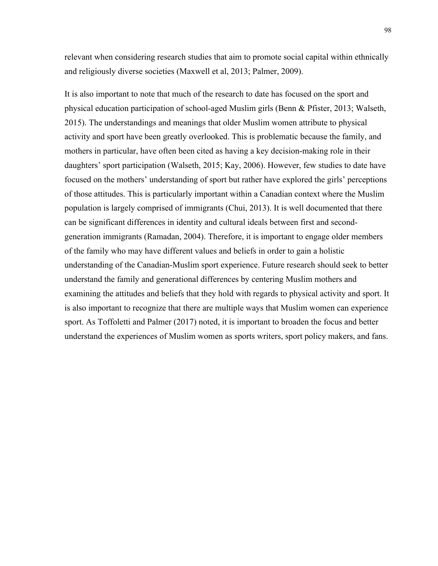relevant when considering research studies that aim to promote social capital within ethnically and religiously diverse societies (Maxwell et al, 2013; Palmer, 2009).

It is also important to note that much of the research to date has focused on the sport and physical education participation of school-aged Muslim girls (Benn & Pfister, 2013; Walseth, 2015). The understandings and meanings that older Muslim women attribute to physical activity and sport have been greatly overlooked. This is problematic because the family, and mothers in particular, have often been cited as having a key decision-making role in their daughters' sport participation (Walseth, 2015; Kay, 2006). However, few studies to date have focused on the mothers' understanding of sport but rather have explored the girls' perceptions of those attitudes. This is particularly important within a Canadian context where the Muslim population is largely comprised of immigrants (Chui, 2013). It is well documented that there can be significant differences in identity and cultural ideals between first and secondgeneration immigrants (Ramadan, 2004). Therefore, it is important to engage older members of the family who may have different values and beliefs in order to gain a holistic understanding of the Canadian-Muslim sport experience. Future research should seek to better understand the family and generational differences by centering Muslim mothers and examining the attitudes and beliefs that they hold with regards to physical activity and sport. It is also important to recognize that there are multiple ways that Muslim women can experience sport. As Toffoletti and Palmer (2017) noted, it is important to broaden the focus and better understand the experiences of Muslim women as sports writers, sport policy makers, and fans.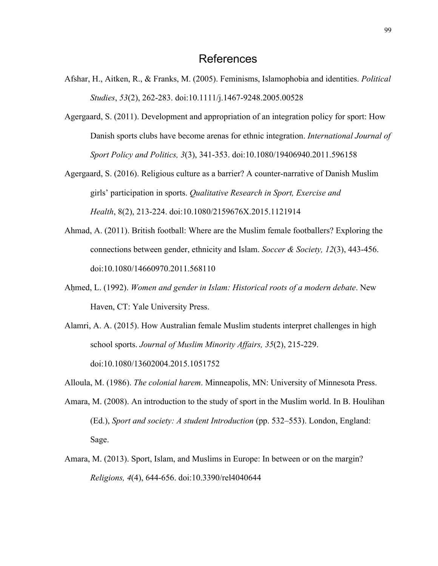- Afshar, H., Aitken, R., & Franks, M. (2005). Feminisms, Islamophobia and identities. *Political Studies*, *53*(2), 262-283. doi:10.1111/j.1467-9248.2005.00528
- Agergaard, S. (2011). Development and appropriation of an integration policy for sport: How Danish sports clubs have become arenas for ethnic integration. *International Journal of Sport Policy and Politics, 3*(3), 341-353. doi:10.1080/19406940.2011.596158
- Agergaard, S. (2016). Religious culture as a barrier? A counter-narrative of Danish Muslim girls' participation in sports. *Qualitative Research in Sport, Exercise and Health*, 8(2), 213-224. doi:10.1080/2159676X.2015.1121914
- Ahmad, A. (2011). British football: Where are the Muslim female footballers? Exploring the connections between gender, ethnicity and Islam. *Soccer & Society, 12*(3), 443-456. doi:10.1080/14660970.2011.568110
- Ahmed, L. (1992). *Women and gender in Islam: Historical roots of a modern debate*. New Haven, CT: Yale University Press.
- Alamri, A. A. (2015). How Australian female Muslim students interpret challenges in high school sports. *Journal of Muslim Minority Affairs, 35*(2), 215-229. doi:10.1080/13602004.2015.1051752
- Alloula, M. (1986). *The colonial harem*. Minneapolis, MN: University of Minnesota Press.
- Amara, M. (2008). An introduction to the study of sport in the Muslim world. In B. Houlihan (Ed.), *Sport and society: A student Introduction* (pp. 532–553). London, England: Sage.
- Amara, M. (2013). Sport, Islam, and Muslims in Europe: In between or on the margin? *Religions, 4*(4), 644-656. doi:10.3390/rel4040644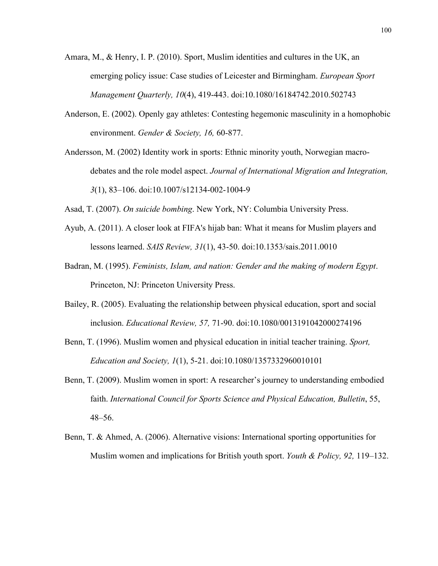- Amara, M., & Henry, I. P. (2010). Sport, Muslim identities and cultures in the UK, an emerging policy issue: Case studies of Leicester and Birmingham. *European Sport Management Quarterly, 10*(4), 419-443. doi:10.1080/16184742.2010.502743
- Anderson, E. (2002). Openly gay athletes: Contesting hegemonic masculinity in a homophobic environment. *Gender & Society, 16,* 60-877.
- Andersson, M. (2002) Identity work in sports: Ethnic minority youth, Norwegian macrodebates and the role model aspect. *Journal of International Migration and Integration, 3*(1), 83–106. doi:10.1007/s12134-002-1004-9

Asad, T. (2007). *On suicide bombing*. New York, NY: Columbia University Press.

- Ayub, A. (2011). A closer look at FIFA's hijab ban: What it means for Muslim players and lessons learned. *SAIS Review, 31*(1), 43-50. doi:10.1353/sais.2011.0010
- Badran, M. (1995). *Feminists, Islam, and nation: Gender and the making of modern Egypt*. Princeton, NJ: Princeton University Press.
- Bailey, R. (2005). Evaluating the relationship between physical education, sport and social inclusion. *Educational Review, 57,* 71-90. doi:10.1080/0013191042000274196
- Benn, T. (1996). Muslim women and physical education in initial teacher training. *Sport, Education and Society, 1*(1), 5-21. doi:10.1080/1357332960010101
- Benn, T. (2009). Muslim women in sport: A researcher's journey to understanding embodied faith. *International Council for Sports Science and Physical Education, Bulletin*, 55, 48–56.
- Benn, T. & Ahmed, A. (2006). Alternative visions: International sporting opportunities for Muslim women and implications for British youth sport. *Youth & Policy, 92,* 119–132.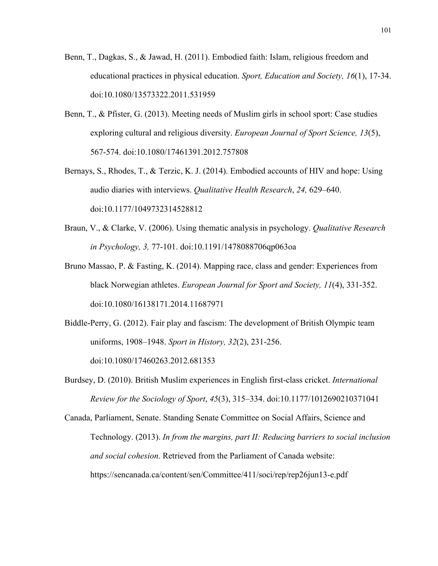- Benn, T., Dagkas, S., & Jawad, H. (2011). Embodied faith: Islam, religious freedom and educational practices in physical education. *Sport, Education and Society, 16*(1), 17-34. doi:10.1080/13573322.2011.531959
- Benn, T., & Pfister, G. (2013). Meeting needs of Muslim girls in school sport: Case studies exploring cultural and religious diversity. *European Journal of Sport Science, 13*(5), 567-574. doi:10.1080/17461391.2012.757808
- Bernays, S., Rhodes, T., & Terzic, K. J. (2014). Embodied accounts of HIV and hope: Using audio diaries with interviews. *Qualitative Health Research*, *24,* 629–640. doi:10.1177/1049732314528812
- Braun, V., & Clarke, V. (2006). Using thematic analysis in psychology. *Qualitative Research in Psychology, 3,* 77-101. doi:10.1191/1478088706qp063oa
- Bruno Massao, P. & Fasting, K. (2014). Mapping race, class and gender: Experiences from black Norwegian athletes. *European Journal for Sport and Society, 11*(4), 331-352. doi:10.1080/16138171.2014.11687971
- Biddle-Perry, G. (2012). Fair play and fascism: The development of British Olympic team uniforms, 1908–1948. *Sport in History, 32*(2), 231-256. doi:10.1080/17460263.2012.681353
- Burdsey, D. (2010). British Muslim experiences in English first-class cricket. *International Review for the Sociology of Sport*, *45*(3), 315–334. doi:10.1177/1012690210371041

Canada, Parliament, Senate. Standing Senate Committee on Social Affairs, Science and Technology. (2013). *In from the margins, part II: Reducing barriers to social inclusion and social cohesion*. Retrieved from the Parliament of Canada website: https://sencanada.ca/content/sen/Committee/411/soci/rep/rep26jun13-e.pdf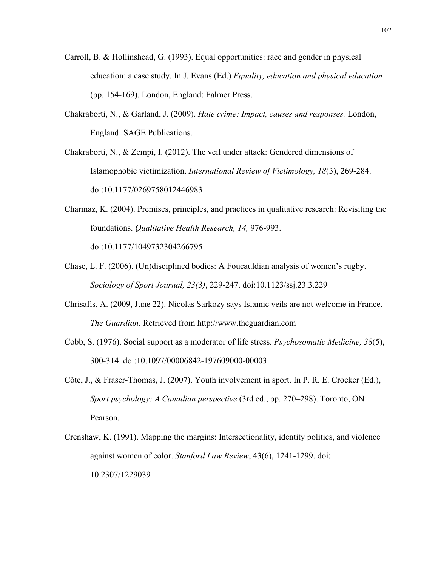- Carroll, B. & Hollinshead, G. (1993). Equal opportunities: race and gender in physical education: a case study. In J. Evans (Ed.) *Equality, education and physical education*  (pp. 154-169). London, England: Falmer Press.
- Chakraborti, N., & Garland, J. (2009). *Hate crime: Impact, causes and responses.* London, England: SAGE Publications.
- Chakraborti, N., & Zempi, I. (2012). The veil under attack: Gendered dimensions of Islamophobic victimization. *International Review of Victimology, 18*(3), 269-284. doi:10.1177/0269758012446983
- Charmaz, K. (2004). Premises, principles, and practices in qualitative research: Revisiting the foundations. *Qualitative Health Research, 14,* 976-993. doi:10.1177/1049732304266795
- Chase, L. F. (2006). (Un)disciplined bodies: A Foucauldian analysis of women's rugby. *Sociology of Sport Journal, 23(3)*, 229-247. doi:10.1123/ssj.23.3.229
- Chrisafis, A. (2009, June 22). Nicolas Sarkozy says Islamic veils are not welcome in France. *The Guardian*. Retrieved from http://www.theguardian.com
- Cobb, S. (1976). Social support as a moderator of life stress. *Psychosomatic Medicine, 38*(5), 300-314. doi:10.1097/00006842-197609000-00003
- Côté, J., & Fraser-Thomas, J. (2007). Youth involvement in sport. In P. R. E. Crocker (Ed.), *Sport psychology: A Canadian perspective* (3rd ed., pp. 270–298). Toronto, ON: Pearson.
- Crenshaw, K. (1991). Mapping the margins: Intersectionality, identity politics, and violence against women of color. *Stanford Law Review*, 43(6), 1241-1299. doi: 10.2307/1229039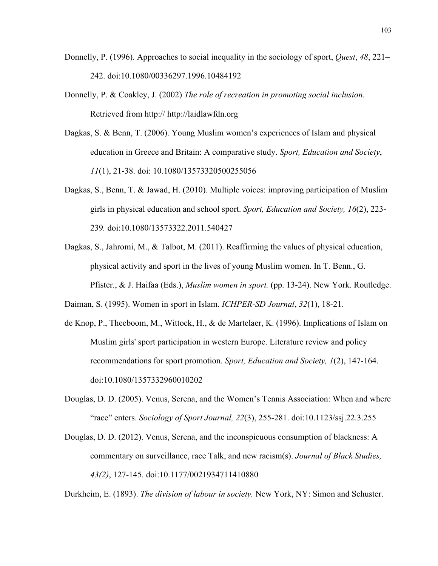- Donnelly, P. (1996). Approaches to social inequality in the sociology of sport, *Quest*, *48*, 221– 242. doi:10.1080/00336297.1996.10484192
- Donnelly, P. & Coakley, J. (2002) *The role of recreation in promoting social inclusion*. Retrieved from http:// http://laidlawfdn.org
- Dagkas, S. & Benn, T. (2006). Young Muslim women's experiences of Islam and physical education in Greece and Britain: A comparative study. *Sport, Education and Society*, *11*(1), 21-38. doi: 10.1080/13573320500255056
- Dagkas, S., Benn, T. & Jawad, H. (2010). Multiple voices: improving participation of Muslim girls in physical education and school sport. *Sport, Education and Society, 16*(2), 223- 239*.* doi:10.1080/13573322.2011.540427
- Dagkas, S., Jahromi, M., & Talbot, M. (2011). Reaffirming the values of physical education, physical activity and sport in the lives of young Muslim women. In T. Benn., G. Pfister., & J. Haifaa (Eds.), *Muslim women in sport.* (pp. 13-24). New York. Routledge.
- Daiman, S. (1995). Women in sport in Islam. *ICHPER-SD Journal*, *32*(1), 18-21.
- de Knop, P., Theeboom, M., Wittock, H., & de Martelaer, K. (1996). Implications of Islam on Muslim girls' sport participation in western Europe. Literature review and policy recommendations for sport promotion. *Sport, Education and Society, 1*(2), 147-164. doi:10.1080/1357332960010202
- Douglas, D. D. (2005). Venus, Serena, and the Women's Tennis Association: When and where "race" enters. *Sociology of Sport Journal, 22*(3), 255-281. doi:10.1123/ssj.22.3.255
- Douglas, D. D. (2012). Venus, Serena, and the inconspicuous consumption of blackness: A commentary on surveillance, race Talk, and new racism(s). *Journal of Black Studies, 43(2)*, 127-145. doi:10.1177/0021934711410880

Durkheim, E. (1893). *The division of labour in society.* New York, NY: Simon and Schuster.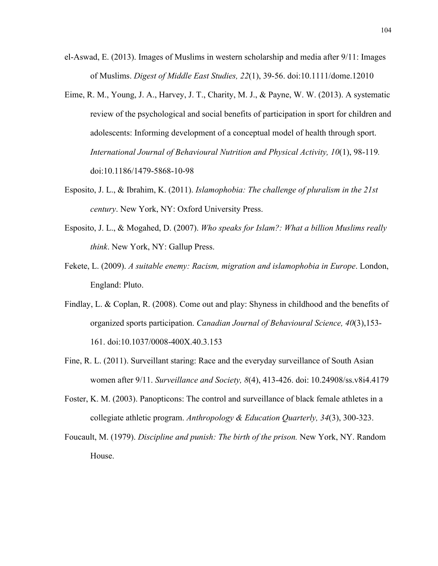- el-Aswad, E. (2013). Images of Muslims in western scholarship and media after 9/11: Images of Muslims. *Digest of Middle East Studies, 22*(1), 39-56. doi:10.1111/dome.12010
- Eime, R. M., Young, J. A., Harvey, J. T., Charity, M. J., & Payne, W. W. (2013). A systematic review of the psychological and social benefits of participation in sport for children and adolescents: Informing development of a conceptual model of health through sport. *International Journal of Behavioural Nutrition and Physical Activity, 10*(1), 98-119*.*  doi:10.1186/1479-5868-10-98
- Esposito, J. L., & Ibrahim, K. (2011). *Islamophobia: The challenge of pluralism in the 21st century*. New York, NY: Oxford University Press.
- Esposito, J. L., & Mogahed, D. (2007). *Who speaks for Islam?: What a billion Muslims really think*. New York, NY: Gallup Press.
- Fekete, L. (2009). *A suitable enemy: Racism, migration and islamophobia in Europe*. London, England: Pluto.
- Findlay, L. & Coplan, R. (2008). Come out and play: Shyness in childhood and the benefits of organized sports participation. *Canadian Journal of Behavioural Science, 40*(3),153- 161. doi:10.1037/0008-400X.40.3.153
- Fine, R. L. (2011). Surveillant staring: Race and the everyday surveillance of South Asian women after 9/11. *Surveillance and Society, 8*(4), 413-426. doi: 10.24908/ss.v8i4.4179
- Foster, K. M. (2003). Panopticons: The control and surveillance of black female athletes in a collegiate athletic program. *Anthropology & Education Quarterly, 34*(3), 300-323.
- Foucault, M. (1979). *Discipline and punish: The birth of the prison.* New York, NY. Random House.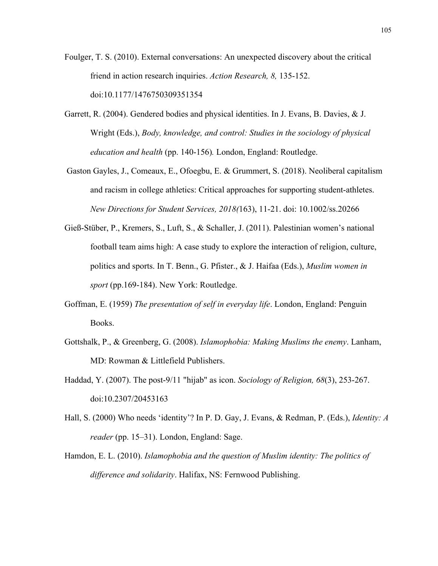- Foulger, T. S. (2010). External conversations: An unexpected discovery about the critical friend in action research inquiries. *Action Research, 8,* 135-152. doi:10.1177/1476750309351354
- Garrett, R. (2004). Gendered bodies and physical identities. In J. Evans, B. Davies, & J. Wright (Eds.), *Body, knowledge, and control: Studies in the sociology of physical education and health* (pp. 140-156)*.* London, England: Routledge.
- Gaston Gayles, J., Comeaux, E., Ofoegbu, E. & Grummert, S. (2018). Neoliberal capitalism and racism in college athletics: Critical approaches for supporting student-athletes. *New Directions for Student Services, 2018(*163), 11-21. doi: 10.1002/ss.20266
- Gieß-Stüber, P., Kremers, S., Luft, S., & Schaller, J. (2011). Palestinian women's national football team aims high: A case study to explore the interaction of religion, culture, politics and sports. In T. Benn., G. Pfister., & J. Haifaa (Eds.), *Muslim women in sport* (pp.169-184). New York: Routledge.
- Goffman, E. (1959) *The presentation of self in everyday life*. London, England: Penguin Books.
- Gottshalk, P., & Greenberg, G. (2008). *Islamophobia: Making Muslims the enemy*. Lanham, MD: Rowman & Littlefield Publishers.
- Haddad, Y. (2007). The post-9/11 "hijab" as icon. *Sociology of Religion, 68*(3), 253-267. doi:10.2307/20453163
- Hall, S. (2000) Who needs 'identity'? In P. D. Gay, J. Evans, & Redman, P. (Eds.), *Identity: A reader* (pp. 15–31). London, England: Sage.
- Hamdon, E. L. (2010). *Islamophobia and the question of Muslim identity: The politics of difference and solidarity*. Halifax, NS: Fernwood Publishing.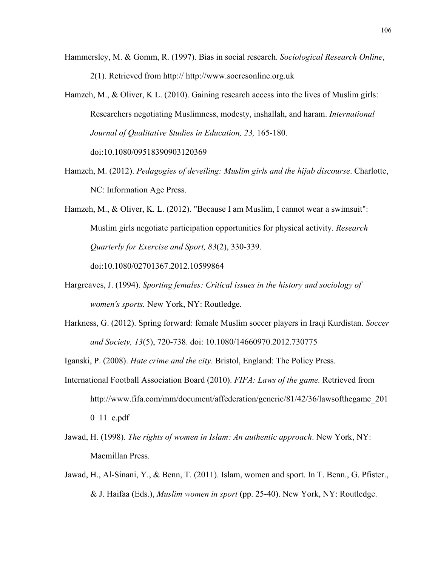- Hammersley, M. & Gomm, R. (1997). Bias in social research. *Sociological Research Online*, 2(1). Retrieved from http:// http://www.socresonline.org.uk
- Hamzeh, M., & Oliver, K L. (2010). Gaining research access into the lives of Muslim girls: Researchers negotiating Muslimness, modesty, inshallah, and haram. *International Journal of Qualitative Studies in Education, 23,* 165-180. doi:10.1080/09518390903120369
- Hamzeh, M. (2012). *Pedagogies of deveiling: Muslim girls and the hijab discourse*. Charlotte, NC: Information Age Press.

Hamzeh, M., & Oliver, K. L. (2012). "Because I am Muslim, I cannot wear a swimsuit": Muslim girls negotiate participation opportunities for physical activity. *Research Quarterly for Exercise and Sport, 83*(2), 330-339. doi:10.1080/02701367.2012.10599864

- Hargreaves, J. (1994). *Sporting females: Critical issues in the history and sociology of women's sports.* New York, NY: Routledge.
- Harkness, G. (2012). Spring forward: female Muslim soccer players in Iraqi Kurdistan. *Soccer and Society, 13*(5), 720-738. doi: 10.1080/14660970.2012.730775

Iganski, P. (2008). *Hate crime and the city*. Bristol, England: The Policy Press.

- International Football Association Board (2010). *FIFA: Laws of the game.* Retrieved from http://www.fifa.com/mm/document/affederation/generic/81/42/36/lawsofthegame\_201 0\_11\_e.pdf
- Jawad, H. (1998). *The rights of women in Islam: An authentic approach*. New York, NY: Macmillan Press.
- Jawad, H., Al-Sinani, Y., & Benn, T. (2011). Islam, women and sport. In T. Benn., G. Pfister., & J. Haifaa (Eds.), *Muslim women in sport* (pp. 25-40). New York, NY: Routledge.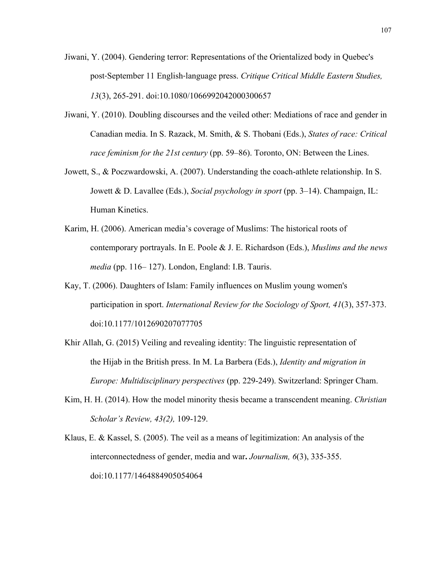- Jiwani, Y. (2004). Gendering terror: Representations of the Orientalized body in Quebec's post‐September 11 English‐language press. *Critique Critical Middle Eastern Studies, 13*(3), 265-291. doi:10.1080/1066992042000300657
- Jiwani, Y. (2010). Doubling discourses and the veiled other: Mediations of race and gender in Canadian media. In S. Razack, M. Smith, & S. Thobani (Eds.), *States of race: Critical race feminism for the 21st century* (pp. 59–86). Toronto, ON: Between the Lines.
- Jowett, S., & Poczwardowski, A. (2007). Understanding the coach-athlete relationship. In S. Jowett & D. Lavallee (Eds.), *Social psychology in sport* (pp. 3–14). Champaign, IL: Human Kinetics.
- Karim, H. (2006). American media's coverage of Muslims: The historical roots of contemporary portrayals. In E. Poole & J. E. Richardson (Eds.), *Muslims and the news media* (pp. 116– 127). London, England: I.B. Tauris.
- Kay, T. (2006). Daughters of Islam: Family influences on Muslim young women's participation in sport. *International Review for the Sociology of Sport, 41*(3), 357-373. doi:10.1177/1012690207077705
- Khir Allah, G. (2015) Veiling and revealing identity: The linguistic representation of the Hijab in the British press. In M. La Barbera (Eds.), *Identity and migration in Europe: Multidisciplinary perspectives* (pp. 229-249). Switzerland: Springer Cham.
- Kim, H. H. (2014). How the model minority thesis became a transcendent meaning. *Christian Scholar's Review, 43(2),* 109-129.
- Klaus, E. & Kassel, S. (2005). The veil as a means of legitimization: An analysis of the interconnectedness of gender, media and war**.** *Journalism, 6*(3), 335-355. doi:10.1177/1464884905054064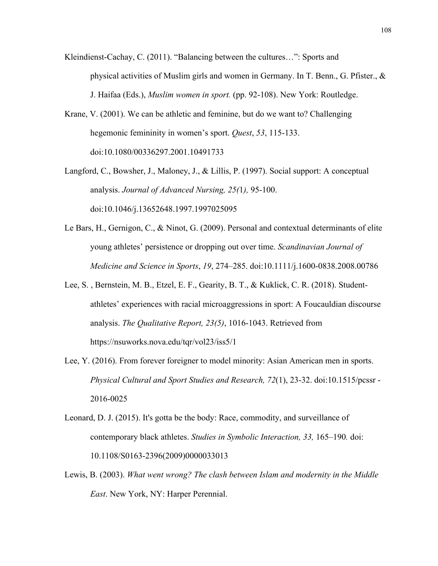- Kleindienst-Cachay, C. (2011). "Balancing between the cultures…": Sports and physical activities of Muslim girls and women in Germany. In T. Benn., G. Pfister., & J. Haifaa (Eds.), *Muslim women in sport.* (pp. 92-108). New York: Routledge.
- Krane, V. (2001). We can be athletic and feminine, but do we want to? Challenging hegemonic femininity in women's sport. *Quest*, *53*, 115-133. doi:10.1080/00336297.2001.10491733
- Langford, C., Bowsher, J., Maloney, J., & Lillis, P. (1997). Social support: A conceptual analysis. *Journal of Advanced Nursing, 25(*1*),* 95-100. doi:10.1046/j.13652648.1997.1997025095
- Le Bars, H., Gernigon, C., & Ninot, G. (2009). Personal and contextual determinants of elite young athletes' persistence or dropping out over time. *Scandinavian Journal of Medicine and Science in Sports*, *19*, 274–285. doi:10.1111/j.1600-0838.2008.00786
- Lee, S. , Bernstein, M. B., Etzel, E. F., Gearity, B. T., & Kuklick, C. R. (2018). Studentathletes' experiences with racial microaggressions in sport: A Foucauldian discourse analysis. *The Qualitative Report, 23(5)*, 1016-1043. Retrieved from https://nsuworks.nova.edu/tqr/vol23/iss5/1
- Lee, Y. (2016). From forever foreigner to model minority: Asian American men in sports. *Physical Cultural and Sport Studies and Research, 72*(1), 23-32. doi:10.1515/pcssr - 2016-0025
- Leonard, D. J. (2015). It's gotta be the body: Race, commodity, and surveillance of contemporary black athletes. *Studies in Symbolic Interaction, 33,* 165–190*.* doi: 10.1108/S0163-2396(2009)0000033013
- Lewis, B. (2003). *What went wrong? The clash between Islam and modernity in the Middle East*. New York, NY: Harper Perennial.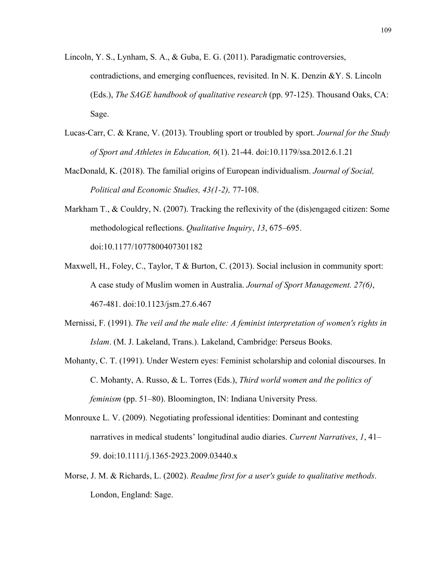- Lincoln, Y. S., Lynham, S. A., & Guba, E. G. (2011). Paradigmatic controversies, contradictions, and emerging confluences, revisited. In N. K. Denzin &Y. S. Lincoln (Eds.), *The SAGE handbook of qualitative research* (pp. 97-125). Thousand Oaks, CA: Sage.
- Lucas-Carr, C. & Krane, V. (2013). Troubling sport or troubled by sport. *Journal for the Study of Sport and Athletes in Education, 6*(1). 21-44. doi:10.1179/ssa.2012.6.1.21
- MacDonald, K. (2018). The familial origins of European individualism. *Journal of Social, Political and Economic Studies, 43(1-2),* 77-108.
- Markham T., & Couldry, N. (2007). Tracking the reflexivity of the (dis)engaged citizen: Some methodological reflections. *Qualitative Inquiry*, *13*, 675–695. doi:10.1177/1077800407301182
- Maxwell, H., Foley, C., Taylor, T & Burton, C. (2013). Social inclusion in community sport: A case study of Muslim women in Australia. *Journal of Sport Management. 27(6)*, 467-481. doi:10.1123/jsm.27.6.467
- Mernissi, F. (1991). *The veil and the male elite: A feminist interpretation of women's rights in Islam*. (M. J. Lakeland, Trans.). Lakeland, Cambridge: Perseus Books.
- Mohanty, C. T. (1991). Under Western eyes: Feminist scholarship and colonial discourses. In C. Mohanty, A. Russo, & L. Torres (Eds.), *Third world women and the politics of feminism* (pp. 51–80). Bloomington, IN: Indiana University Press.
- Monrouxe L. V. (2009). Negotiating professional identities: Dominant and contesting narratives in medical students' longitudinal audio diaries. *Current Narratives*, *1*, 41– 59. doi:10.1111/j.1365‐2923.2009.03440.x
- Morse, J. M. & Richards, L. (2002). *Readme first for a user's guide to qualitative methods*. London, England: Sage.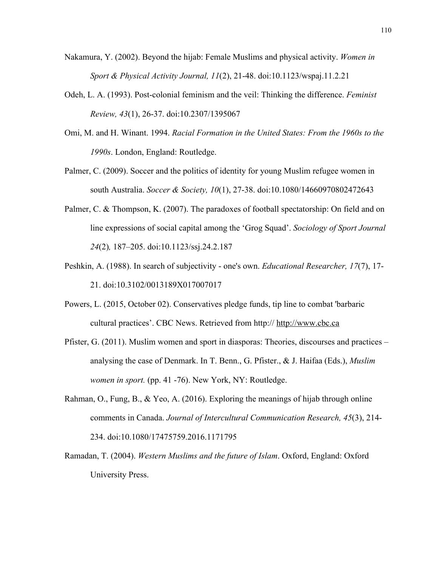- Nakamura, Y. (2002). Beyond the hijab: Female Muslims and physical activity. *Women in Sport & Physical Activity Journal, 11*(2), 21-48. doi:10.1123/wspaj.11.2.21
- Odeh, L. A. (1993). Post-colonial feminism and the veil: Thinking the difference. *Feminist Review, 43*(1), 26-37. doi:10.2307/1395067
- Omi, M. and H. Winant. 1994. *Racial Formation in the United States: From the 1960s to the 1990s*. London, England: Routledge.
- Palmer, C. (2009). Soccer and the politics of identity for young Muslim refugee women in south Australia. *Soccer & Society, 10*(1), 27-38. doi:10.1080/14660970802472643
- Palmer, C. & Thompson, K. (2007). The paradoxes of football spectatorship: On field and on line expressions of social capital among the 'Grog Squad'. *Sociology of Sport Journal 24*(2)*,* 187–205. doi:10.1123/ssj.24.2.187
- Peshkin, A. (1988). In search of subjectivity one's own. *Educational Researcher, 17*(7), 17- 21. doi:10.3102/0013189X017007017
- Powers, L. (2015, October 02). Conservatives pledge funds, tip line to combat 'barbaric cultural practices'. CBC News. Retrieved from http:// http://www.cbc.ca
- Pfister, G. (2011). Muslim women and sport in diasporas: Theories, discourses and practices analysing the case of Denmark. In T. Benn., G. Pfister., & J. Haifaa (Eds.), *Muslim women in sport.* (pp. 41 -76). New York, NY: Routledge.
- Rahman, O., Fung, B., & Yeo, A. (2016). Exploring the meanings of hijab through online comments in Canada. *Journal of Intercultural Communication Research, 45*(3), 214- 234. doi:10.1080/17475759.2016.1171795
- Ramadan, T. (2004). *Western Muslims and the future of Islam*. Oxford, England: Oxford University Press.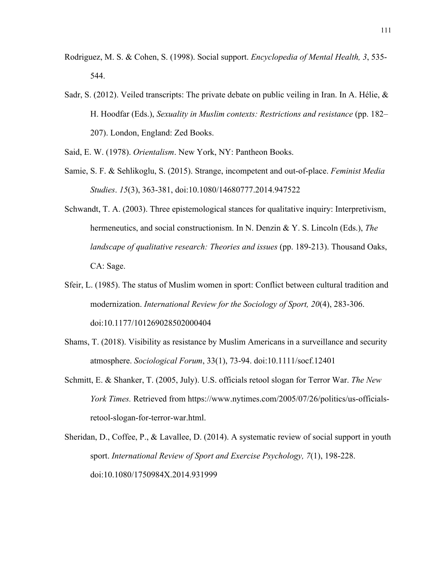- Rodriguez, M. S. & Cohen, S. (1998). Social support. *Encyclopedia of Mental Health, 3*, 535- 544.
- Sadr, S. (2012). Veiled transcripts: The private debate on public veiling in Iran. In A. Hélie, & H. Hoodfar (Eds.), *Sexuality in Muslim contexts: Restrictions and resistance* (pp. 182– 207). London, England: Zed Books.

Said, E. W. (1978). *Orientalism*. New York, NY: Pantheon Books.

- Samie, S. F. & Sehlikoglu, S. (2015). Strange, incompetent and out-of-place. *Feminist Media Studies*. *15*(3), 363-381, doi:10.1080/14680777.2014.947522
- Schwandt, T. A. (2003). Three epistemological stances for qualitative inquiry: Interpretivism, hermeneutics, and social constructionism. In N. Denzin & Y. S. Lincoln (Eds.), *The landscape of qualitative research: Theories and issues* (pp. 189-213). Thousand Oaks, CA: Sage.
- Sfeir, L. (1985). The status of Muslim women in sport: Conflict between cultural tradition and modernization. *International Review for the Sociology of Sport, 20*(4), 283-306. doi:10.1177/101269028502000404
- Shams, T. (2018). Visibility as resistance by Muslim Americans in a surveillance and security atmosphere. *Sociological Forum*, 33(1), 73-94. doi:10.1111/socf.12401
- Schmitt, E. & Shanker, T. (2005, July). U.S. officials retool slogan for Terror War. *The New York Times.* Retrieved from https://www.nytimes.com/2005/07/26/politics/us-officialsretool-slogan-for-terror-war.html.
- Sheridan, D., Coffee, P., & Lavallee, D. (2014). A systematic review of social support in youth sport. *International Review of Sport and Exercise Psychology, 7*(1), 198-228. doi:10.1080/1750984X.2014.931999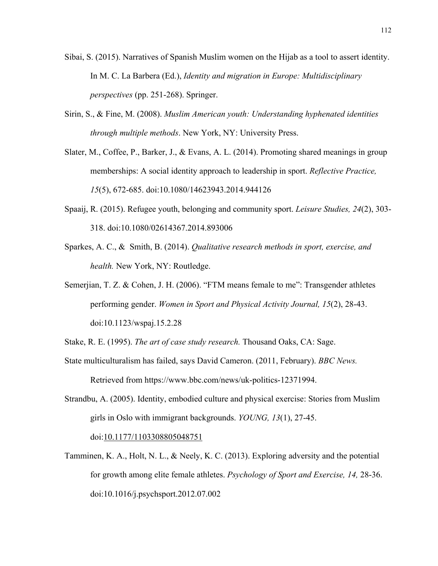- Sibai, S. (2015). Narratives of Spanish Muslim women on the Hijab as a tool to assert identity. In M. C. La Barbera (Ed.), *Identity and migration in Europe: Multidisciplinary perspectives* (pp. 251-268). Springer.
- Sirin, S., & Fine, M. (2008). *Muslim American youth: Understanding hyphenated identities through multiple methods*. New York, NY: University Press.
- Slater, M., Coffee, P., Barker, J., & Evans, A. L. (2014). Promoting shared meanings in group memberships: A social identity approach to leadership in sport. *Reflective Practice, 15*(5), 672-685. doi:10.1080/14623943.2014.944126
- Spaaij, R. (2015). Refugee youth, belonging and community sport. *Leisure Studies, 24*(2), 303- 318. doi:10.1080/02614367.2014.893006
- Sparkes, A. C., & Smith, B. (2014). *Qualitative research methods in sport, exercise, and health.* New York, NY: Routledge.
- Semerjian, T. Z. & Cohen, J. H. (2006). "FTM means female to me": Transgender athletes performing gender. *Women in Sport and Physical Activity Journal, 15*(2), 28-43. doi:10.1123/wspaj.15.2.28
- Stake, R. E. (1995). *The art of case study research.* Thousand Oaks, CA: Sage.
- State multiculturalism has failed, says David Cameron. (2011, February). *BBC News.*  Retrieved from https://www.bbc.com/news/uk-politics-12371994.
- Strandbu, A. (2005). Identity, embodied culture and physical exercise: Stories from Muslim girls in Oslo with immigrant backgrounds. *YOUNG, 13*(1), 27-45. doi:10.1177/1103308805048751
- Tamminen, K. A., Holt, N. L., & Neely, K. C. (2013). Exploring adversity and the potential for growth among elite female athletes. *Psychology of Sport and Exercise, 14,* 28-36. doi:10.1016/j.psychsport.2012.07.002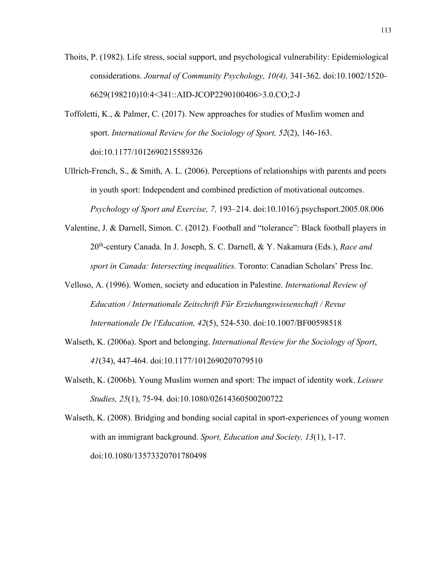- Thoits, P. (1982). Life stress, social support, and psychological vulnerability: Epidemiological considerations. *Journal of Community Psychology, 10(4),* 341-362. doi:10.1002/1520- 6629(198210)10:4<341::AID-JCOP2290100406>3.0.CO;2-J
- Toffoletti, K., & Palmer, C. (2017). New approaches for studies of Muslim women and sport. *International Review for the Sociology of Sport, 52*(2), 146-163. doi:10.1177/1012690215589326
- Ullrich-French, S., & Smith, A. L. (2006). Perceptions of relationships with parents and peers in youth sport: Independent and combined prediction of motivational outcomes. *Psychology of Sport and Exercise, 7,* 193–214. doi:10.1016/j.psychsport.2005.08.006
- Valentine, J. & Darnell, Simon. C. (2012). Football and "tolerance": Black football players in 20th-century Canada. In J. Joseph, S. C. Darnell, & Y. Nakamura (Eds.), *Race and sport in Canada: Intersecting inequalities.* Toronto: Canadian Scholars' Press Inc.
- Velloso, A. (1996). Women, society and education in Palestine. *International Review of Education / Internationale Zeitschrift Für Erziehungswissenschaft / Revue Internationale De l'Education, 42*(5), 524-530. doi:10.1007/BF00598518
- Walseth, K. (2006a). Sport and belonging. *International Review for the Sociology of Sport*, *41*(34), 447-464. doi:10.1177/1012690207079510
- Walseth, K. (2006b). Young Muslim women and sport: The impact of identity work. *Leisure Studies, 25*(1), 75-94. doi:10.1080/02614360500200722

Walseth, K. (2008). Bridging and bonding social capital in sport-experiences of young women with an immigrant background. *Sport, Education and Society, 13*(1), 1-17. doi:10.1080/13573320701780498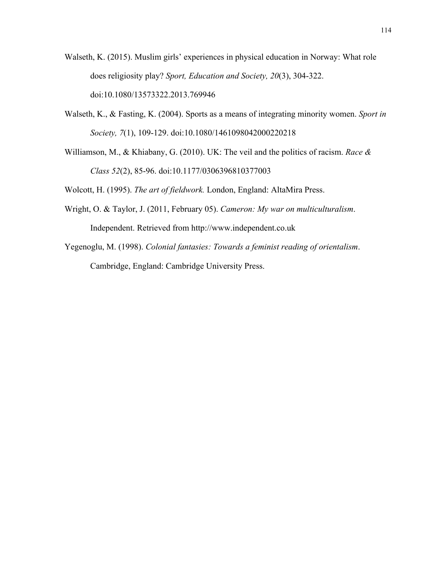- Walseth, K. (2015). Muslim girls' experiences in physical education in Norway: What role does religiosity play? *Sport, Education and Society, 20*(3), 304-322. doi:10.1080/13573322.2013.769946
- Walseth, K., & Fasting, K. (2004). Sports as a means of integrating minority women. *Sport in Society, 7*(1), 109-129. doi:10.1080/1461098042000220218
- Williamson, M., & Khiabany, G. (2010). UK: The veil and the politics of racism. *Race & Class 52*(2), 85-96. doi:10.1177/0306396810377003

Wolcott, H. (1995). *The art of fieldwork.* London, England: AltaMira Press.

- Wright, O. & Taylor, J. (2011, February 05). *Cameron: My war on multiculturalism*. Independent. Retrieved from http://www.independent.co.uk
- Yegenoglu, M. (1998). *Colonial fantasies: Towards a feminist reading of orientalism*. Cambridge, England: Cambridge University Press.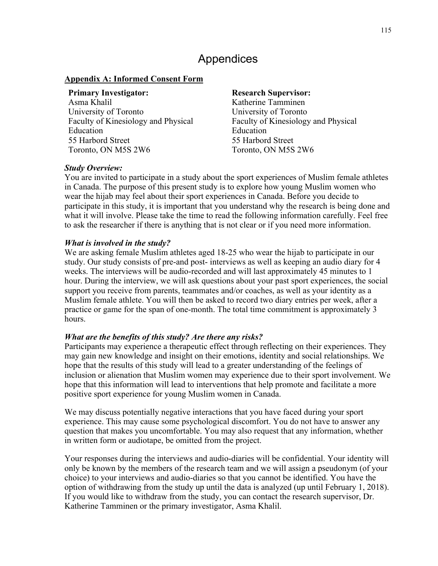# Appendices

### **Appendix A: Informed Consent Form**

#### **Primary Investigator: Research Supervisor:**

Asma Khalil University of Toronto Faculty of Kinesiology and Physical Education 55 Harbord Street Toronto, ON M5S 2W6

Katherine Tamminen University of Toronto Faculty of Kinesiology and Physical Education 55 Harbord Street Toronto, ON M5S 2W6

#### *Study Overview:*

You are invited to participate in a study about the sport experiences of Muslim female athletes in Canada. The purpose of this present study is to explore how young Muslim women who wear the hijab may feel about their sport experiences in Canada. Before you decide to participate in this study, it is important that you understand why the research is being done and what it will involve. Please take the time to read the following information carefully. Feel free to ask the researcher if there is anything that is not clear or if you need more information.

## *What is involved in the study?*

We are asking female Muslim athletes aged 18-25 who wear the hijab to participate in our study. Our study consists of pre-and post- interviews as well as keeping an audio diary for 4 weeks. The interviews will be audio-recorded and will last approximately 45 minutes to 1 hour. During the interview, we will ask questions about your past sport experiences, the social support you receive from parents, teammates and/or coaches, as well as your identity as a Muslim female athlete. You will then be asked to record two diary entries per week, after a practice or game for the span of one-month. The total time commitment is approximately 3 hours.

## *What are the benefits of this study? Are there any risks?*

Participants may experience a therapeutic effect through reflecting on their experiences. They may gain new knowledge and insight on their emotions, identity and social relationships. We hope that the results of this study will lead to a greater understanding of the feelings of inclusion or alienation that Muslim women may experience due to their sport involvement. We hope that this information will lead to interventions that help promote and facilitate a more positive sport experience for young Muslim women in Canada.

We may discuss potentially negative interactions that you have faced during your sport experience. This may cause some psychological discomfort. You do not have to answer any question that makes you uncomfortable. You may also request that any information, whether in written form or audiotape, be omitted from the project.

Your responses during the interviews and audio-diaries will be confidential. Your identity will only be known by the members of the research team and we will assign a pseudonym (of your choice) to your interviews and audio-diaries so that you cannot be identified. You have the option of withdrawing from the study up until the data is analyzed (up until February 1, 2018). If you would like to withdraw from the study, you can contact the research supervisor, Dr. Katherine Tamminen or the primary investigator, Asma Khalil.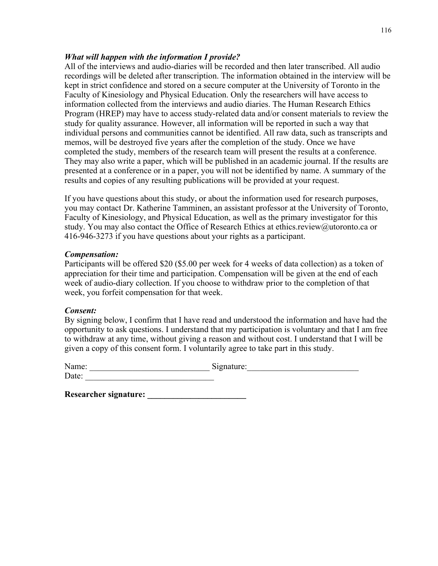### *What will happen with the information I provide?*

All of the interviews and audio-diaries will be recorded and then later transcribed. All audio recordings will be deleted after transcription. The information obtained in the interview will be kept in strict confidence and stored on a secure computer at the University of Toronto in the Faculty of Kinesiology and Physical Education. Only the researchers will have access to information collected from the interviews and audio diaries. The Human Research Ethics Program (HREP) may have to access study-related data and/or consent materials to review the study for quality assurance. However, all information will be reported in such a way that individual persons and communities cannot be identified. All raw data, such as transcripts and memos, will be destroyed five years after the completion of the study. Once we have completed the study, members of the research team will present the results at a conference. They may also write a paper, which will be published in an academic journal. If the results are presented at a conference or in a paper, you will not be identified by name. A summary of the results and copies of any resulting publications will be provided at your request.

If you have questions about this study, or about the information used for research purposes, you may contact Dr. Katherine Tamminen, an assistant professor at the University of Toronto, Faculty of Kinesiology, and Physical Education, as well as the primary investigator for this study. You may also contact the Office of Research Ethics at ethics.review@utoronto.ca or 416-946-3273 if you have questions about your rights as a participant.

#### *Compensation:*

Participants will be offered \$20 (\$5.00 per week for 4 weeks of data collection) as a token of appreciation for their time and participation. Compensation will be given at the end of each week of audio-diary collection. If you choose to withdraw prior to the completion of that week, you forfeit compensation for that week.

## *Consent:*

By signing below, I confirm that I have read and understood the information and have had the opportunity to ask questions. I understand that my participation is voluntary and that I am free to withdraw at any time, without giving a reason and without cost. I understand that I will be given a copy of this consent form. I voluntarily agree to take part in this study.

| Name: | Signature: |  |
|-------|------------|--|
| Date: |            |  |

**Researcher signature: \_\_\_\_\_\_\_\_\_\_\_\_\_\_\_\_\_\_\_\_\_\_\_**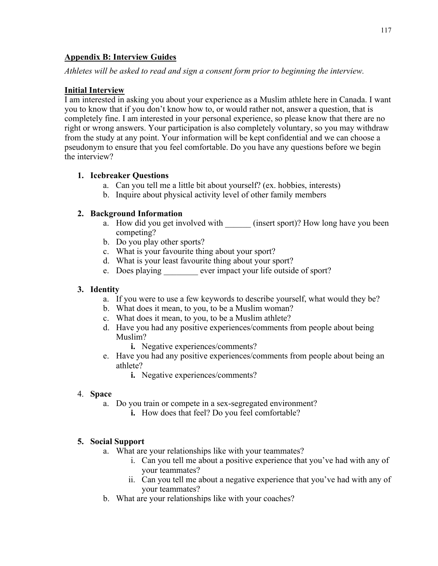## **Appendix B: Interview Guides**

*Athletes will be asked to read and sign a consent form prior to beginning the interview.*

## **Initial Interview**

I am interested in asking you about your experience as a Muslim athlete here in Canada. I want you to know that if you don't know how to, or would rather not, answer a question, that is completely fine. I am interested in your personal experience, so please know that there are no right or wrong answers. Your participation is also completely voluntary, so you may withdraw from the study at any point. Your information will be kept confidential and we can choose a pseudonym to ensure that you feel comfortable. Do you have any questions before we begin the interview?

## **1. Icebreaker Questions**

- a. Can you tell me a little bit about yourself? (ex. hobbies, interests)
	- b. Inquire about physical activity level of other family members

## **2. Background Information**

- a. How did you get involved with (insert sport)? How long have you been competing?
- b. Do you play other sports?
- c. What is your favourite thing about your sport?
- d. What is your least favourite thing about your sport?
- e. Does playing ever impact your life outside of sport?

## **3. Identity**

- a. If you were to use a few keywords to describe yourself, what would they be?
- b. What does it mean, to you, to be a Muslim woman?
- c. What does it mean, to you, to be a Muslim athlete?
- d. Have you had any positive experiences/comments from people about being Muslim?
	- **i.** Negative experiences/comments?
- e. Have you had any positive experiences/comments from people about being an athlete?
	- **i.** Negative experiences/comments?

## 4. **Space**

- a. Do you train or compete in a sex-segregated environment?
	- **i.** How does that feel? Do you feel comfortable?

## **5. Social Support**

- a. What are your relationships like with your teammates?
	- i. Can you tell me about a positive experience that you've had with any of your teammates?
	- ii. Can you tell me about a negative experience that you've had with any of your teammates?
- b. What are your relationships like with your coaches?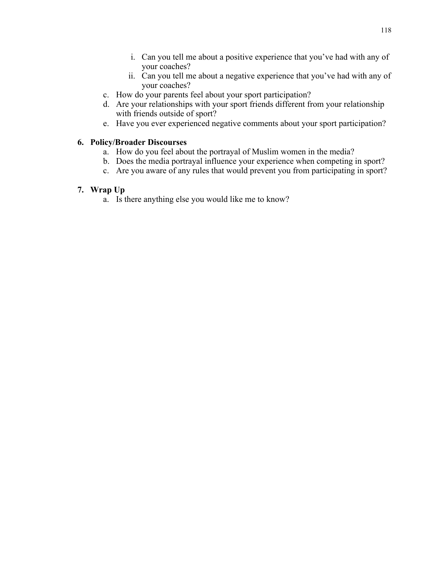- i. Can you tell me about a positive experience that you've had with any of your coaches?
- ii. Can you tell me about a negative experience that you've had with any of your coaches?
- c. How do your parents feel about your sport participation?
- d. Are your relationships with your sport friends different from your relationship with friends outside of sport?
- e. Have you ever experienced negative comments about your sport participation?

#### **6. Policy/Broader Discourses**

- a. How do you feel about the portrayal of Muslim women in the media?
- b. Does the media portrayal influence your experience when competing in sport?
- c. Are you aware of any rules that would prevent you from participating in sport?

#### **7. Wrap Up**

a. Is there anything else you would like me to know?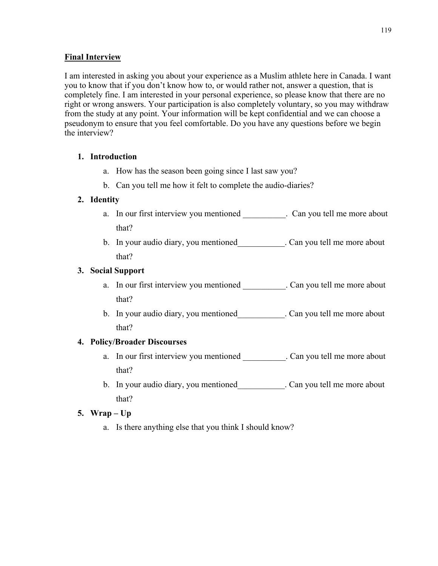## **Final Interview**

I am interested in asking you about your experience as a Muslim athlete here in Canada. I want you to know that if you don't know how to, or would rather not, answer a question, that is completely fine. I am interested in your personal experience, so please know that there are no right or wrong answers. Your participation is also completely voluntary, so you may withdraw from the study at any point. Your information will be kept confidential and we can choose a pseudonym to ensure that you feel comfortable. Do you have any questions before we begin the interview?

## **1. Introduction**

- a. How has the season been going since I last saw you?
- b. Can you tell me how it felt to complete the audio-diaries?

## **2. Identity**

- a. In our first interview you mentioned \_\_\_\_\_\_\_\_\_\_. Can you tell me more about that?
- b. In your audio diary, you mentioned\_\_\_\_\_\_\_\_\_\_\_. Can you tell me more about that?

## **3. Social Support**

- a. In our first interview you mentioned . Can you tell me more about that?
- b. In your audio diary, you mentioned . Can you tell me more about that?

## **4. Policy/Broader Discourses**

- a. In our first interview you mentioned \_\_\_\_\_\_\_\_\_\_\_. Can you tell me more about that?
- b. In your audio diary, you mentioned Can you tell me more about that?

## **5. Wrap – Up**

a. Is there anything else that you think I should know?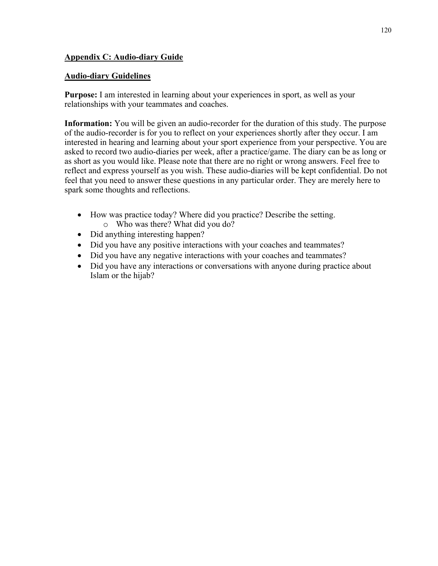## **Appendix C: Audio-diary Guide**

## **Audio-diary Guidelines**

**Purpose:** I am interested in learning about your experiences in sport, as well as your relationships with your teammates and coaches.

**Information:** You will be given an audio-recorder for the duration of this study. The purpose of the audio-recorder is for you to reflect on your experiences shortly after they occur. I am interested in hearing and learning about your sport experience from your perspective. You are asked to record two audio-diaries per week, after a practice/game. The diary can be as long or as short as you would like. Please note that there are no right or wrong answers. Feel free to reflect and express yourself as you wish. These audio-diaries will be kept confidential. Do not feel that you need to answer these questions in any particular order. They are merely here to spark some thoughts and reflections.

- How was practice today? Where did you practice? Describe the setting. o Who was there? What did you do?
- Did anything interesting happen?
- Did you have any positive interactions with your coaches and teammates?
- Did you have any negative interactions with your coaches and teammates?
- Did you have any interactions or conversations with anyone during practice about Islam or the hijab?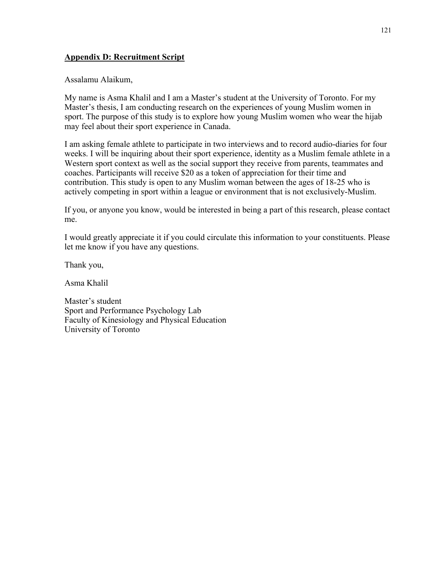## **Appendix D: Recruitment Script**

Assalamu Alaikum,

My name is Asma Khalil and I am a Master's student at the University of Toronto. For my Master's thesis, I am conducting research on the experiences of young Muslim women in sport. The purpose of this study is to explore how young Muslim women who wear the hijab may feel about their sport experience in Canada.

I am asking female athlete to participate in two interviews and to record audio-diaries for four weeks. I will be inquiring about their sport experience, identity as a Muslim female athlete in a Western sport context as well as the social support they receive from parents, teammates and coaches. Participants will receive \$20 as a token of appreciation for their time and contribution. This study is open to any Muslim woman between the ages of 18-25 who is actively competing in sport within a league or environment that is not exclusively-Muslim.

If you, or anyone you know, would be interested in being a part of this research, please contact me.

I would greatly appreciate it if you could circulate this information to your constituents. Please let me know if you have any questions.

Thank you,

Asma Khalil

Master's student Sport and Performance Psychology Lab Faculty of Kinesiology and Physical Education University of Toronto